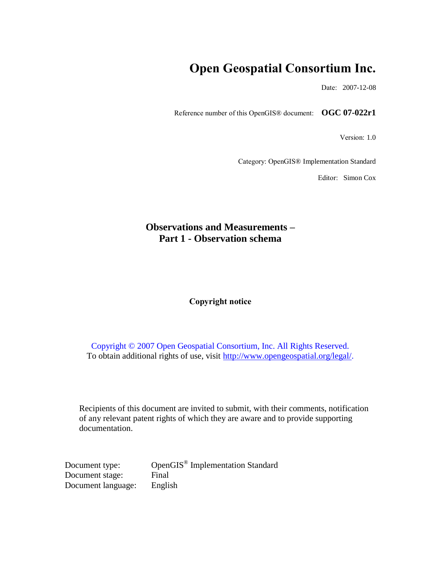# **Open Geospatial Consortium Inc.**

Date: 2007-12-08

Reference number of this OpenGIS® document: **OGC 07-022r1**

Version: 1.0

Category: OpenGIS® Implementation Standard

Editor: Simon Cox

## **Observations and Measurements – Part 1 - Observation schema**

#### **Copyright notice**

Copyright © 2007 Open Geospatial Consortium, Inc. All Rights Reserved. To obtain additional rights of use, visit [http://www.opengeospatial.org/legal/.](http://www.opengeospatial.org/legal/)

Recipients of this document are invited to submit, with their comments, notification of any relevant patent rights of which they are aware and to provide supporting documentation.

Document type: OpenGIS<sup>®</sup> Implementation Standard Document stage: Final Document language: English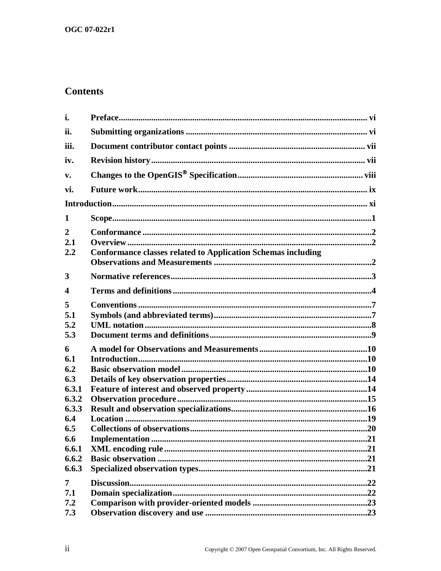## **Contents**

| i.                                                                                                |                                                                     |
|---------------------------------------------------------------------------------------------------|---------------------------------------------------------------------|
| ii.                                                                                               |                                                                     |
| iii.                                                                                              |                                                                     |
| iv.                                                                                               |                                                                     |
| v.                                                                                                |                                                                     |
| vi.                                                                                               |                                                                     |
|                                                                                                   |                                                                     |
| 1                                                                                                 |                                                                     |
| $\overline{2}$<br>2.1<br>2.2                                                                      | <b>Conformance classes related to Application Schemas including</b> |
| 3                                                                                                 |                                                                     |
| 4                                                                                                 |                                                                     |
| 5<br>5.1<br>5.2<br>5.3                                                                            |                                                                     |
| 6<br>6.1<br>6.2<br>6.3<br>6.3.1<br>6.3.2<br>6.3.3<br>6.4<br>6.5<br>6.6<br>6.6.1<br>6.6.2<br>6.6.3 |                                                                     |
| 7<br>7.1<br>7.2<br>7.3                                                                            |                                                                     |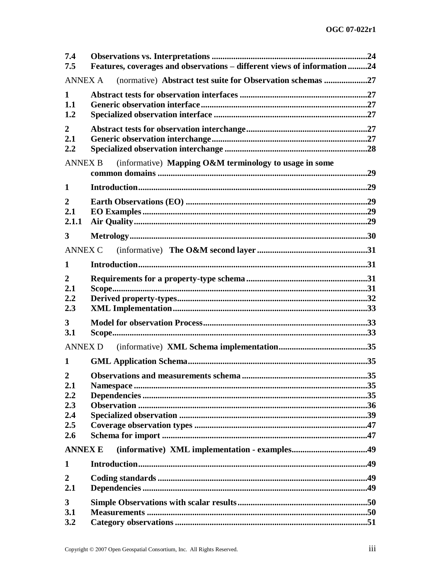| 7.4<br>7.5                                               | Features, coverages and observations - different views of information 24 |     |
|----------------------------------------------------------|--------------------------------------------------------------------------|-----|
| <b>ANNEX A</b>                                           | (normative) Abstract test suite for Observation schemas 27               |     |
| 1<br>1.1<br>1.2                                          |                                                                          |     |
| $\overline{2}$<br>2.1<br>2.2                             |                                                                          |     |
| <b>ANNEX B</b>                                           | (informative) Mapping O&M terminology to usage in some                   |     |
| 1                                                        |                                                                          |     |
| $\overline{2}$<br>2.1<br>2.1.1                           |                                                                          |     |
| 3                                                        |                                                                          |     |
| <b>ANNEX C</b>                                           |                                                                          |     |
| 1                                                        |                                                                          |     |
| $\overline{2}$<br>2.1<br>2.2<br>2.3                      |                                                                          |     |
| $\mathbf{3}$<br>3.1                                      |                                                                          |     |
| <b>ANNEX D</b>                                           |                                                                          |     |
| 1                                                        |                                                                          |     |
| $\overline{2}$<br>2.1<br>2,2<br>2.3<br>2.4<br>2.5<br>2.6 |                                                                          | .35 |
| <b>ANNEX E</b>                                           |                                                                          |     |
| 1                                                        |                                                                          |     |
| $\overline{2}$<br>2.1                                    |                                                                          |     |
| 3<br>3.1<br>3.2                                          |                                                                          |     |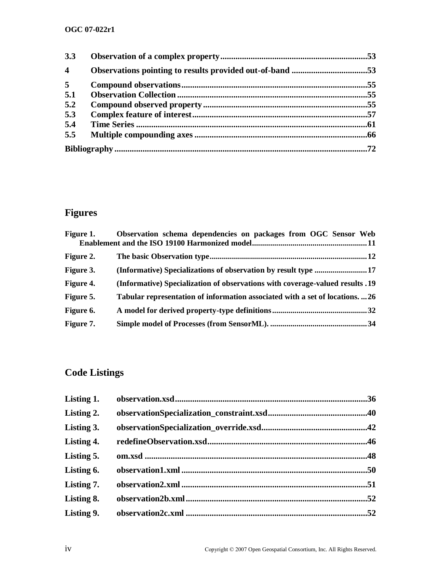## **OGC 07-022r1**

| 3.3              |  |
|------------------|--|
| $\boldsymbol{4}$ |  |
| 5                |  |
| 5.1              |  |
| 5.2              |  |
| 5.3              |  |
| 5.4              |  |
| 5.5              |  |
|                  |  |

# **Figures**

|           | Figure 1. Observation schema dependencies on packages from OGC Sensor Web     |
|-----------|-------------------------------------------------------------------------------|
|           |                                                                               |
| Figure 2. |                                                                               |
| Figure 3. |                                                                               |
| Figure 4. | (Informative) Specialization of observations with coverage-valued results .19 |
| Figure 5. | Tabular representation of information associated with a set of locations. 26  |
| Figure 6. |                                                                               |
| Figure 7. |                                                                               |

# **Code Listings**

| Listing 1. |     |
|------------|-----|
| Listing 2. |     |
| Listing 3. |     |
| Listing 4. |     |
| Listing 5. |     |
| Listing 6. |     |
| Listing 7. |     |
| Listing 8. | .52 |
| Listing 9. |     |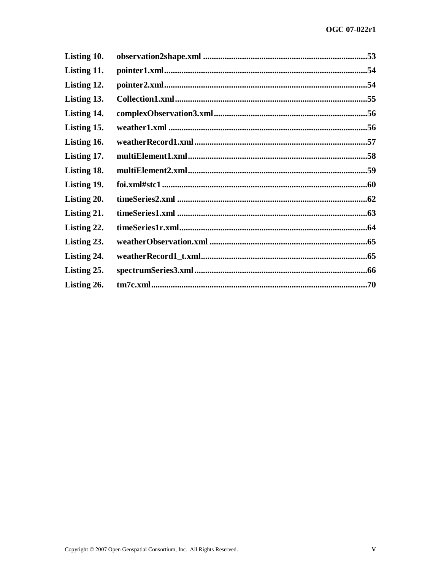| Listing 10. |  |
|-------------|--|
| Listing 11. |  |
| Listing 12. |  |
| Listing 13. |  |
| Listing 14. |  |
| Listing 15. |  |
| Listing 16. |  |
| Listing 17. |  |
| Listing 18. |  |
| Listing 19. |  |
| Listing 20. |  |
| Listing 21. |  |
| Listing 22. |  |
| Listing 23. |  |
| Listing 24. |  |
| Listing 25. |  |
| Listing 26. |  |
|             |  |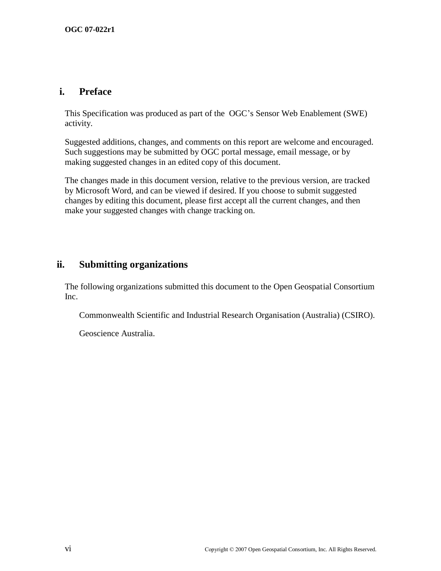## **i. Preface**

This Specification was produced as part of the OGC's Sensor Web Enablement (SWE) activity.

Suggested additions, changes, and comments on this report are welcome and encouraged. Such suggestions may be submitted by OGC portal message, email message, or by making suggested changes in an edited copy of this document.

The changes made in this document version, relative to the previous version, are tracked by Microsoft Word, and can be viewed if desired. If you choose to submit suggested changes by editing this document, please first accept all the current changes, and then make your suggested changes with change tracking on.

## **ii. Submitting organizations**

The following organizations submitted this document to the Open Geospatial Consortium Inc.

Commonwealth Scientific and Industrial Research Organisation (Australia) (CSIRO).

Geoscience Australia.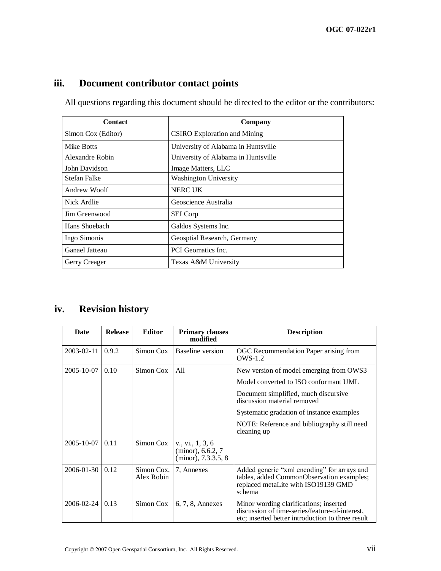## **iii. Document contributor contact points**

All questions regarding this document should be directed to the editor or the contributors:

| <b>Contact</b>      | Company                             |
|---------------------|-------------------------------------|
| Simon Cox (Editor)  | <b>CSIRO</b> Exploration and Mining |
| Mike Botts          | University of Alabama in Huntsville |
| Alexandre Robin     | University of Alabama in Huntsville |
| John Davidson       | Image Matters, LLC                  |
| <b>Stefan Falke</b> | Washington University               |
| Andrew Woolf        | <b>NERC UK</b>                      |
| Nick Ardlie         | Geoscience Australia                |
| Jim Greenwood       | <b>SEI</b> Corp                     |
| Hans Shoebach       | Galdos Systems Inc.                 |
| Ingo Simonis        | Geosptial Research, Germany         |
| Ganael Jatteau      | PCI Geomatics Inc.                  |
| Gerry Creager       | Texas A&M University                |

## **iv. Revision history**

| Date       | <b>Release</b> | <b>Editor</b>            | <b>Primary clauses</b><br>modified                           | <b>Description</b>                                                                                                                            |
|------------|----------------|--------------------------|--------------------------------------------------------------|-----------------------------------------------------------------------------------------------------------------------------------------------|
| 2003-02-11 | 0.9.2          | Simon Cox                | Baseline version                                             | OGC Recommendation Paper arising from<br><b>OWS-1.2</b>                                                                                       |
| 2005-10-07 | 0.10           | Simon Cox                | A11                                                          | New version of model emerging from OWS3                                                                                                       |
|            |                |                          |                                                              | Model converted to ISO conformant UML                                                                                                         |
|            |                |                          |                                                              | Document simplified, much discursive<br>discussion material removed                                                                           |
|            |                |                          |                                                              | Systematic gradation of instance examples                                                                                                     |
|            |                |                          |                                                              | NOTE: Reference and bibliography still need<br>cleaning up                                                                                    |
| 2005-10-07 | 0.11           | Simon Cox                | v., vi., 1, 3, 6<br>(minor), 6.6.2, 7<br>(minor), 7.3.3.5, 8 |                                                                                                                                               |
| 2006-01-30 | 0.12           | Simon Cox,<br>Alex Robin | 7, Annexes                                                   | Added generic "xml encoding" for arrays and<br>tables, added CommonObservation examples;<br>replaced metaLite with ISO19139 GMD<br>schema     |
| 2006-02-24 | 0.13           | Simon Cox                | $6, 7, 8$ , Annexes                                          | Minor wording clarifications; inserted<br>discussion of time-series/feature-of-interest,<br>etc; inserted better introduction to three result |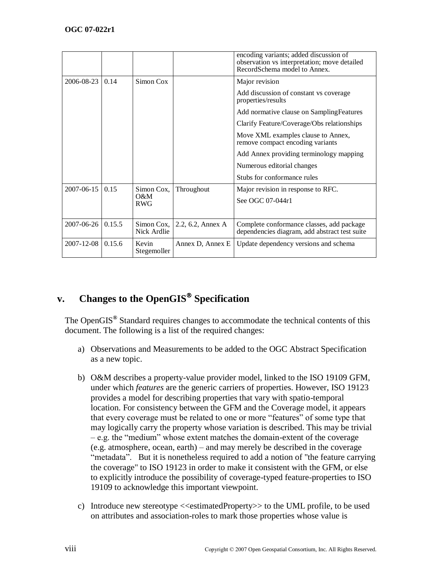|                       |        |                           |                   | encoding variants; added discussion of<br>observation vs interpretation; move detailed<br>RecordSchema model to Annex. |
|-----------------------|--------|---------------------------|-------------------|------------------------------------------------------------------------------------------------------------------------|
| 2006-08-23            | 0.14   | Simon Cox                 |                   | Major revision                                                                                                         |
|                       |        |                           |                   | Add discussion of constant vs coverage<br>properties/results                                                           |
|                       |        |                           |                   | Add normative clause on Sampling Features                                                                              |
|                       |        |                           |                   | Clarify Feature/Coverage/Obs relationships                                                                             |
|                       |        |                           |                   | Move XML examples clause to Annex,<br>remove compact encoding variants                                                 |
|                       |        |                           |                   | Add Annex providing terminology mapping                                                                                |
|                       |        |                           |                   | Numerous editorial changes                                                                                             |
|                       |        |                           |                   | Stubs for conformance rules                                                                                            |
| $2007 - 06 - 15$ 0.15 |        | Simon Cox,                | Throughout        | Major revision in response to RFC.                                                                                     |
|                       |        | $O\&M$<br><b>RWG</b>      |                   | See OGC 07-044r1                                                                                                       |
|                       |        |                           |                   |                                                                                                                        |
| 2007-06-26            | 0.15.5 | Simon Cox.<br>Nick Ardlie | 2.2, 6.2, Annex A | Complete conformance classes, add package<br>dependencies diagram, add abstract test suite                             |
| 2007-12-08            | 0.15.6 | Kevin<br>Stegemoller      | Annex D, Annex E  | Update dependency versions and schema                                                                                  |

## **v. Changes to the OpenGIS Specification**

The OpenGIS**®** Standard requires changes to accommodate the technical contents of this document. The following is a list of the required changes:

- a) Observations and Measurements to be added to the OGC Abstract Specification as a new topic.
- b) O&M describes a property-value provider model, linked to the ISO 19109 GFM, under which *features* are the generic carriers of properties. However, ISO 19123 provides a model for describing properties that vary with spatio-temporal location. For consistency between the GFM and the Coverage model, it appears that every coverage must be related to one or more "features" of some type that may logically carry the property whose variation is described. This may be trivial  $-e.g.$  the "medium" whose extent matches the domain-extent of the coverage (e.g. atmosphere, ocean, earth) – and may merely be described in the coverage "metadata". But it is nonetheless required to add a notion of "the feature carrying the coverage" to ISO 19123 in order to make it consistent with the GFM, or else to explicitly introduce the possibility of coverage-typed feature-properties to ISO 19109 to acknowledge this important viewpoint.
- c) Introduce new stereotype <<estimatedProperty>> to the UML profile, to be used on attributes and association-roles to mark those properties whose value is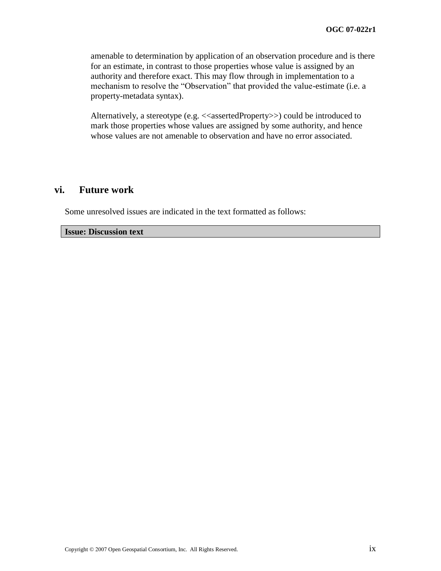amenable to determination by application of an observation procedure and is there for an estimate, in contrast to those properties whose value is assigned by an authority and therefore exact. This may flow through in implementation to a mechanism to resolve the "Observation" that provided the value-estimate (i.e. a property-metadata syntax).

Alternatively, a stereotype (e.g. <<assertedProperty>>) could be introduced to mark those properties whose values are assigned by some authority, and hence whose values are not amenable to observation and have no error associated.

## **vi. Future work**

Some unresolved issues are indicated in the text formatted as follows:

**Issue: Discussion text**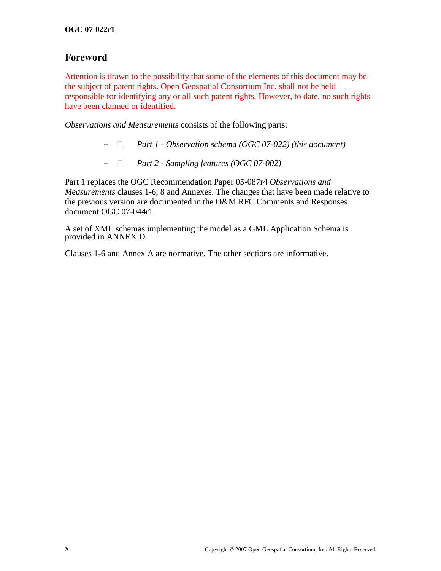## **Foreword**

Attention is drawn to the possibility that some of the elements of this document may be the subject of patent rights. Open Geospatial Consortium Inc. shall not be held responsible for identifying any or all such patent rights. However, to date, no such rights have been claimed or identified.

*Observations and Measurements* consists of the following parts:

- *Part 1 - Observation schema (OGC 07-022) (this document)*
- *Part 2 - Sampling features (OGC 07-002)*

Part 1 replaces the OGC Recommendation Paper 05-087r4 *Observations and Measurements* clauses 1-6, 8 and Annexes. The changes that have been made relative to the previous version are documented in the O&M RFC Comments and Responses document OGC 07-044r1.

A set of XML schemas implementing the model as a GML Application Schema is provided in [ANNEX D.](#page-46-0)

Clauses 1-6 and Annex A are normative. The other sections are informative.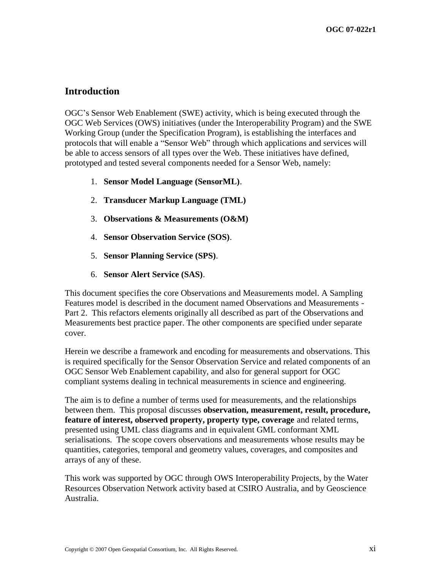## **Introduction**

OGC's Sensor Web Enablement (SWE) activity, which is being executed through the OGC Web Services (OWS) initiatives (under the Interoperability Program) and the SWE Working Group (under the Specification Program), is establishing the interfaces and protocols that will enable a "Sensor Web" through which applications and services will be able to access sensors of all types over the Web. These initiatives have defined, prototyped and tested several components needed for a Sensor Web, namely:

- 1. **Sensor Model Language (SensorML)**.
- 2. **Transducer Markup Language (TML)**
- 3. **Observations & Measurements (O&M)**
- 4. **Sensor Observation Service (SOS)**.
- 5. **Sensor Planning Service (SPS)**.
- 6. **Sensor Alert Service (SAS)**.

This document specifies the core Observations and Measurements model. A Sampling Features model is described in the document named Observations and Measurements - Part 2. This refactors elements originally all described as part of the Observations and Measurements best practice paper. The other components are specified under separate cover.

Herein we describe a framework and encoding for measurements and observations. This is required specifically for the Sensor Observation Service and related components of an OGC Sensor Web Enablement capability, and also for general support for OGC compliant systems dealing in technical measurements in science and engineering.

The aim is to define a number of terms used for measurements, and the relationships between them. This proposal discusses **observation, measurement, result, procedure, feature of interest, observed property, property type, coverage** and related terms, presented using UML class diagrams and in equivalent GML conformant XML serialisations. The scope covers observations and measurements whose results may be quantities, categories, temporal and geometry values, coverages, and composites and arrays of any of these.

This work was supported by OGC through OWS Interoperability Projects, by the Water Resources Observation Network activity based at CSIRO Australia, and by Geoscience Australia.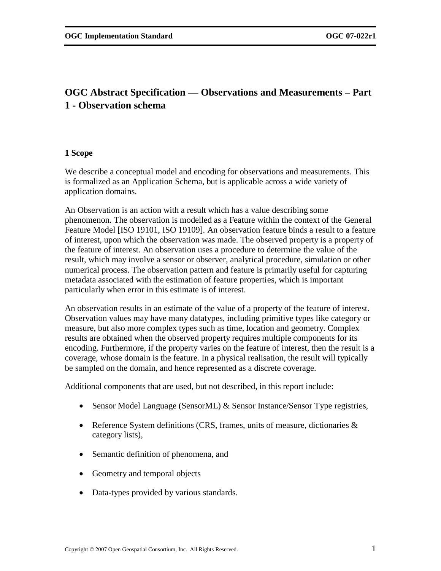## **OGC Abstract Specification — Observations and Measurements – Part 1 - Observation schema**

## **1 Scope**

We describe a conceptual model and encoding for observations and measurements. This is formalized as an Application Schema, but is applicable across a wide variety of application domains.

An Observation is an action with a result which has a value describing some phenomenon. The observation is modelled as a Feature within the context of the General Feature Model [ISO 19101, ISO 19109]. An observation feature binds a result to a feature of interest, upon which the observation was made. The observed property is a property of the feature of interest. An observation uses a procedure to determine the value of the result, which may involve a sensor or observer, analytical procedure, simulation or other numerical process. The observation pattern and feature is primarily useful for capturing metadata associated with the estimation of feature properties, which is important particularly when error in this estimate is of interest.

An observation results in an estimate of the value of a property of the feature of interest. Observation values may have many datatypes, including primitive types like category or measure, but also more complex types such as time, location and geometry. Complex results are obtained when the observed property requires multiple components for its encoding. Furthermore, if the property varies on the feature of interest, then the result is a coverage, whose domain is the feature. In a physical realisation, the result will typically be sampled on the domain, and hence represented as a discrete coverage.

Additional components that are used, but not described, in this report include:

- Sensor Model Language (SensorML) & Sensor Instance/Sensor Type registries,
- Reference System definitions (CRS, frames, units of measure, dictionaries  $\&$ category lists),
- Semantic definition of phenomena, and
- Geometry and temporal objects
- Data-types provided by various standards.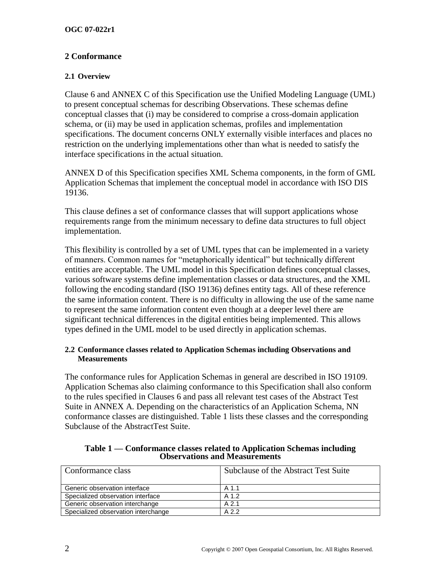## **2 Conformance**

## **2.1 Overview**

Clause [6](#page-21-0) and [ANNEX C](#page-42-0) of this Specification use the Unified Modeling Language (UML) to present conceptual schemas for describing Observations. These schemas define conceptual classes that (i) may be considered to comprise a cross-domain application schema, or (ii) may be used in application schemas, profiles and implementation specifications. The document concerns ONLY externally visible interfaces and places no restriction on the underlying implementations other than what is needed to satisfy the interface specifications in the actual situation.

[ANNEX D](#page-46-0) of this Specification specifies XML Schema components, in the form of GML Application Schemas that implement the conceptual model in accordance with ISO DIS 19136.

This clause defines a set of conformance classes that will support applications whose requirements range from the minimum necessary to define data structures to full object implementation.

This flexibility is controlled by a set of UML types that can be implemented in a variety of manners. Common names for "metaphorically identical" but technically different entities are acceptable. The UML model in this Specification defines conceptual classes, various software systems define implementation classes or data structures, and the XML following the encoding standard (ISO 19136) defines entity tags. All of these reference the same information content. There is no difficulty in allowing the use of the same name to represent the same information content even though at a deeper level there are significant technical differences in the digital entities being implemented. This allows types defined in the UML model to be used directly in application schemas.

#### **2.2 Conformance classes related to Application Schemas including Observations and Measurements**

The conformance rules for Application Schemas in general are described in ISO 19109. Application Schemas also claiming conformance to this Specification shall also conform to the rules specified in Clauses [6](#page-21-0) and pass all relevant test cases of the Abstract Test Suite in [ANNEX A.](#page-38-0) Depending on the characteristics of an Application Schema, NN conformance classes are distinguished. Table 1 lists these classes and the corresponding Subclause of the AbstractTest Suite.

| Conformance class                   | Subclause of the Abstract Test Suite |
|-------------------------------------|--------------------------------------|
| Generic observation interface       | A 1.1                                |
| Specialized observation interface   | A 1.2                                |
| Generic observation interchange     | A <sub>2.1</sub>                     |
| Specialized observation interchange | A 2.2                                |

#### **Table 1 — Conformance classes related to Application Schemas including Observations and Measurements**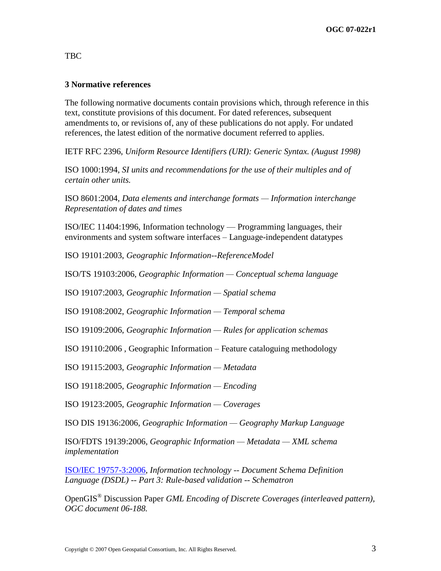## TBC

## **3 Normative references**

The following normative documents contain provisions which, through reference in this text, constitute provisions of this document. For dated references, subsequent amendments to, or revisions of, any of these publications do not apply. For undated references, the latest edition of the normative document referred to applies.

IETF RFC 2396, *Uniform Resource Identifiers (URI): Generic Syntax. (August 1998)*

ISO 1000:1994, *SI units and recommendations for the use of their multiples and of certain other units.* 

ISO 8601:2004, *Data elements and interchange formats — Information interchange Representation of dates and times*

ISO/IEC 11404:1996, Information technology — Programming languages, their environments and system software interfaces – Language-independent datatypes

ISO 19101:2003, *Geographic Information--ReferenceModel*

ISO/TS 19103:2006, *Geographic Information — Conceptual schema language*

ISO 19107:2003, *Geographic Information — Spatial schema*

ISO 19108:2002, *Geographic Information — Temporal schema*

ISO 19109:2006, *Geographic Information — Rules for application schemas*

ISO 19110:2006 , Geographic Information – Feature cataloguing methodology

ISO 19115:2003, *Geographic Information — Metadata*

ISO 19118:2005, *Geographic Information — Encoding*

ISO 19123:2005, *Geographic Information — Coverages*

ISO DIS 19136:2006, *Geographic Information — Geography Markup Language*

ISO/FDTS 19139:2006, *Geographic Information — Metadata — XML schema implementation*

[ISO/IEC 19757-3:2006,](http://standards.iso.org/ittf/PubliclyAvailableStandards/c040833_ISO_IEC_19757-3_2006%28E%29.zip) *Information technology -- Document Schema Definition Language (DSDL) -- Part 3: Rule-based validation -- Schematron*

OpenGIS® Discussion Paper *GML Encoding of Discrete Coverages (interleaved pattern), OGC document 06-188.*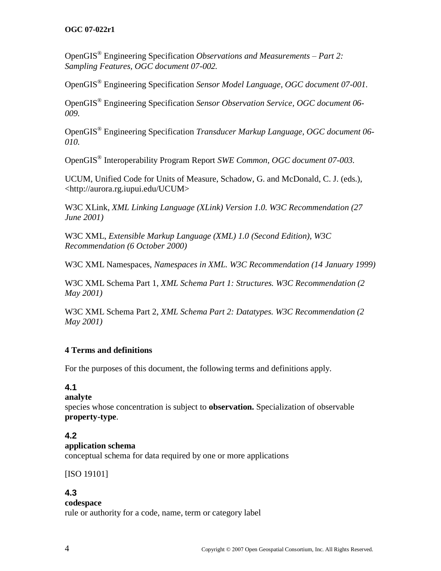## **OGC 07-022r1**

OpenGIS® Engineering Specification *Observations and Measurements – Part 2: Sampling Features, OGC document 07-002.* 

OpenGIS® Engineering Specification *Sensor Model Language, OGC document 07-001.* 

OpenGIS® Engineering Specification *Sensor Observation Service, OGC document 06- 009.* 

OpenGIS® Engineering Specification *Transducer Markup Language, OGC document 06- 010.* 

OpenGIS® Interoperability Program Report *SWE Common, OGC document 07-003.* 

UCUM, Unified Code for Units of Measure, Schadow, G. and McDonald, C. J. (eds.), <http://aurora.rg.iupui.edu/UCUM>

W3C XLink, *XML Linking Language (XLink) Version 1.0. W3C Recommendation (27 June 2001)*

W3C XML, *Extensible Markup Language (XML) 1.0 (Second Edition), W3C Recommendation (6 October 2000)*

W3C XML Namespaces, *Namespaces in XML. W3C Recommendation (14 January 1999)* 

W3C XML Schema Part 1, *XML Schema Part 1: Structures. W3C Recommendation (2 May 2001)* 

W3C XML Schema Part 2, *XML Schema Part 2: Datatypes. W3C Recommendation (2 May 2001)* 

## **4 Terms and definitions**

For the purposes of this document, the following terms and definitions apply.

## **4.1**

**analyte**

species whose concentration is subject to **observation.** Specialization of observable **property-type**.

## **4.2**

## **application schema**

conceptual schema for data required by one or more applications

[ISO 19101]

## **4.3**

## **codespace**

rule or authority for a code, name, term or category label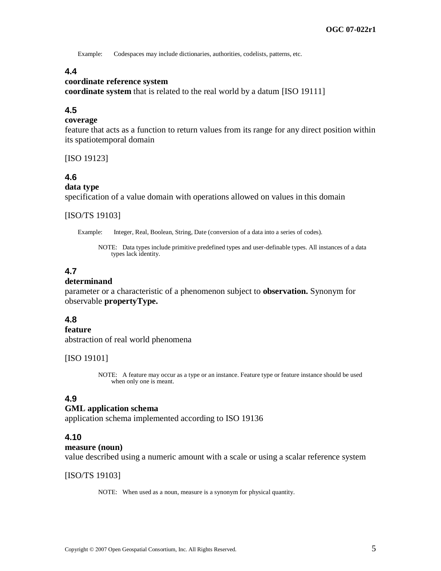Example: Codespaces may include dictionaries, authorities, codelists, patterns, etc.

## **4.4**

#### **coordinate reference system**

**coordinate system** that is related to the real world by a datum [ISO 19111]

## **4.5**

#### **coverage**

feature that acts as a function to return values from its range for any direct position within its spatiotemporal domain

[ISO 19123]

## **4.6**

## **data type**

specification of a value domain with operations allowed on values in this domain

#### [ISO/TS 19103]

Example: Integer, Real, Boolean, String, Date (conversion of a data into a series of codes).

NOTE: Data types include primitive predefined types and user-definable types. All instances of a data types lack identity.

## **4.7**

#### **determinand**

parameter or a characteristic of a phenomenon subject to **observation.** Synonym for observable **propertyType.**

#### **4.8**

#### **feature**

abstraction of real world phenomena

#### [ISO 19101]

NOTE: A feature may occur as a type or an instance. Feature type or feature instance should be used when only one is meant.

#### **4.9**

#### **GML application schema**

application schema implemented according to ISO 19136

#### **4.10**

#### **measure (noun)**

value described using a numeric amount with a scale or using a scalar reference system

#### [ISO/TS 19103]

NOTE: When used as a noun, measure is a synonym for physical quantity.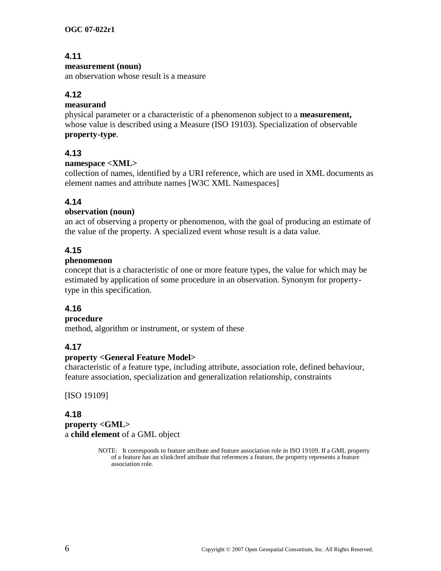## **4.11**

## **measurement (noun)**

an observation whose result is a measure

## **4.12**

## **measurand**

physical parameter or a characteristic of a phenomenon subject to a **measurement,**  whose value is described using a Measure (ISO 19103). Specialization of observable **property-type**.

## **4.13**

## **namespace <XML>**

collection of names, identified by a URI reference, which are used in XML documents as element names and attribute names [W3C XML Namespaces]

## **4.14**

## **observation (noun)**

an act of observing a property or phenomenon, with the goal of producing an estimate of the value of the property. A specialized event whose result is a data value.

## **4.15**

## **phenomenon**

concept that is a characteristic of one or more feature types, the value for which may be estimated by application of some procedure in an observation. Synonym for propertytype in this specification.

## **4.16**

## **procedure**

method, algorithm or instrument, or system of these

## **4.17**

## **property <General Feature Model>**

characteristic of a feature type, including attribute, association role, defined behaviour, feature association, specialization and generalization relationship, constraints

[ISO 19109]

## **4.18 property <GML>** a **child element** of a GML object

NOTE: It corresponds to feature attribute and feature association role in ISO 19109. If a GML property of a feature has an xlink:href attribute that references a feature, the property represents a feature association role.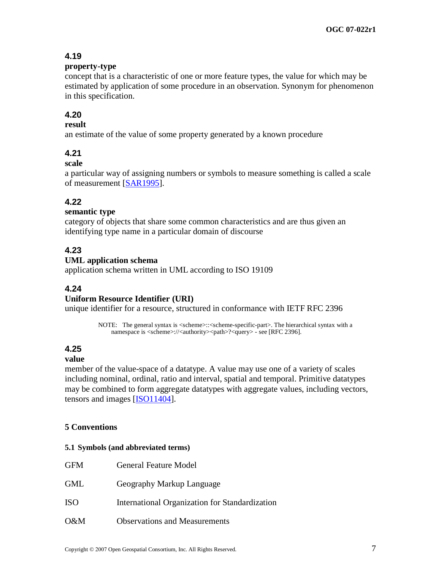## **4.19**

#### **property-type**

concept that is a characteristic of one or more feature types, the value for which may be estimated by application of some procedure in an observation. Synonym for phenomenon in this specification.

## **4.20**

## **result**

an estimate of the value of some property generated by a known procedure

## **4.21**

## **scale**

a particular way of assigning numbers or symbols to measure something is called a scale of measurement [\[SAR1995\]](#page-83-0).

## **4.22**

## **semantic type**

category of objects that share some common characteristics and are thus given an identifying type name in a particular domain of discourse

## **4.23**

## **UML application schema**

application schema written in UML according to ISO 19109

## **4.24**

## **Uniform Resource Identifier (URI)**

unique identifier for a resource, structured in conformance with IETF RFC 2396

NOTE: The general syntax is <scheme>::<scheme-specific-part>. The hierarchical syntax with a namespace is <scheme>://<authority><path>?<query> - see [RFC 2396].

## **4.25**

## **value**

member of the value-space of a datatype. A value may use one of a variety of scales including nominal, ordinal, ratio and interval, spatial and temporal. Primitive datatypes may be combined to form aggregate datatypes with aggregate values, including vectors, tensors and images [ISO11404].

## **5 Conventions**

#### **5.1 Symbols (and abbreviated terms)**

| <b>GFM</b> | <b>General Feature Model</b>                   |
|------------|------------------------------------------------|
| <b>GML</b> | Geography Markup Language                      |
| <b>ISO</b> | International Organization for Standardization |

O&M Observations and Measurements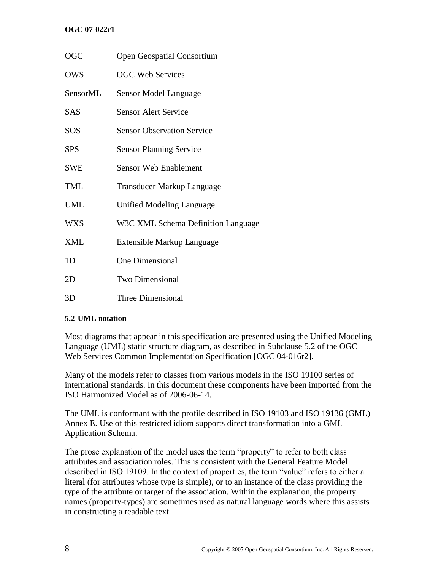## **OGC 07-022r1**

| OGC        | <b>Open Geospatial Consortium</b>  |
|------------|------------------------------------|
| <b>OWS</b> | <b>OGC Web Services</b>            |
| SensorML   | Sensor Model Language              |
| <b>SAS</b> | <b>Sensor Alert Service</b>        |
| SOS        | <b>Sensor Observation Service</b>  |
| <b>SPS</b> | <b>Sensor Planning Service</b>     |
| SWE        | <b>Sensor Web Enablement</b>       |
| TML        | <b>Transducer Markup Language</b>  |
| UML        | Unified Modeling Language          |
| <b>WXS</b> | W3C XML Schema Definition Language |
| XML        | Extensible Markup Language         |
| 1D         | <b>One Dimensional</b>             |
| 2D         | <b>Two Dimensional</b>             |
| 3D         | <b>Three Dimensional</b>           |

## **5.2 UML notation**

Most diagrams that appear in this specification are presented using the Unified Modeling Language (UML) static structure diagram, as described in Subclause 5.2 of the OGC Web Services Common Implementation Specification [OGC 04-016r2].

Many of the models refer to classes from various models in the ISO 19100 series of international standards. In this document these components have been imported from the ISO Harmonized Model as of 2006-06-14.

The UML is conformant with the profile described in ISO 19103 and ISO 19136 (GML) Annex E. Use of this restricted idiom supports direct transformation into a GML Application Schema.

The prose explanation of the model uses the term "property" to refer to both class attributes and association roles. This is consistent with the General Feature Model described in ISO 19109. In the context of properties, the term "value" refers to either a literal (for attributes whose type is simple), or to an instance of the class providing the type of the attribute or target of the association. Within the explanation, the property names (property-types) are sometimes used as natural language words where this assists in constructing a readable text.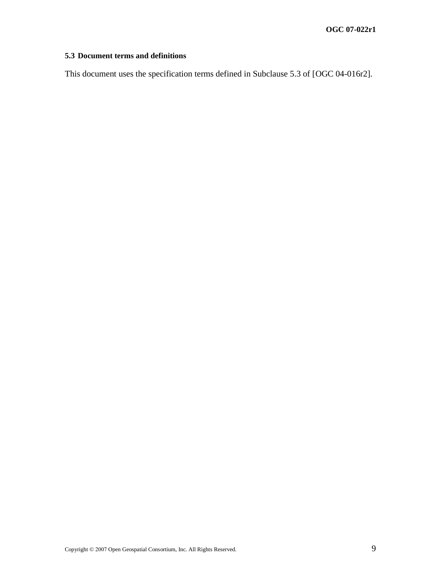## **5.3 Document terms and definitions**

This document uses the specification terms defined in Subclause 5.3 of [OGC 04-016r2].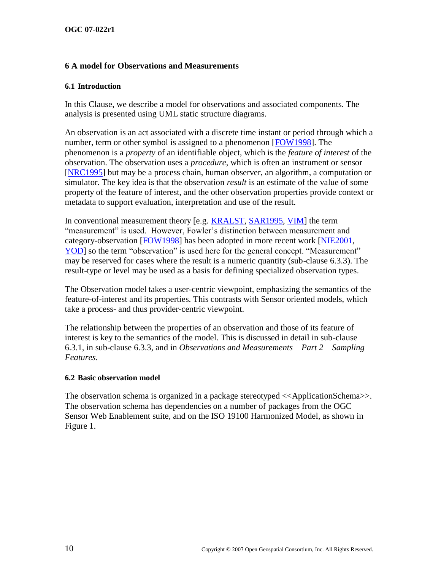## <span id="page-21-0"></span>**6 A model for Observations and Measurements**

#### **6.1 Introduction**

In this Clause, we describe a model for observations and associated components. The analysis is presented using UML static structure diagrams.

An observation is an act associated with a discrete time instant or period through which a number, term or other symbol is assigned to a phenomenon [\[FOW1998\]](#page-83-1). The phenomenon is a *property* of an identifiable object, which is the *feature of interest* of the observation. The observation uses a *procedure*, which is often an instrument or sensor [\[NRC1995\]](#page-83-2) but may be a process chain, human observer, an algorithm, a computation or simulator. The key idea is that the observation *result* is an estimate of the value of some property of the feature of interest, and the other observation properties provide context or metadata to support evaluation, interpretation and use of the result.

In conventional measurement theory [e.g. [K](#page-83-3)RALST, [SAR1995,](#page-83-0) VIM] the term "measurement" is used. However, Fowler's distinction between measurement and category-observation [\[FOW1998\]](#page-83-1) has been adopted in more recent work [\[NIE2001,](#page-83-4) [YOD\]](#page-84-0) so the term "observation" is used here for the general concept. "Measurement" may be reserved for cases where the result is a numeric quantity (sub-clause [6.3.3\)](#page-27-0). The result-type or level may be used as a basis for defining specialized observation types.

The Observation model takes a user-centric viewpoint, emphasizing the semantics of the feature-of-interest and its properties. This contrasts with Sensor oriented models, which take a process- and thus provider-centric viewpoint.

The relationship between the properties of an observation and those of its feature of interest is key to the semantics of the model. This is discussed in detail in sub-clause [6.3.1,](#page-25-0) in sub-clause 6.3.3, and in *Observations and Measurements – Part 2 – Sampling Features*.

## **6.2 Basic observation model**

The observation schema is organized in a package stereotyped  $\langle\langle\text{ApplicationSchema}\rangle\rangle$ . The observation schema has dependencies on a number of packages from the OGC Sensor Web Enablement suite, and on the ISO 19100 Harmonized Model, as shown in [Figure 1.](#page-22-0)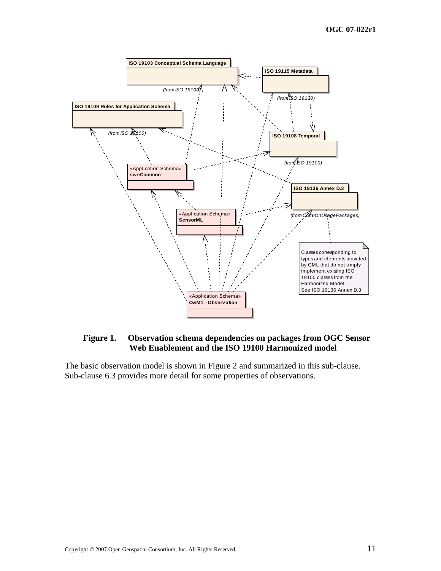

## <span id="page-22-0"></span>**Figure 1. Observation schema dependencies on packages from OGC Sensor Web Enablement and the ISO 19100 Harmonized model**

The basic observation model is shown in [Figure 2](#page-23-0) and summarized in this sub-clause. Sub-clause [6.3](#page-25-1) provides more detail for some properties of observations.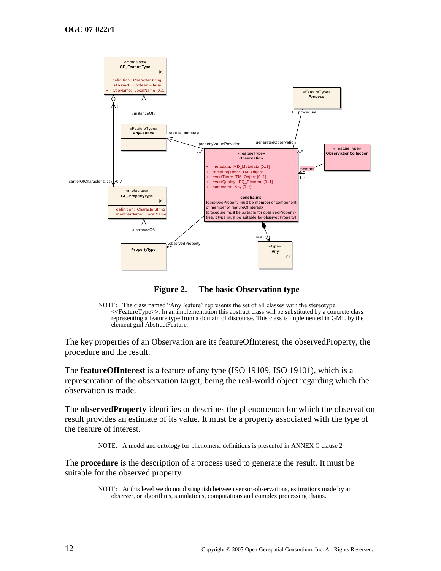

**Figure 2. The basic Observation type**

<span id="page-23-0"></span>

The key properties of an Observation are its featureOfInterest, the observedProperty, the procedure and the result.

The **featureOfInterest** is a feature of any type (ISO 19109, ISO 19101), which is a representation of the observation target, being the real-world object regarding which the observation is made.

The **observedProperty** identifies or describes the phenomenon for which the observation result provides an estimate of its value. It must be a property associated with the type of the feature of interest.

NOTE: A model and ontology for phenomena definitions is presented in [ANNEX C](#page-42-0) clause [2](#page-42-1)

The **procedure** is the description of a process used to generate the result. It must be suitable for the observed property.

> NOTE: At this level we do not distinguish between sensor-observations, estimations made by an observer, or algorithms, simulations, computations and complex processing chains.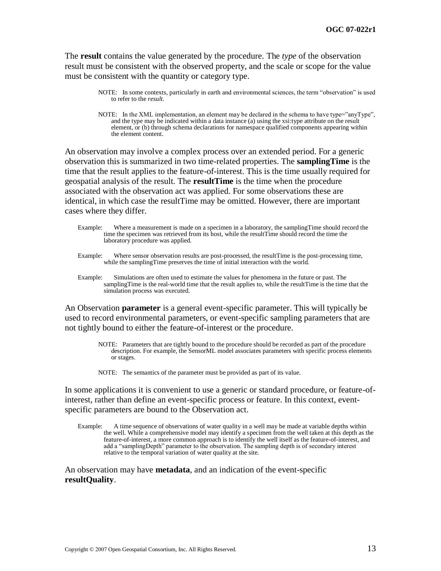The **result** contains the value generated by the procedure. The *type* of the observation result must be consistent with the observed property, and the scale or scope for the value must be consistent with the quantity or category type.

- NOTE: In some contexts, particularly in earth and environmental sciences, the term "observation" is used to refer to the *result*.
- NOTE: In the XML implementation, an element may be declared in the schema to have type="anyType", and the type may be indicated within a data instance (a) using the xsi:type attribute on the result element, or (b) through schema declarations for namespace qualified components appearing within the element content.

An observation may involve a complex process over an extended period. For a generic observation this is summarized in two time-related properties. The **samplingTime** is the time that the result applies to the feature-of-interest. This is the time usually required for geospatial analysis of the result. The **resultTime** is the time when the procedure associated with the observation act was applied. For some observations these are identical, in which case the resultTime may be omitted. However, there are important cases where they differ.

- Example: Where a measurement is made on a specimen in a laboratory, the samplingTime should record the time the specimen was retrieved from its host, while the resultTime should record the time the laboratory procedure was applied.
- Example: Where sensor observation results are post-processed, the resultTime is the post-processing time, while the samplingTime preserves the time of initial interaction with the world.
- Example: Simulations are often used to estimate the values for phenomena in the future or past. The samplingTime is the real-world time that the result applies to, while the resultTime is the time that the simulation process was executed.

An Observation **parameter** is a general event-specific parameter. This will typically be used to record environmental parameters, or event-specific sampling parameters that are not tightly bound to either the feature-of-interest or the procedure.

- NOTE: Parameters that are tightly bound to the procedure should be recorded as part of the procedure description. For example, the SensorML model associates parameters with specific process elements or stages.
- NOTE: The semantics of the parameter must be provided as part of its value.

In some applications it is convenient to use a generic or standard procedure, or feature-ofinterest, rather than define an event-specific process or feature. In this context, eventspecific parameters are bound to the Observation act.

Example: A time sequence of observations of water quality in a well may be made at variable depths within the well. While a comprehensive model may identify a specimen from the well taken at this depth as the feature-of-interest, a more common approach is to identify the well itself as the feature-of-interest, and add a "samplingDepth" parameter to the observation. The sampling depth is of secondary interest relative to the temporal variation of water quality at the site.

An observation may have **metadata**, and an indication of the event-specific **resultQuality**.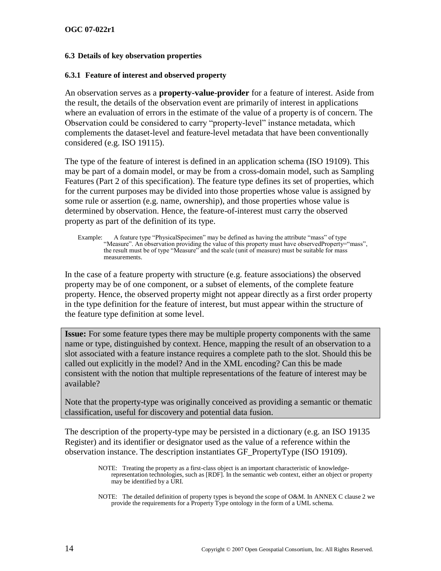#### <span id="page-25-1"></span>**6.3 Details of key observation properties**

#### <span id="page-25-0"></span>**6.3.1 Feature of interest and observed property**

An observation serves as a **property-value-provider** for a feature of interest. Aside from the result, the details of the observation event are primarily of interest in applications where an evaluation of errors in the estimate of the value of a property is of concern. The Observation could be considered to carry "property-level" instance metadata, which complements the dataset-level and feature-level metadata that have been conventionally considered (e.g. ISO 19115).

The type of the feature of interest is defined in an application schema (ISO 19109). This may be part of a domain model, or may be from a cross-domain model, such as Sampling Features (Part 2 of this specification). The feature type defines its set of properties, which for the current purposes may be divided into those properties whose value is assigned by some rule or assertion (e.g. name, ownership), and those properties whose value is determined by observation. Hence, the feature-of-interest must carry the observed property as part of the definition of its type.

Example: A feature type "PhysicalSpecimen" may be defined as having the attribute "mass" of type "Measure". An observation providing the value of this property must have observedProperty= "mass", the result must be of type "Measure" and the scale (unit of measure) must be suitable for mass measurements.

In the case of a feature property with structure (e.g. feature associations) the observed property may be of one component, or a subset of elements, of the complete feature property. Hence, the observed property might not appear directly as a first order property in the type definition for the feature of interest, but must appear within the structure of the feature type definition at some level.

**Issue:** For some feature types there may be multiple property components with the same name or type, distinguished by context. Hence, mapping the result of an observation to a slot associated with a feature instance requires a complete path to the slot. Should this be called out explicitly in the model? And in the XML encoding? Can this be made consistent with the notion that multiple representations of the feature of interest may be available?

Note that the property-type was originally conceived as providing a semantic or thematic classification, useful for discovery and potential data fusion.

The description of the property-type may be persisted in a dictionary (e.g. an ISO 19135 Register) and its identifier or designator used as the value of a reference within the observation instance. The description instantiates GF\_PropertyType (ISO 19109).

NOTE: Treating the property as a first-class object is an important characteristic of knowledgerepresentation technologies, such as [RDF]. In the semantic web context, either an object or property may be identified by a URI.

NOTE: The detailed definition of property types is beyond the scope of O&M. In [ANNEX C](#page-42-0) claus[e 2](#page-42-1) we provide the requirements for a Property Type ontology in the form of a UML schema.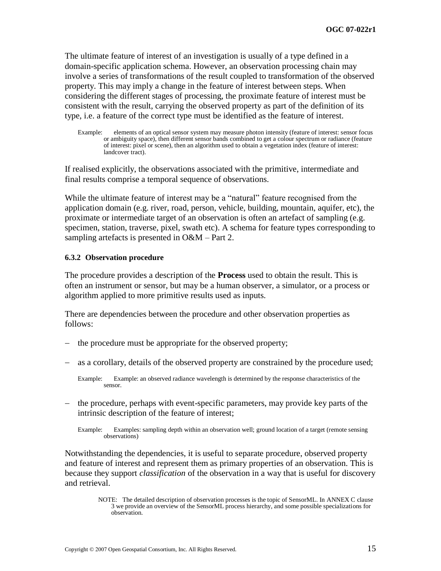The ultimate feature of interest of an investigation is usually of a type defined in a domain-specific application schema. However, an observation processing chain may involve a series of transformations of the result coupled to transformation of the observed property. This may imply a change in the feature of interest between steps. When considering the different stages of processing, the proximate feature of interest must be consistent with the result, carrying the observed property as part of the definition of its type, i.e. a feature of the correct type must be identified as the feature of interest.

Example: elements of an optical sensor system may measure photon intensity (feature of interest: sensor focus or ambiguity space), then different sensor bands combined to get a colour spectrum or radiance (feature of interest: pixel or scene), then an algorithm used to obtain a vegetation index (feature of interest: landcover tract).

If realised explicitly, the observations associated with the primitive, intermediate and final results comprise a temporal sequence of observations.

While the ultimate feature of interest may be a "natural" feature recognised from the application domain (e.g. river, road, person, vehicle, building, mountain, aquifer, etc), the proximate or intermediate target of an observation is often an artefact of sampling (e.g. specimen, station, traverse, pixel, swath etc). A schema for feature types corresponding to sampling artefacts is presented in O&M – Part 2.

#### **6.3.2 Observation procedure**

The procedure provides a description of the **Process** used to obtain the result. This is often an instrument or sensor, but may be a human observer, a simulator, or a process or algorithm applied to more primitive results used as inputs.

There are dependencies between the procedure and other observation properties as follows:

- the procedure must be appropriate for the observed property;
- as a corollary, details of the observed property are constrained by the procedure used;

- the procedure, perhaps with event-specific parameters, may provide key parts of the intrinsic description of the feature of interest;
	- Example: Examples: sampling depth within an observation well; ground location of a target (remote sensing observations)

Notwithstanding the dependencies, it is useful to separate procedure, observed property and feature of interest and represent them as primary properties of an observation. This is because they support *classification* of the observation in a way that is useful for discovery and retrieval.

Example: Example: an observed radiance wavelength is determined by the response characteristics of the sensor.

NOTE: The detailed description of observation processes is the topic of SensorML. I[n ANNEX C](#page-42-0) clause [3](#page-44-0) we provide an overview of the SensorML process hierarchy, and some possible specializations for observation.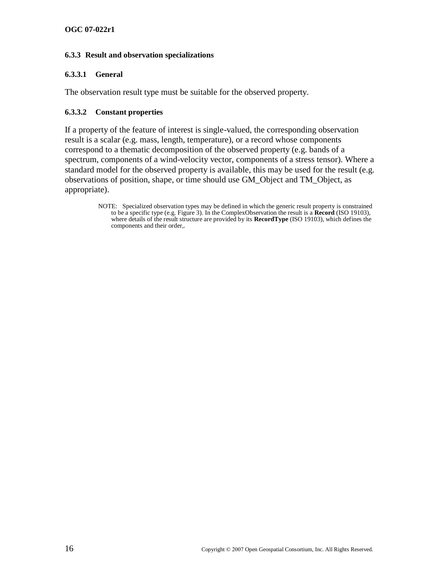## <span id="page-27-0"></span>**6.3.3 Result and observation specializations**

#### **6.3.3.1 General**

The observation result type must be suitable for the observed property.

#### <span id="page-27-1"></span>**6.3.3.2 Constant properties**

If a property of the feature of interest is single-valued, the corresponding observation result is a scalar (e.g. mass, length, temperature), or a record whose components correspond to a thematic decomposition of the observed property (e.g. bands of a spectrum, components of a wind-velocity vector, components of a stress tensor). Where a standard model for the observed property is available, this may be used for the result (e.g. observations of position, shape, or time should use GM\_Object and TM\_Object, as appropriate).

NOTE: Specialized observation types may be defined in which the generic result property is constrained to be a specific type (e.g. [Figure 3\)](#page-28-0). In the ComplexObservation the result is a **Record** (ISO 19103), where details of the result structure are provided by its **RecordType** (ISO 19103), which defines the components and their order,.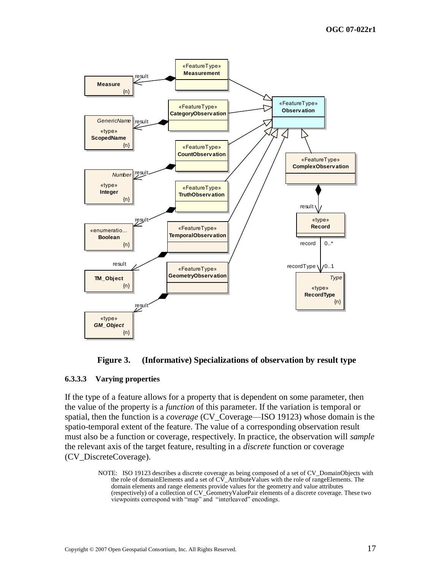



#### <span id="page-28-1"></span><span id="page-28-0"></span>**6.3.3.3 Varying properties**

If the type of a feature allows for a property that is dependent on some parameter, then the value of the property is a *function* of this parameter. If the variation is temporal or spatial, then the function is a *coverage* (CV\_Coverage—ISO 19123) whose domain is the spatio-temporal extent of the feature. The value of a corresponding observation result must also be a function or coverage, respectively. In practice, the observation will *sample* the relevant axis of the target feature, resulting in a *discrete* function or coverage (CV\_DiscreteCoverage).

NOTE: ISO 19123 describes a discrete coverage as being composed of a set of CV\_DomainObjects with the role of domainElements and a set of  $C\bar{V}$ \_AttributeValues with the role of rangeElements. The domain elements and range elements provide values for the geometry and value attributes (respectively) of a collection of CV\_GeometryValuePair elements of a discrete coverage. These two viewpoints correspond with "map" and "interleaved" encodings.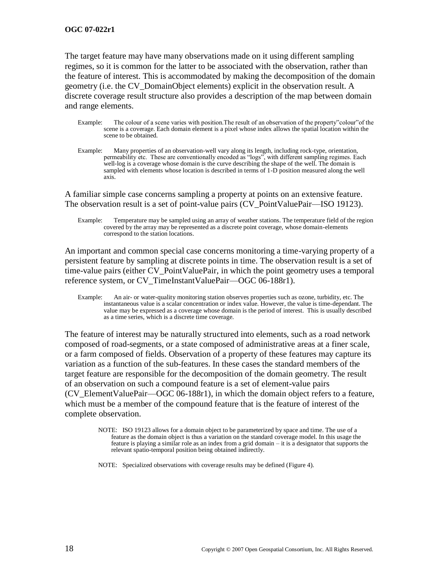#### **OGC 07-022r1**

The target feature may have many observations made on it using different sampling regimes, so it is common for the latter to be associated with the observation, rather than the feature of interest. This is accommodated by making the decomposition of the domain geometry (i.e. the CV\_DomainObject elements) explicit in the observation result. A discrete coverage result structure also provides a description of the map between domain and range elements.

- Example: The colour of a scene varies with position. The result of an observation of the property "colour" of the scene is a coverage. Each domain element is a pixel whose index allows the spatial location within the scene to be obtained.
- Example: Many properties of an observation-well vary along its length, including rock-type, orientation, permeability etc. These are conventionally encoded as "logs", with different sampling regimes. Each well-log is a coverage whose domain is the curve describing the shape of the well. The domain is sampled with elements whose location is described in terms of 1-D position measured along the well axis.

A familiar simple case concerns sampling a property at points on an extensive feature. The observation result is a set of point-value pairs (CV PointValuePair—ISO 19123).

Example: Temperature may be sampled using an array of weather stations. The temperature field of the region covered by the array may be represented as a discrete point coverage, whose domain-elements correspond to the station locations.

An important and common special case concerns monitoring a time-varying property of a persistent feature by sampling at discrete points in time. The observation result is a set of time-value pairs (either CV\_PointValuePair, in which the point geometry uses a temporal reference system, or CV\_TimeInstantValuePair—OGC 06-188r1).

Example: An air- or water-quality monitoring station observes properties such as ozone, turbidity, etc. The instantaneous value is a scalar concentration or index value. However, the value is time-dependant. The value may be expressed as a coverage whose domain is the period of interest. This is usually described as a time series, which is a discrete time coverage.

The feature of interest may be naturally structured into elements, such as a road network composed of road-segments, or a state composed of administrative areas at a finer scale, or a farm composed of fields. Observation of a property of these features may capture its variation as a function of the sub-features. In these cases the standard members of the target feature are responsible for the decomposition of the domain geometry. The result of an observation on such a compound feature is a set of element-value pairs (CV\_ElementValuePair—OGC 06-188r1), in which the domain object refers to a feature, which must be a member of the compound feature that is the feature of interest of the complete observation.

NOTE: ISO 19123 allows for a domain object to be parameterized by space and time. The use of a feature as the domain object is thus a variation on the standard coverage model. In this usage the feature is playing a similar role as an index from a grid domain – it is a designator that supports the relevant spatio-temporal position being obtained indirectly.

NOTE: Specialized observations with coverage results may be defined [\(Figure 4\)](#page-30-0).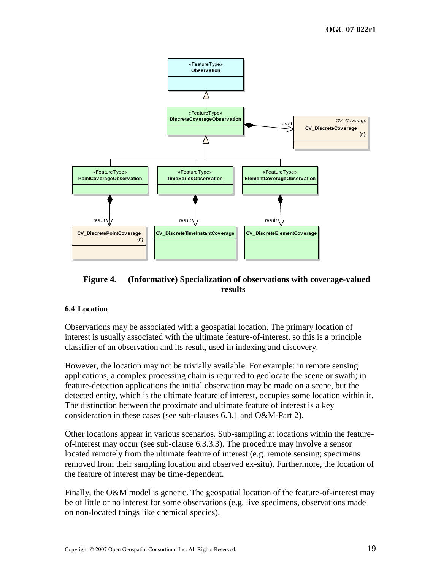

## <span id="page-30-0"></span>**Figure 4. (Informative) Specialization of observations with coverage-valued results**

## **6.4 Location**

Observations may be associated with a geospatial location. The primary location of interest is usually associated with the ultimate feature-of-interest, so this is a principle classifier of an observation and its result, used in indexing and discovery.

However, the location may not be trivially available. For example: in remote sensing applications, a complex processing chain is required to geolocate the scene or swath; in feature-detection applications the initial observation may be made on a scene, but the detected entity, which is the ultimate feature of interest, occupies some location within it. The distinction between the proximate and ultimate feature of interest is a key consideration in these cases (see sub-clauses [6.3.1](#page-25-0) and O&M-Part 2).

Other locations appear in various scenarios. Sub-sampling at locations within the featureof-interest may occur (see sub-clause [6.3.3.3\)](#page-28-1). The procedure may involve a sensor located remotely from the ultimate feature of interest (e.g. remote sensing; specimens removed from their sampling location and observed ex-situ). Furthermore, the location of the feature of interest may be time-dependent.

Finally, the O&M model is generic. The geospatial location of the feature-of-interest may be of little or no interest for some observations (e.g. live specimens, observations made on non-located things like chemical species).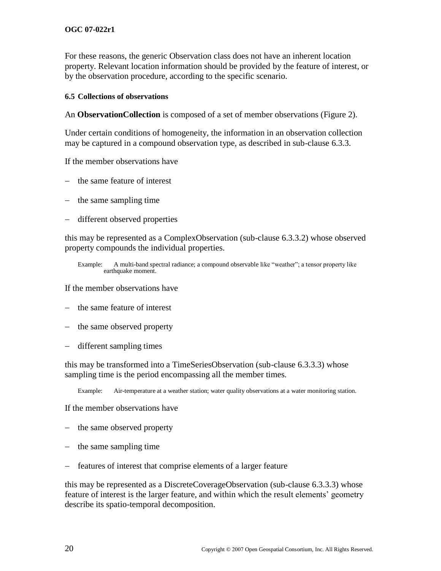For these reasons, the generic Observation class does not have an inherent location property. Relevant location information should be provided by the feature of interest, or by the observation procedure, according to the specific scenario.

#### **6.5 Collections of observations**

An **ObservationCollection** is composed of a set of member observations [\(Figure 2\)](#page-23-0).

Under certain conditions of homogeneity, the information in an observation collection may be captured in a compound observation type, as described in sub-clause [6.3.3.](#page-27-0)

If the member observations have

- the same feature of interest
- $-$  the same sampling time
- different observed properties

this may be represented as a ComplexObservation (sub-clause [6.3.3.2\)](#page-27-1) whose observed property compounds the individual properties.

If the member observations have

- $-$  the same feature of interest
- the same observed property
- different sampling times

this may be transformed into a TimeSeriesObservation (sub-clause [6.3.3.3\)](#page-28-1) whose sampling time is the period encompassing all the member times.

Example: Air-temperature at a weather station; water quality observations at a water monitoring station.

If the member observations have

- the same observed property
- $-$  the same sampling time
- features of interest that comprise elements of a larger feature

this may be represented as a DiscreteCoverageObservation (sub-clause [6.3.3.3\)](#page-28-1) whose feature of interest is the larger feature, and within which the result elements' geometry describe its spatio-temporal decomposition.

Example: A multi-band spectral radiance; a compound observable like "weather"; a tensor property like earthquake moment.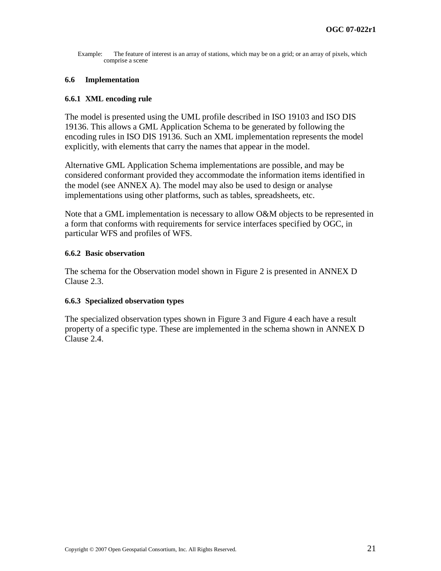Example: The feature of interest is an array of stations, which may be on a grid; or an array of pixels, which comprise a scene

#### **6.6 Implementation**

#### **6.6.1 XML encoding rule**

The model is presented using the UML profile described in ISO 19103 and ISO DIS 19136. This allows a GML Application Schema to be generated by following the encoding rules in ISO DIS 19136. Such an XML implementation represents the model explicitly, with elements that carry the names that appear in the model.

Alternative GML Application Schema implementations are possible, and may be considered conformant provided they accommodate the information items identified in the model (see [ANNEX A\)](#page-38-0). The model may also be used to design or analyse implementations using other platforms, such as tables, spreadsheets, etc.

Note that a GML implementation is necessary to allow O&M objects to be represented in a form that conforms with requirements for service interfaces specified by OGC, in particular WFS and profiles of WFS.

#### **6.6.2 Basic observation**

The schema for the Observation model shown in [Figure 2](#page-23-0) is presented in [ANNEX D](#page-46-0) Clause [2.3.](#page-47-1)

#### **6.6.3 Specialized observation types**

The specialized observation types shown in [Figure 3](#page-28-0) and [Figure 4](#page-30-0) each have a result property of a specific type. These are implemented in the schema shown in [ANNEX D](#page-46-0) Clause [2.4.](#page-50-0)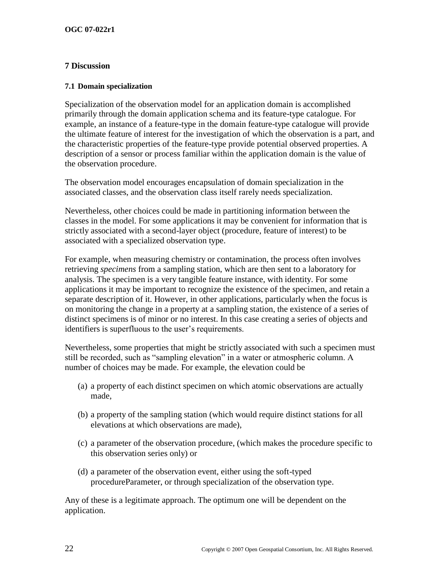## **7 Discussion**

#### **7.1 Domain specialization**

Specialization of the observation model for an application domain is accomplished primarily through the domain application schema and its feature-type catalogue. For example, an instance of a feature-type in the domain feature-type catalogue will provide the ultimate feature of interest for the investigation of which the observation is a part, and the characteristic properties of the feature-type provide potential observed properties. A description of a sensor or process familiar within the application domain is the value of the observation procedure.

The observation model encourages encapsulation of domain specialization in the associated classes, and the observation class itself rarely needs specialization.

Nevertheless, other choices could be made in partitioning information between the classes in the model. For some applications it may be convenient for information that is strictly associated with a second-layer object (procedure, feature of interest) to be associated with a specialized observation type.

For example, when measuring chemistry or contamination, the process often involves retrieving *specimens* from a sampling station, which are then sent to a laboratory for analysis. The specimen is a very tangible feature instance, with identity. For some applications it may be important to recognize the existence of the specimen, and retain a separate description of it. However, in other applications, particularly when the focus is on monitoring the change in a property at a sampling station, the existence of a series of distinct specimens is of minor or no interest. In this case creating a series of objects and identifiers is superfluous to the user's requirements.

Nevertheless, some properties that might be strictly associated with such a specimen must still be recorded, such as "sampling elevation" in a water or atmospheric column. A number of choices may be made. For example, the elevation could be

- (a) a property of each distinct specimen on which atomic observations are actually made,
- (b) a property of the sampling station (which would require distinct stations for all elevations at which observations are made),
- (c) a parameter of the observation procedure, (which makes the procedure specific to this observation series only) or
- (d) a parameter of the observation event, either using the soft-typed procedureParameter, or through specialization of the observation type.

Any of these is a legitimate approach. The optimum one will be dependent on the application.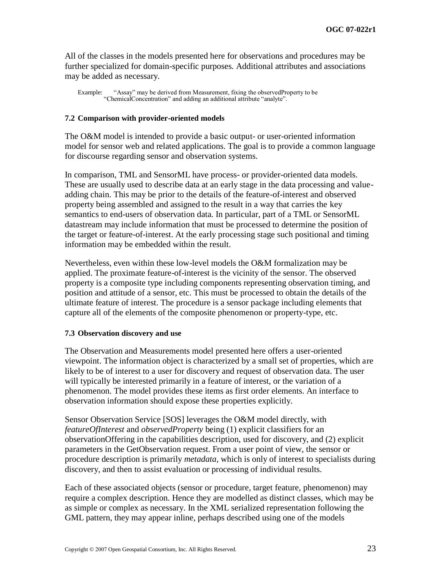All of the classes in the models presented here for observations and procedures may be further specialized for domain-specific purposes. Additional attributes and associations may be added as necessary.

Example: "Assay" may be derived from Measurement, fixing the observedProperty to be "ChemicalConcentration" and adding an additional attribute "analyte".

#### **7.2 Comparison with provider-oriented models**

The O&M model is intended to provide a basic output- or user-oriented information model for sensor web and related applications. The goal is to provide a common language for discourse regarding sensor and observation systems.

In comparison, TML and SensorML have process- or provider-oriented data models. These are usually used to describe data at an early stage in the data processing and valueadding chain. This may be prior to the details of the feature-of-interest and observed property being assembled and assigned to the result in a way that carries the key semantics to end-users of observation data. In particular, part of a TML or SensorML datastream may include information that must be processed to determine the position of the target or feature-of-interest. At the early processing stage such positional and timing information may be embedded within the result.

Nevertheless, even within these low-level models the O&M formalization may be applied. The proximate feature-of-interest is the vicinity of the sensor. The observed property is a composite type including components representing observation timing, and position and attitude of a sensor, etc. This must be processed to obtain the details of the ultimate feature of interest. The procedure is a sensor package including elements that capture all of the elements of the composite phenomenon or property-type, etc.

#### **7.3 Observation discovery and use**

The Observation and Measurements model presented here offers a user-oriented viewpoint. The information object is characterized by a small set of properties, which are likely to be of interest to a user for discovery and request of observation data. The user will typically be interested primarily in a feature of interest, or the variation of a phenomenon. The model provides these items as first order elements. An interface to observation information should expose these properties explicitly.

Sensor Observation Service [SOS] leverages the O&M model directly, with *featureOfInterest* and *observedProperty* being (1) explicit classifiers for an observationOffering in the capabilities description, used for discovery, and (2) explicit parameters in the GetObservation request. From a user point of view, the sensor or procedure description is primarily *metadata*, which is only of interest to specialists during discovery, and then to assist evaluation or processing of individual results.

Each of these associated objects (sensor or procedure, target feature, phenomenon) may require a complex description. Hence they are modelled as distinct classes, which may be as simple or complex as necessary. In the XML serialized representation following the GML pattern, they may appear inline, perhaps described using one of the models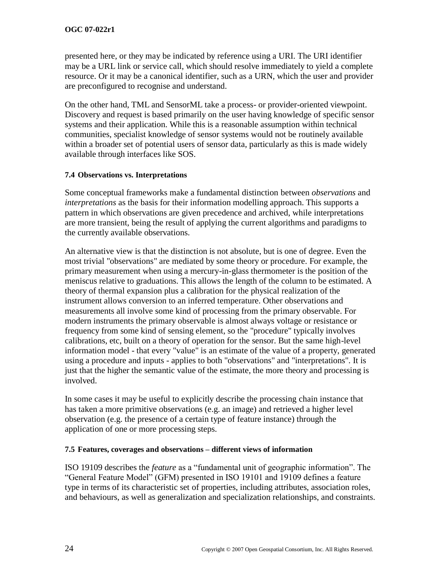presented here, or they may be indicated by reference using a URI. The URI identifier may be a URL link or service call, which should resolve immediately to yield a complete resource. Or it may be a canonical identifier, such as a URN, which the user and provider are preconfigured to recognise and understand.

On the other hand, TML and SensorML take a process- or provider-oriented viewpoint. Discovery and request is based primarily on the user having knowledge of specific sensor systems and their application. While this is a reasonable assumption within technical communities, specialist knowledge of sensor systems would not be routinely available within a broader set of potential users of sensor data, particularly as this is made widely available through interfaces like SOS.

## **7.4 Observations vs. Interpretations**

Some conceptual frameworks make a fundamental distinction between *observations* and *interpretations* as the basis for their information modelling approach. This supports a pattern in which observations are given precedence and archived, while interpretations are more transient, being the result of applying the current algorithms and paradigms to the currently available observations.

An alternative view is that the distinction is not absolute, but is one of degree. Even the most trivial "observations" are mediated by some theory or procedure. For example, the primary measurement when using a mercury-in-glass thermometer is the position of the meniscus relative to graduations. This allows the length of the column to be estimated. A theory of thermal expansion plus a calibration for the physical realization of the instrument allows conversion to an inferred temperature. Other observations and measurements all involve some kind of processing from the primary observable. For modern instruments the primary observable is almost always voltage or resistance or frequency from some kind of sensing element, so the "procedure" typically involves calibrations, etc, built on a theory of operation for the sensor. But the same high-level information model - that every "value" is an estimate of the value of a property, generated using a procedure and inputs - applies to both "observations" and "interpretations". It is just that the higher the semantic value of the estimate, the more theory and processing is involved.

In some cases it may be useful to explicitly describe the processing chain instance that has taken a more primitive observations (e.g. an image) and retrieved a higher level observation (e.g. the presence of a certain type of feature instance) through the application of one or more processing steps.

## **7.5 Features, coverages and observations – different views of information**

ISO 19109 describes the *feature* as a "fundamental unit of geographic information". The ―General Feature Model‖ (GFM) presented in ISO 19101 and 19109 defines a feature type in terms of its characteristic set of properties, including attributes, association roles, and behaviours, as well as generalization and specialization relationships, and constraints.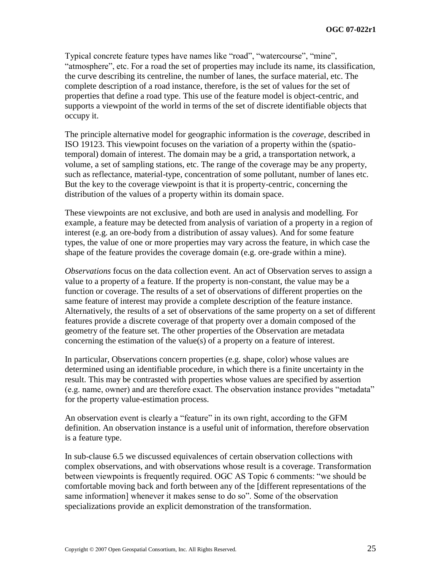Typical concrete feature types have names like "road", "watercourse", "mine", "atmosphere", etc. For a road the set of properties may include its name, its classification, the curve describing its centreline, the number of lanes, the surface material, etc. The complete description of a road instance, therefore, is the set of values for the set of properties that define a road type. This use of the feature model is object-centric, and supports a viewpoint of the world in terms of the set of discrete identifiable objects that occupy it.

The principle alternative model for geographic information is the *coverage*, described in ISO 19123. This viewpoint focuses on the variation of a property within the (spatiotemporal) domain of interest. The domain may be a grid, a transportation network, a volume, a set of sampling stations, etc. The range of the coverage may be any property, such as reflectance, material-type, concentration of some pollutant, number of lanes etc. But the key to the coverage viewpoint is that it is property-centric, concerning the distribution of the values of a property within its domain space.

These viewpoints are not exclusive, and both are used in analysis and modelling. For example, a feature may be detected from analysis of variation of a property in a region of interest (e.g. an ore-body from a distribution of assay values). And for some feature types, the value of one or more properties may vary across the feature, in which case the shape of the feature provides the coverage domain (e.g. ore-grade within a mine).

*Observations* focus on the data collection event. An act of Observation serves to assign a value to a property of a feature. If the property is non-constant, the value may be a function or coverage. The results of a set of observations of different properties on the same feature of interest may provide a complete description of the feature instance. Alternatively, the results of a set of observations of the same property on a set of different features provide a discrete coverage of that property over a domain composed of the geometry of the feature set. The other properties of the Observation are metadata concerning the estimation of the value(s) of a property on a feature of interest.

In particular, Observations concern properties (e.g. shape, color) whose values are determined using an identifiable procedure, in which there is a finite uncertainty in the result. This may be contrasted with properties whose values are specified by assertion (e.g. name, owner) and are therefore exact. The observation instance provides "metadata" for the property value-estimation process.

An observation event is clearly a "feature" in its own right, according to the GFM definition. An observation instance is a useful unit of information, therefore observation is a feature type.

In sub-clause [6.5](#page-31-0) we discussed equivalences of certain observation collections with complex observations, and with observations whose result is a coverage. Transformation between viewpoints is frequently required. OGC AS Topic 6 comments: "we should be comfortable moving back and forth between any of the [different representations of the same information] whenever it makes sense to do so". Some of the observation specializations provide an explicit demonstration of the transformation.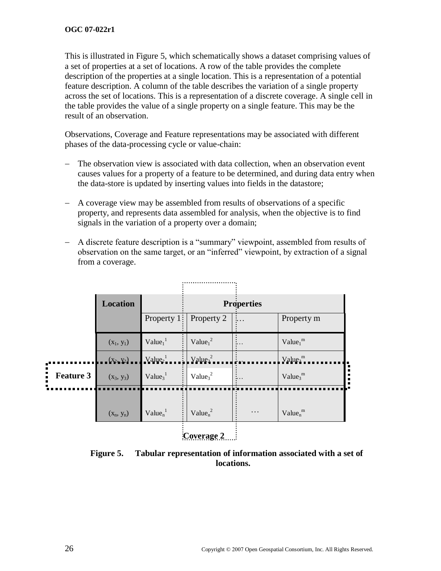This is illustrated in [Figure 5,](#page-37-0) which schematically shows a dataset comprising values of a set of properties at a set of locations. A row of the table provides the complete description of the properties at a single location. This is a representation of a potential feature description. A column of the table describes the variation of a single property across the set of locations. This is a representation of a discrete coverage. A single cell in the table provides the value of a single property on a single feature. This may be the result of an observation.

Observations, Coverage and Feature representations may be associated with different phases of the data-processing cycle or value-chain:

- The observation view is associated with data collection, when an observation event causes values for a property of a feature to be determined, and during data entry when the data-store is updated by inserting values into fields in the datastore;
- A coverage view may be assembled from results of observations of a specific property, and represents data assembled for analysis, when the objective is to find signals in the variation of a property over a domain;
- A discrete feature description is a "summary" viewpoint, assembled from results of observation on the same target, or an "inferred" viewpoint, by extraction of a signal from a coverage.

|                  | <b>Location</b> | <b>Properties</b>               |                                 |   |                                 |
|------------------|-----------------|---------------------------------|---------------------------------|---|---------------------------------|
|                  |                 | Property $1:$                   | Property 2                      |   | Property m                      |
|                  | $(x_1, y_1)$    | $Value_1^1$                     | Value $1^2$                     |   | Value <sub>1</sub> <sup>m</sup> |
|                  | $(X_2, Y_2)$    | Value <sub>2</sub> <sup>1</sup> | Value <sub>2</sub> <sup>2</sup> |   | Value <sub>2</sub> <sup>m</sup> |
| <b>Feature 3</b> | $(x_3, y_3)$    | $Value_3^1$                     | Value <sub>3</sub> <sup>2</sup> |   | $Value_3^m$                     |
|                  |                 |                                 |                                 |   |                                 |
|                  | $(x_n, y_n)$    | Value <sub>n</sub> <sup>1</sup> | Value $n^2$                     | . | Value $n^m$                     |

**Coverage 2**

<span id="page-37-0"></span>**Figure 5. Tabular representation of information associated with a set of locations.**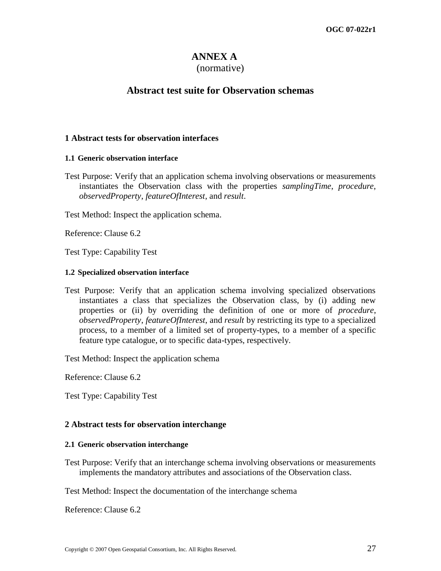## **ANNEX A**

## (normative)

## **Abstract test suite for Observation schemas**

## **1 Abstract tests for observation interfaces**

## **1.1 Generic observation interface**

Test Purpose: Verify that an application schema involving observations or measurements instantiates the Observation class with the properties *samplingTime*, *procedure*, *observedProperty*, *featureOfInterest*, and *result*.

Test Method: Inspect the application schema.

Reference: Clause 6.2

Test Type: Capability Test

## **1.2 Specialized observation interface**

Test Purpose: Verify that an application schema involving specialized observations instantiates a class that specializes the Observation class, by (i) adding new properties or (ii) by overriding the definition of one or more of *procedure*, *observedProperty*, *featureOfInterest*, and *result* by restricting its type to a specialized process, to a member of a limited set of property-types, to a member of a specific feature type catalogue, or to specific data-types, respectively.

Test Method: Inspect the application schema

Reference: Clause 6.2

Test Type: Capability Test

## **2 Abstract tests for observation interchange**

## **2.1 Generic observation interchange**

Test Purpose: Verify that an interchange schema involving observations or measurements implements the mandatory attributes and associations of the Observation class.

Test Method: Inspect the documentation of the interchange schema

Reference: Clause 6.2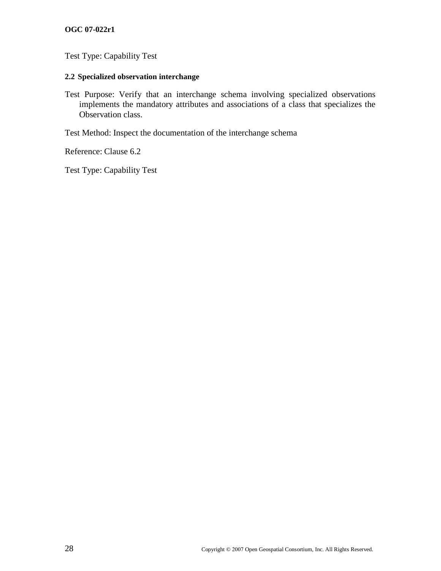## **OGC 07-022r1**

Test Type: Capability Test

## **2.2 Specialized observation interchange**

Test Purpose: Verify that an interchange schema involving specialized observations implements the mandatory attributes and associations of a class that specializes the Observation class.

Test Method: Inspect the documentation of the interchange schema

Reference: Clause 6.2

Test Type: Capability Test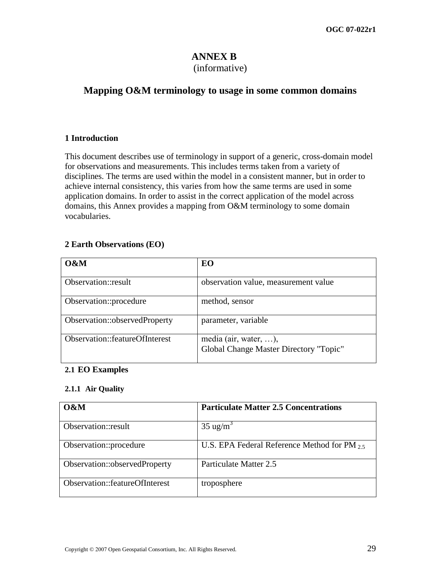# **ANNEX B**

## (informative)

## **Mapping O&M terminology to usage in some common domains**

## **1 Introduction**

This document describes use of terminology in support of a generic, cross-domain model for observations and measurements. This includes terms taken from a variety of disciplines. The terms are used within the model in a consistent manner, but in order to achieve internal consistency, this varies from how the same terms are used in some application domains. In order to assist in the correct application of the model across domains, this Annex provides a mapping from O&M terminology to some domain vocabularies.

## **2 Earth Observations (EO)**

| $0\&M$                         | EO                                                              |
|--------------------------------|-----------------------------------------------------------------|
| Observation::result            | observation value, measurement value                            |
| Observation::procedure         | method, sensor                                                  |
| Observation::observedProperty  | parameter, variable                                             |
| Observation::featureOfInterest | media (air, water, ),<br>Global Change Master Directory "Topic" |

## **2.1 EO Examples**

## **2.1.1 Air Quality**

| $\alpha$ M                     | <b>Particulate Matter 2.5 Concentrations</b>      |
|--------------------------------|---------------------------------------------------|
| Observation::result            | $35 \text{ ug/m}^3$                               |
| Observation::procedure         | U.S. EPA Federal Reference Method for PM $_{2.5}$ |
| Observation::observedProperty  | Particulate Matter 2.5                            |
| Observation::featureOfInterest | troposphere                                       |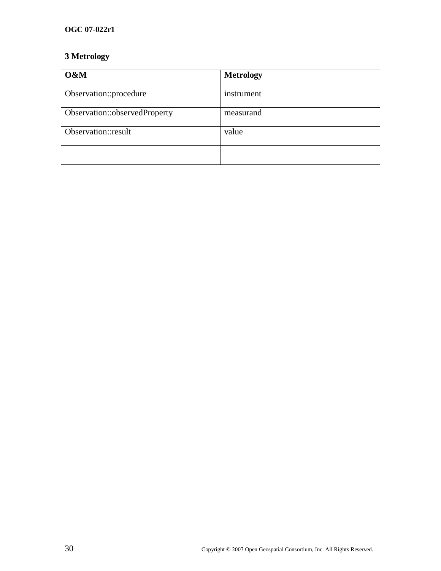## **OGC 07-022r1**

## **3 Metrology**

| O&M                           | <b>Metrology</b> |
|-------------------------------|------------------|
| Observation::procedure        | instrument       |
| Observation::observedProperty | measurand        |
| Observation::result           | value            |
|                               |                  |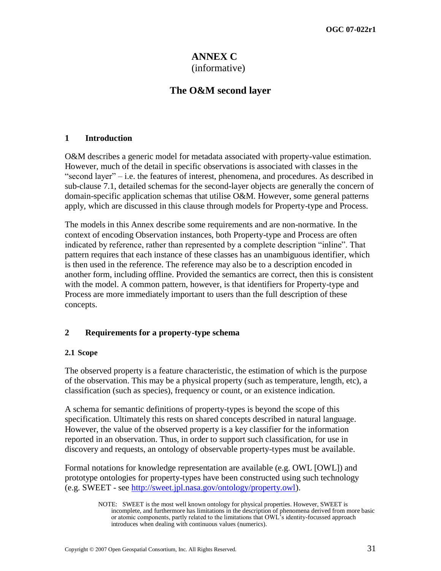## **ANNEX C** (informative)

## **The O&M second layer**

## **1 Introduction**

O&M describes a generic model for metadata associated with property-value estimation. However, much of the detail in specific observations is associated with classes in the ―second layer‖ – i.e. the features of interest, phenomena, and procedures. As described in sub-clause [7.1,](#page-33-0) detailed schemas for the second-layer objects are generally the concern of domain-specific application schemas that utilise O&M. However, some general patterns apply, which are discussed in this clause through models for Property-type and Process.

The models in this Annex describe some requirements and are non-normative. In the context of encoding Observation instances, both Property-type and Process are often indicated by reference, rather than represented by a complete description "inline". That pattern requires that each instance of these classes has an unambiguous identifier, which is then used in the reference. The reference may also be to a description encoded in another form, including offline. Provided the semantics are correct, then this is consistent with the model. A common pattern, however, is that identifiers for Property-type and Process are more immediately important to users than the full description of these concepts.

## **2 Requirements for a property-type schema**

## **2.1 Scope**

The observed property is a feature characteristic, the estimation of which is the purpose of the observation. This may be a physical property (such as temperature, length, etc), a classification (such as species), frequency or count, or an existence indication.

A schema for semantic definitions of property-types is beyond the scope of this specification. Ultimately this rests on shared concepts described in natural language. However, the value of the observed property is a key classifier for the information reported in an observation. Thus, in order to support such classification, for use in discovery and requests, an ontology of observable property-types must be available.

Formal notations for knowledge representation are available (e.g. OWL [OWL]) and prototype ontologies for property-types have been constructed using such technology (e.g. SWEET - see [http://sweet.jpl.nasa.gov/ontology/property.owl\)](http://sweet.jpl.nasa.gov/ontology/property.owl).

NOTE: SWEET is the most well known ontology for physical properties. However, SWEET is incomplete, and furthermore has limitations in the description of phenomena derived from more basic or atomic components, partly related to the limitations that OWL's identity-focussed approach introduces when dealing with continuous values (numerics).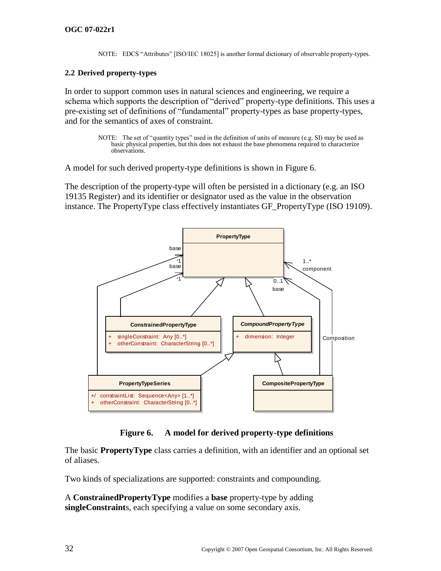NOTE: EDCS "Attributes" [ISO/IEC 18025] is another formal dictionary of observable property-types.

## **2.2 Derived property-types**

In order to support common uses in natural sciences and engineering, we require a schema which supports the description of "derived" property-type definitions. This uses a pre-existing set of definitions of "fundamental" property-types as base property-types, and for the semantics of axes of constraint.

> NOTE: The set of "quantity types" used in the definition of units of measure (e.g. SI) may be used as basic physical properties, but this does not exhaust the base phenomena required to characterize observations.

A model for such derived property-type definitions is shown in [Figure 6.](#page-43-0)

The description of the property-type will often be persisted in a dictionary (e.g. an ISO 19135 Register) and its identifier or designator used as the value in the observation instance. The PropertyType class effectively instantiates GF\_PropertyType (ISO 19109).



## **Figure 6. A model for derived property-type definitions**

<span id="page-43-0"></span>The basic **PropertyType** class carries a definition, with an identifier and an optional set of aliases.

Two kinds of specializations are supported: constraints and compounding.

A **ConstrainedPropertyType** modifies a **base** property-type by adding **singleConstraint**s, each specifying a value on some secondary axis.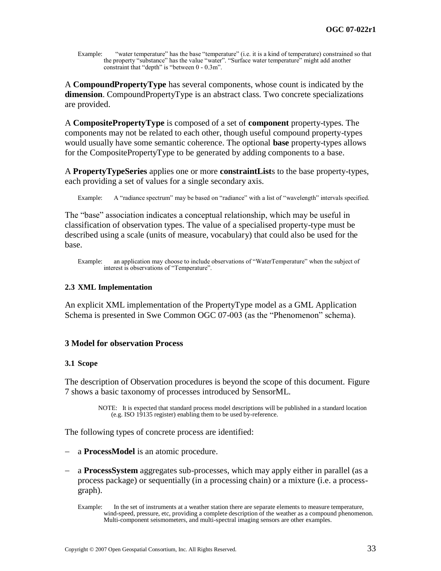Example: "water temperature" has the base "temperature" (i.e. it is a kind of temperature) constrained so that the property "substance" has the value "water". "Surface water temperature" might add another constraint that "depth" is "between  $0 - 0.3$ m".

A **CompoundPropertyType** has several components, whose count is indicated by the **dimension**. CompoundPropertyType is an abstract class. Two concrete specializations are provided.

A **CompositePropertyType** is composed of a set of **component** property-types. The components may not be related to each other, though useful compound property-types would usually have some semantic coherence. The optional **base** property-types allows for the CompositePropertyType to be generated by adding components to a base.

A **PropertyTypeSeries** applies one or more **constraintList**s to the base property-types, each providing a set of values for a single secondary axis.

Example: A "radiance spectrum" may be based on "radiance" with a list of "wavelength" intervals specified.

The "base" association indicates a conceptual relationship, which may be useful in classification of observation types. The value of a specialised property-type must be described using a scale (units of measure, vocabulary) that could also be used for the base.

## **2.3 XML Implementation**

An explicit XML implementation of the PropertyType model as a GML Application Schema is presented in Swe Common OGC 07-003 (as the "Phenomenon" schema).

## **3 Model for observation Process**

#### **3.1 Scope**

The description of Observation procedures is beyond the scope of this document. [Figure](#page-45-0)  [7](#page-45-0) shows a basic taxonomy of processes introduced by SensorML.

> NOTE: It is expected that standard process model descriptions will be published in a standard location (e.g. ISO 19135 register) enabling them to be used by-reference.

The following types of concrete process are identified:

- a **ProcessModel** is an atomic procedure.
- a **ProcessSystem** aggregates sub-processes, which may apply either in parallel (as a process package) or sequentially (in a processing chain) or a mixture (i.e. a processgraph).

Example: an application may choose to include observations of "WaterTemperature" when the subject of interest is observations of "Temperature".

Example: In the set of instruments at a weather station there are separate elements to measure temperature, wind-speed, pressure, etc, providing a complete description of the weather as a compound phenomenon. Multi-component seismometers, and multi-spectral imaging sensors are other examples.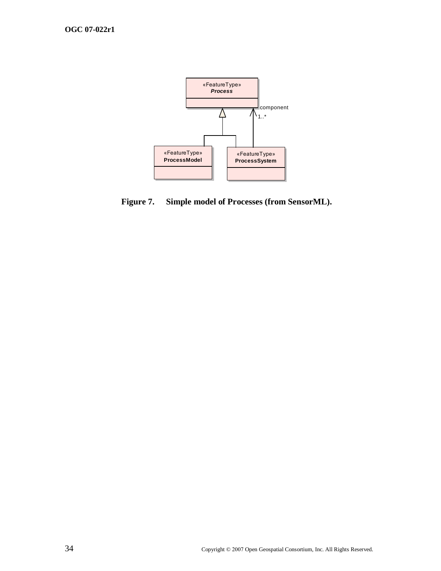

<span id="page-45-0"></span>**Figure 7. Simple model of Processes (from SensorML).**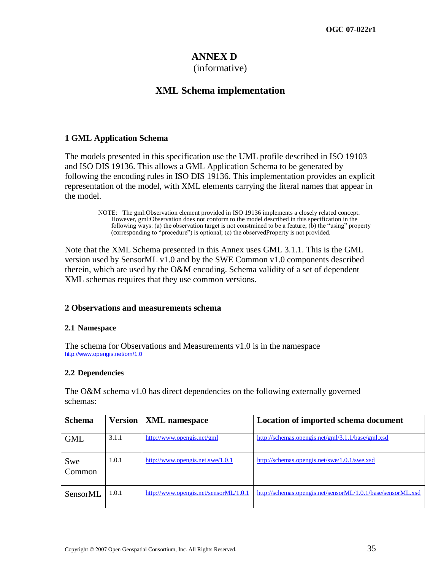## **ANNEX D**

## (informative)

## **XML Schema implementation**

## <span id="page-46-0"></span>**1 GML Application Schema**

The models presented in this specification use the UML profile described in ISO 19103 and ISO DIS 19136. This allows a GML Application Schema to be generated by following the encoding rules in ISO DIS 19136. This implementation provides an explicit representation of the model, with XML elements carrying the literal names that appear in the model.

> NOTE: The gml:Observation element provided in ISO 19136 implements a closely related concept. However, gml:Observation does not conform to the model described in this specification in the following ways: (a) the observation target is not constrained to be a feature; (b) the "using" property (corresponding to "procedure") is optional; (c) the observedProperty is not provided.

Note that the XML Schema presented in this Annex uses GML 3.1.1. This is the GML version used by SensorML v1.0 and by the SWE Common v1.0 components described therein, which are used by the O&M encoding. Schema validity of a set of dependent XML schemas requires that they use common versions.

## **2 Observations and measurements schema**

## **2.1 Namespace**

The schema for Observations and Measurements v1.0 is in the namespace <http://www.opengis.net/om/1.0>

## **2.2 Dependencies**

The O&M schema v1.0 has direct dependencies on the following externally governed schemas:

| <b>Schema</b> | <b>Version</b> | <b>XML</b> namespace                  | Location of imported schema document                        |
|---------------|----------------|---------------------------------------|-------------------------------------------------------------|
| <b>GML</b>    | 3.1.1          | http://www.opengis.net/gml            | http://schemas.opengis.net/gml/3.1.1/base/gml.xsd           |
| Swe<br>Common | 1.0.1          | http://www.opengis.net.swe/1.0.1      | http://schemas.opengis.net/swe/1.0.1/swe.xsd                |
| SensorML      | 1.0.1          | http://www.opengis.net/sensorML/1.0.1 | http://schemas.opengis.net/sensorML/1.0.1/base/sensorML.xsd |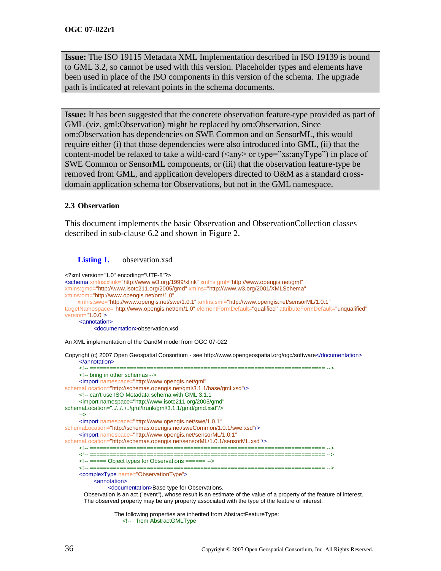**Issue:** The ISO 19115 Metadata XML Implementation described in ISO 19139 is bound to GML 3.2, so cannot be used with this version. Placeholder types and elements have been used in place of the ISO components in this version of the schema. The upgrade path is indicated at relevant points in the schema documents.

**Issue:** It has been suggested that the concrete observation feature-type provided as part of GML (viz. gml:Observation) might be replaced by om:Observation. Since om:Observation has dependencies on SWE Common and on SensorML, this would require either (i) that those dependencies were also introduced into GML, (ii) that the content-model be relaxed to take a wild-card  $(\langle \text{any} \rangle \text{ or type} = \text{"xs:anyType"}$  in place of SWE Common or SensorML components, or (iii) that the observation feature-type be removed from GML, and application developers directed to O&M as a standard crossdomain application schema for Observations, but not in the GML namespace.

#### **2.3 Observation**

This document implements the basic Observation and ObservationCollection classes described in sub-clause [6.2](#page-21-0) and shown in [Figure 2.](#page-23-0)

#### **Listing 1.** observation.xsd

```
<?xml version="1.0" encoding="UTF-8"?>
<schema xmlns:xlink="http://www.w3.org/1999/xlink" xmlns:gml="http://www.opengis.net/gml"
xmlns:gmd="http://www.isotc211.org/2005/gmd" xmlns="http://www.w3.org/2001/XMLSchema"
xmlns:om="http://www.opengis.net/om/1.0"
     xmlns:swe="http://www.opengis.net/swe/1.0.1" xmlns:sml="http://www.opengis.net/sensorML/1.0.1"
targetNamespace="http://www.opengis.net/om/1.0" elementFormDefault="qualified" attributeFormDefault="unqualified"
version="1.0.0">
     <annotation>
          <documentation>observation.xsd
An XML implementation of the OandM model from OGC 07-022
Copyright (c) 2007 Open Geospatial Consortium - see http://www.opengeospatial.org/ogc/software</documentation>
     </annotation>
     <!-- ====================================================================== -->
     <!-- bring in other schemas -->
     <import namespace="http://www.opengis.net/gml"
schemaLocation="http://schemas.opengis.net/gml/3.1.1/base/gml.xsd"/>
     <!-- can't use ISO Metadata schema with GML 3.1.1
     <import namespace="http://www.isotc211.org/2005/gmd" 
schemaLocation="../../../../gml/trunk/gml/3.1.1/gmd/gmd.xsd"/>
     -->
     <import namespace="http://www.opengis.net/swe/1.0.1"
schemaLocation="http://schemas.opengis.net/sweCommon/1.0.1/swe.xsd"/>
     <import namespace="http://www.opengis.net/sensorML/1.0.1"
schemaLocation="http://schemas.opengis.net/sensorML/1.0.1/sensorML.xsd"/>
     <!-- ====================================================================== -->
     <!-- ====================================================================== -->
     <!-- ===== Object types for Observations ====== -->
     <!-- ====================================================================== -->
     <complexType name="ObservationType">
          <annotation>
               <documentation>Base type for Observations. 
       Observation is an act ("event"), whose result is an estimate of the value of a property of the feature of interest. 
        The observed property may be any property associated with the type of the feature of interest.
```
The following properties are inherited from AbstractFeatureType: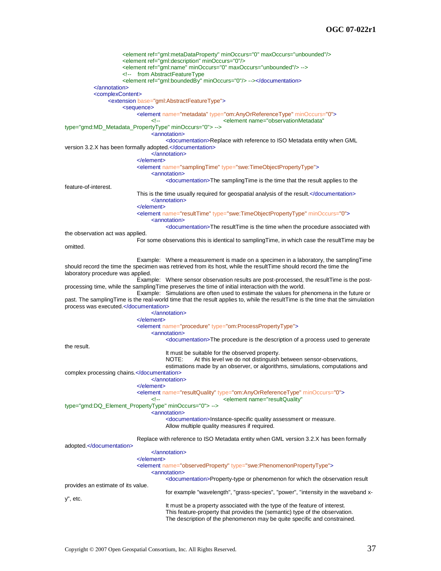<element ref="gml:metaDataProperty" minOccurs="0" maxOccurs="unbounded"/> <element ref="gml:description" minOccurs="0"/> <element ref="gml:name" minOccurs="0" maxOccurs="unbounded"/> --> <!-- from AbstractFeatureType <element ref="gml:boundedBy" minOccurs="0"/> --></documentation> </annotation> <complexContent> <extension base="gml:AbstractFeatureType"> <sequence> <element name="metadata" type="om:AnyOrReferenceType" minOccurs="0"> <element name="observationMetadata" type="gmd:MD\_Metadata\_PropertyType" minOccurs="0"> --> <annotation> <documentation>Replace with reference to ISO Metadata entity when GML version 3.2.X has been formally adopted.</documentation> </annotation> </element> <element name="samplingTime" type="swe:TimeObjectPropertyType"> <annotation> <documentation>The samplingTime is the time that the result applies to the feature-of-interest. This is the time usually required for geospatial analysis of the result.</documentation> </annotation> </element> <element name="resultTime" type="swe:TimeObjectPropertyType" minOccurs="0"> <annotation> <documentation>The resultTime is the time when the procedure associated with the observation act was applied. For some observations this is identical to samplingTime, in which case the resultTime may be omitted. Example: Where a measurement is made on a specimen in a laboratory, the samplingTime should record the time the specimen was retrieved from its host, while the resultTime should record the time the laboratory procedure was applied. Example: Where sensor observation results are post-processed, the resultTime is the postprocessing time, while the samplingTime preserves the time of initial interaction with the world. Example: Simulations are often used to estimate the values for phenomena in the future or past. The samplingTime is the real-world time that the result applies to, while the resultTime is the time that the simulation process was executed.</documentation> </annotation> </element> <element name="procedure" type="om:ProcessPropertyType"> <annotation> <documentation>The procedure is the description of a process used to generate the result. It must be suitable for the observed property. NOTE: At this level we do not distinguish between sensor-observations, estimations made by an observer, or algorithms, simulations, computations and complex processing chains.</documentation> </annotation> </element> <element name="resultQuality" type="om:AnyOrReferenceType" minOccurs="0"> <element name="resultQuality" type="gmd:DQ\_Element\_PropertyType" minOccurs="0"> --> <annotation> <documentation>Instance-specific quality assessment or measure. Allow multiple quality measures if required. Replace with reference to ISO Metadata entity when GML version 3.2.X has been formally adopted.</documentation> </annotation> </element> <element name="observedProperty" type="swe:PhenomenonPropertyType"> <annotation> <documentation>Property-type or phenomenon for which the observation result provides an estimate of its value. for example "wavelength", "grass-species", "power", "intensity in the waveband xy", etc. It must be a property associated with the type of the feature of interest. This feature-property that provides the (semantic) type of the observation. The description of the phenomenon may be quite specific and constrained.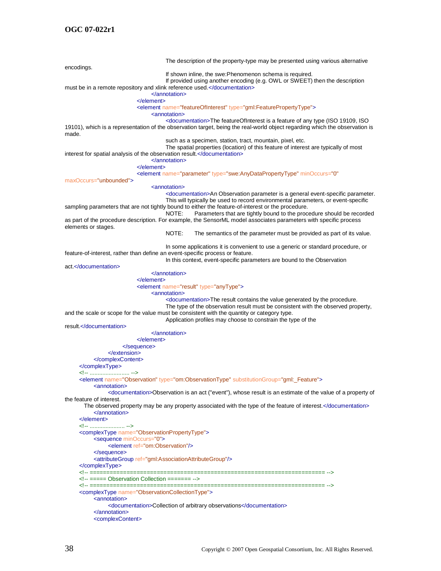The description of the property-type may be presented using various alternative encodings. If shown inline, the swe:Phenomenon schema is required. If provided using another encoding (e.g. OWL or SWEET) then the description must be in a remote repository and xlink reference used.</documentation> </annotation> </element> <element name="featureOfInterest" type="gml:FeaturePropertyType"> <annotation> <documentation>The featureOfInterest is a feature of any type (ISO 19109, ISO 19101), which is a representation of the observation target, being the real-world object regarding which the observation is made. such as a specimen, station, tract, mountain, pixel, etc. The spatial properties (location) of this feature of interest are typically of most interest for spatial analysis of the observation result.</documentation> </annotation> </element> <element name="parameter" type="swe:AnyDataPropertyType" minOccurs="0" maxOccurs="unbounded"> <annotation> <documentation>An Observation parameter is a general event-specific parameter. This will typically be used to record environmental parameters, or event-specific sampling parameters that are not tightly bound to either the feature-of-interest or the procedure.<br>NOTE: Parameters that are tightly bound to the proc Parameters that are tightly bound to the procedure should be recorded as part of the procedure description. For example, the SensorML model associates parameters with specific process elements or stages. NOTE: The semantics of the parameter must be provided as part of its value. In some applications it is convenient to use a generic or standard procedure, or feature-of-interest, rather than define an event-specific process or feature. In this context, event-specific parameters are bound to the Observation act.</documentation> </annotation> </element> <element name="result" type="anyType"> <annotation> <documentation>The result contains the value generated by the procedure. The type of the observation result must be consistent with the observed property, and the scale or scope for the value must be consistent with the quantity or category type. Application profiles may choose to constrain the type of the result.</documentation> </annotation> </element> </sequence> </extension> </complexContent> </complexType> <!-- ........................ <element name="Observation" type="om:ObservationType" substitutionGroup="gml:\_Feature"> <annotation> <documentation>Observation is an act ("event"), whose result is an estimate of the value of a property of the feature of interest. The observed property may be any property associated with the type of the feature of interest.</documentation> </annotation> </element> <!-- ...................... --> <complexType name="ObservationPropertyType"> <sequence minOccurs="0"> <element ref="om:Observation"/> </sequence> <attributeGroup ref="gml:AssociationAttributeGroup"/> </complexType><br><<sup>|</sup>-- ========== <!-- ====================================================================== --> <!-- ===== Observation Collection ======= --> <!-- ====================================================================== --> <complexType name="ObservationCollectionType"> <annotation> <documentation>Collection of arbitrary observations</documentation> </annotation> <complexContent>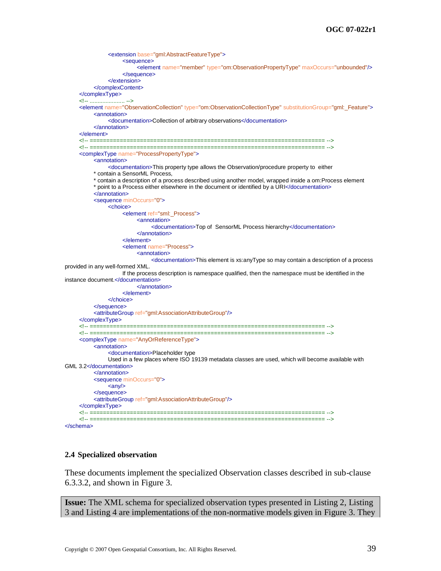```
<extension base="gml:AbstractFeatureType">
                    <sequence>
                         <element name="member" type="om:ObservationPropertyType" maxOccurs="unbounded"/>
                    </sequence>
               </extension>
          </complexContent>
     </complexType>
     <!-- ...................... -->
     <element name="ObservationCollection" type="om:ObservationCollectionType" substitutionGroup="gml:_Feature">
          <annotation>
               <documentation>Collection of arbitrary observations</documentation>
          </annotation>
     </element>
     <!-- ====================================================================== -->
     <!-- ====================================================================== -->
     <complexType name="ProcessPropertyType">
          <annotation>
               <documentation>This property type allows the Observation/procedure property to either 
          * contain a SensorML Process, 
          * contain a description of a process described using another model, wrapped inside a om:Process element
          * point to a Process either elsewhere in the document or identified by a URI</documentation>
          </annotation>
          <sequence minOccurs="0">
               <choice>
                    <element ref="sml:_Process">
                         <annotation>
                              <documentation>Top of SensorML Process hierarchy</documentation>
                         </annotation>
                    </element>
                    <element name="Process">
                         <annotation>
                               <documentation>This element is xs:anyType so may contain a description of a process 
provided in any well-formed XML. 
                    If the process description is namespace qualified, then the namespace must be identified in the 
instance document.</documentation>
                         </annotation>
                    </element>
               </choice>
          </sequence>
          <attributeGroup ref="gml:AssociationAttributeGroup"/>
     </complexType>
     <!-- ====================================================================== -->
     <!-- ====================================================================== -->
     <complexType name="AnyOrReferenceType">
          <annotation>
               <documentation>Placeholder type
               Used in a few places where ISO 19139 metadata classes are used, which will become available with 
GML 3.2</documentation>
          </annotation>
          <sequence minOccurs="0">
               \langle \text{any} \rangle</sequence>
          <attributeGroup ref="gml:AssociationAttributeGroup"/>
     </complexType>
     <!-- ====================================================================== -->
     <!-- ====================================================================== -->
</schema>
```
#### <span id="page-50-0"></span>**2.4 Specialized observation**

These documents implement the specialized Observation classes described in sub-clause [6.3.3.2,](#page-27-0) and shown in [Figure 3.](#page-28-0)

**Issue:** The XML schema for specialized observation types presented in [Listing 2,](#page-51-0) [Listing](#page-53-0)  [3](#page-53-0) and [Listing 4](#page-57-0) are implementations of the non-normative models given in [Figure 3.](#page-28-0) They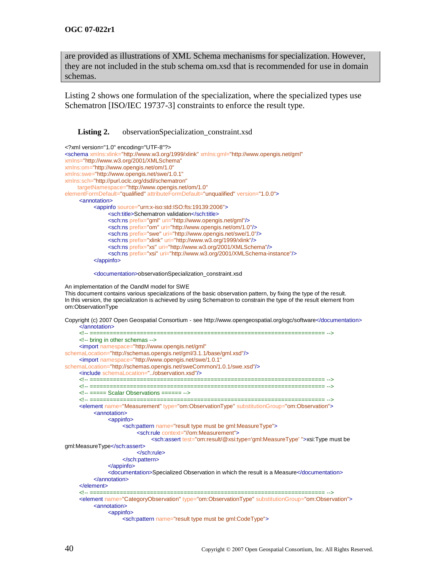are provided as illustrations of XML Schema mechanisms for specialization. However, they are not included in the stub schema om.xsd that is recommended for use in domain schemas.

[Listing 2](#page-51-0) shows one formulation of the specialization, where the specialized types use Schematron [ISO/IEC 19737-3] constraints to enforce the result type.

<span id="page-51-0"></span>Listing 2. observationSpecialization\_constraint.xsd

| xml version="1.0" encoding="UTF-8"?                                                                            |
|----------------------------------------------------------------------------------------------------------------|
| <schema <="" td="" xmlns:gml="http://www.opengis.net/gml" xmlns:xlink="http://www.w3.org/1999/xlink"></schema> |
| xmlns="http://www.w3.org/2001/XMLSchema"                                                                       |
| xmlns:om="http://www.opengis.net/om/1.0"                                                                       |
| xmlns:swe="http://www.opengis.net/swe/1.0.1"                                                                   |
| xmlns:sch="http://purl.oclc.org/dsdl/schematron"                                                               |
| targetNamespace="http://www.opengis.net/om/1.0"                                                                |
| elementFormDefault="qualified" attributeFormDefault="unqualified" version="1.0.0">                             |
| <annotation></annotation>                                                                                      |
| <appinfo source="urn:x-iso:std:ISO:fts:19139:2006"></appinfo>                                                  |
| <sch:title>Schematron validation</sch:title>                                                                   |
| <sch:ns prefix="qml" uri="http://www.opengis.net/gml"></sch:ns>                                                |
| <sch:ns prefix="om" uri="http://www.opengis.net/om/1.0"></sch:ns>                                              |
| <sch:ns prefix="swe" uri="http://www.opengis.net/swe/1.0"></sch:ns>                                            |
| <sch:ns prefix="xlink" uri="http://www.w3.org/1999/xlink"></sch:ns>                                            |
| <sch:ns prefix="xs" uri="http://www.w3.org/2001/XMLSchema"></sch:ns>                                           |
| <sch:ns prefix="xsi" uri="http://www.w3.org/2001/XMLSchema-instance"></sch:ns>                                 |
| $\alpha$ /appinfo>                                                                                             |
|                                                                                                                |
|                                                                                                                |

<documentation>observationSpecialization\_constraint.xsd

An implementation of the OandM model for SWE This document contains various specializations of the basic observation pattern, by fixing the type of the result. In this version, the specialization is achieved by using Schematron to constrain the type of the result element from om:ObservationType

Copyright (c) 2007 Open Geospatial Consortium - see http://www.opengeospatial.org/ogc/software</documentation> </annotation> <!-- ====================================================================== --> <!-- bring in other schemas --> <import namespace="http://www.opengis.net/gml" schemaLocation="http://schemas.opengis.net/gml/3.1.1/base/gml.xsd"/> <import namespace="http://www.opengis.net/swe/1.0.1" schemaLocation="http://schemas.opengis.net/sweCommon/1.0.1/swe.xsd"/> <include schemaLocation="../observation.xsd"/> <!-- ====================================================================== --> <!-- ====================================================================== --> <!-- ===== Scalar Observations ====== --> <!-- ====================================================================== --> <element name="Measurement" type="om:ObservationType" substitutionGroup="om:Observation"> <annotation> <appinfo> <sch:pattern name="result type must be gml:MeasureType"> <sch:rule context="//om:Measurement"> <sch:assert test="om:result/@xsi:type='gml:MeasureType' ">xsi:Type must be gml:MeasureType</sch:assert> </sch:rule> </sch:pattern> </appinfo> <documentation>Specialized Observation in which the result is a Measure</documentation> </annotation> </element> <!-- ====================================================================== --> <element name="CategoryObservation" type="om:ObservationType" substitutionGroup="om:Observation"> <annotation> <appinfo> <sch:pattern name="result type must be gml:CodeType">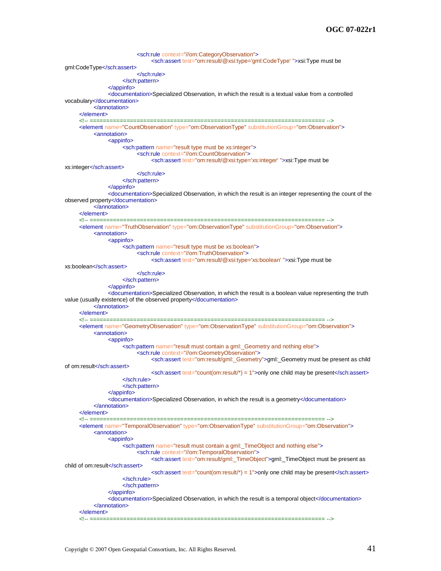```
<sch:rule context="//om:CategoryObservation">
                                <sch:assert test="om:result/@xsi:type='gml:CodeType' ">xsi:Type must be 
gml:CodeType</sch:assert>
                          </sch:rule>
                     </sch:pattern>
                </appinfo>
                <documentation>Specialized Observation, in which the result is a textual value from a controlled 
vocabulary</documentation>
          </annotation>
     </element>
     <!-- ====================================================================== -->
     <element name="CountObservation" type="om:ObservationType" substitutionGroup="om:Observation">
          <annotation>
                <appinfo>
                     <sch:pattern name="result type must be xs:integer">
                          <sch:rule context="//om:CountObservation">
                               <sch:assert test="om:result/@xsi:type='xs:integer' ">xsi:Type must be 
xs:integer</sch:assert>
                          </sch:rule>
                     </sch:pattern>
                </appinfo>
                <documentation>Specialized Observation, in which the result is an integer representing the count of the 
observed property</documentation>
           </annotation>
     </element>
     <!-- ====================================================================== -->
     <element name="TruthObservation" type="om:ObservationType" substitutionGroup="om:Observation">
          <annotation>
                <appinfo>
                     <sch:pattern name="result type must be xs:boolean">
                          <sch:rule context="//om:TruthObservation">
                               <sch:assert test="om:result/@xsi:type='xs:boolean' ">xsi:Type must be 
xs:boolean</sch:assert>
                          </sch:rule>
                     </sch:pattern>
                </appinfo>
                <documentation>Specialized Observation, in which the result is a boolean value representing the truth 
value (usually existence) of the observed property</documentation>
          </annotation>
     </element>
     <!-- ====================================================================== -->
     <element name="GeometryObservation" type="om:ObservationType" substitutionGroup="om:Observation">
          <annotation>
                <appinfo>
                     <sch:pattern name="result must contain a gml:_Geometry and nothing else">
                          <sch:rule context="//om:GeometryObservation">
                                <sch:assert test="om:result/gml:_Geometry">gml:_Geometry must be present as child 
of om:result</sch:assert>
                               \epsilonsch:assert test="count(om:result/*) = 1">only one child may be present\epsilon/sch:assert>
                     </sch:rule>
                     </sch:pattern>
                </appinfo>
                <documentation>Specialized Observation, in which the result is a geometry</documentation>
          </annotation>
     </element>
     <!-- ====================================================================== -->
     <element name="TemporalObservation" type="om:ObservationType" substitutionGroup="om:Observation">
          <annotation>
                <appinfo>
                     <sch:pattern name="result must contain a gml:_TimeObject and nothing else">
                          <sch:rule context="//om:TemporalObservation">
                                <sch:assert test="om:result/gml:_TimeObject">gml:_TimeObject must be present as 
child of om:result</sch:assert>
                                \epsilonsch:assert test="count(om:result/*) = 1">only one child may be present\epsilon/sch:assert>
                     </sch:rule>
                     </sch:pattern>
                </appinfo>
                <documentation>Specialized Observation, in which the result is a temporal object</documentation>
          </annotation>
     </element>
     <!-- ====================================================================== -->
```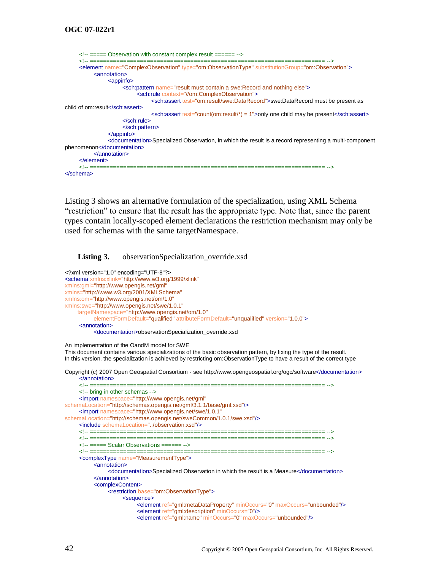```
<!-- ===== Observation with constant complex result ====== -->
     <!-- ====================================================================== -->
     <element name="ComplexObservation" type="om:ObservationType" substitutionGroup="om:Observation">
          <annotation>
               <appinfo>
                     <sch:pattern name="result must contain a swe:Record and nothing else">
                          <sch:rule context="//om:ComplexObservation">
                               <sch:assert test="om:result/swe:DataRecord">swe:DataRecord must be present as 
child of om:result</sch:assert>
                               \epsilonsch:assert test="count(om:result/*) = 1">only one child may be present\epsilon/sch:assert>
                     </sch:rule>
                     </sch:pattern>
                </appinfo>
                <documentation>Specialized Observation, in which the result is a record representing a multi-component 
phenomenon</documentation>
          </annotation>
     </element>
     <!-- ====================================================================== -->
</schema>
```
[Listing 3](#page-53-0) shows an alternative formulation of the specialization, using XML Schema "restriction" to ensure that the result has the appropriate type. Note that, since the parent types contain locally-scoped element declarations the restriction mechanism may only be used for schemas with the same targetNamespace.

<span id="page-53-0"></span>**Listing 3.** observationSpecialization\_override.xsd

```
<?xml version="1.0" encoding="UTF-8"?>
<schema xmlns:xlink="http://www.w3.org/1999/xlink"
xmlns:gml="http://www.opengis.net/gml"
xmlns="http://www.w3.org/2001/XMLSchema"
xmlns:om="http://www.opengis.net/om/1.0"
xmlns:swe="http://www.opengis.net/swe/1.0.1"
     targetNamespace="http://www.opengis.net/om/1.0"
          elementFormDefault="qualified" attributeFormDefault="unqualified" version="1.0.0">
     <annotation>
          <documentation>observationSpecialization_override.xsd
An implementation of the OandM model for SWE
This document contains various specializations of the basic observation pattern, by fixing the type of the result. 
In this version, the specialization is achieved by restricting om:ObservationType to have a result of the correct type
Copyright (c) 2007 Open Geospatial Consortium - see http://www.opengeospatial.org/ogc/software</documentation>
     </annotation>
     <!-- ====================================================================== -->
     <!-- bring in other schemas -->
     <import namespace="http://www.opengis.net/gml"
schemaLocation="http://schemas.opengis.net/gml/3.1.1/base/gml.xsd"/>
     <import namespace="http://www.opengis.net/swe/1.0.1"
schemaLocation="http://schemas.opengis.net/sweCommon/1.0.1/swe.xsd"/>
     <include schemaLocation="../observation.xsd"/>
     <!-- ====================================================================== -->
     <!-- ====================================================================== -->
     <!-- ===== Scalar Observations ====== -->
     <!-- ====================================================================== -->
     <complexType name="MeasurementType">
          <annotation>
               <documentation>Specialized Observation in which the result is a Measure</documentation>
          </annotation>
          <complexContent>
               <restriction base="om:ObservationType">
                    <sequence>
                          <element ref="gml:metaDataProperty" minOccurs="0" maxOccurs="unbounded"/>
                          <element ref="gml:description" minOccurs="0"/>
                          <element ref="gml:name" minOccurs="0" maxOccurs="unbounded"/>
```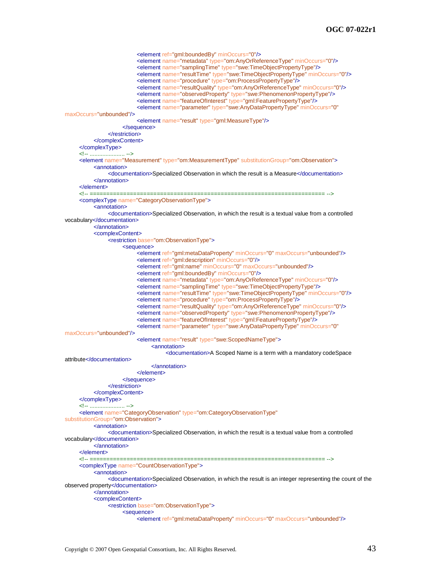```
<element ref="gml:boundedBy" minOccurs="0"/>
                          <element name="metadata" type="om:AnyOrReferenceType" minOccurs="0"/>
                          <element name="samplingTime" type="swe:TimeObjectPropertyType"/>
                          <element name="resultTime" type="swe:TimeObjectPropertyType" minOccurs="0"/>
                          <element name="procedure" type="om:ProcessPropertyType"/>
                          <element name="resultQuality" type="om:AnyOrReferenceType" minOccurs="0"/>
                          <element name="observedProperty" type="swe:PhenomenonPropertyType"/>
                          <element name="featureOfInterest" type="gml:FeaturePropertyType"/>
                          <element name="parameter" type="swe:AnyDataPropertyType" minOccurs="0"
maxOccurs="unbounded"/>
                          <element name="result" type="gml:MeasureType"/>
                    </sequence>
               </restriction>
          </complexContent>
     </complexType>
     <!-- ...................... -->
     <element name="Measurement" type="om:MeasurementType" substitutionGroup="om:Observation">
          <annotation>
               <documentation>Specialized Observation in which the result is a Measure</documentation>
          </annotation>
     </element>
     <!-- ====================================================================== -->
     <complexType name="CategoryObservationType">
          <annotation>
               <documentation>Specialized Observation, in which the result is a textual value from a controlled 
vocabulary</documentation>
          </annotation>
          <complexContent>
               <restriction base="om:ObservationType">
                    <sequence>
                          <element ref="gml:metaDataProperty" minOccurs="0" maxOccurs="unbounded"/>
                          <element ref="gml:description" minOccurs="0"/>
                          <element ref="gml:name" minOccurs="0" maxOccurs="unbounded"/>
                          <element ref="gml:boundedBy" minOccurs="0"/>
                          <element name="metadata" type="om:AnyOrReferenceType" minOccurs="0"/>
                          <element name="samplingTime" type="swe:TimeObjectPropertyType"/>
                          <element name="resultTime" type="swe:TimeObjectPropertyType" minOccurs="0"/>
                          <element name="procedure" type="om:ProcessPropertyType"/>
                          <element name="resultQuality" type="om:AnyOrReferenceType" minOccurs="0"/>
                          <element name="observedProperty" type="swe:PhenomenonPropertyType"/>
                          <element name="featureOfInterest" type="gml:FeaturePropertyType"/>
                          <element name="parameter" type="swe:AnyDataPropertyType" minOccurs="0"
maxOccurs="unbounded"/>
                          <element name="result" type="swe:ScopedNameType">
                               <annotation>
                                    <documentation>A Scoped Name is a term with a mandatory codeSpace 
attribute</documentation>
                               </annotation>
                          </element>
                    </sequence>
               </restriction>
          </complexContent>
     </complexType>
     <!-- ...................... -->
     <element name="CategoryObservation" type="om:CategoryObservationType"
substitutionGroup="om:Observation">
          <annotation>
               <documentation>Specialized Observation, in which the result is a textual value from a controlled 
vocabulary</documentation>
          </annotation>
     </element>
     <!-- ====================================================================== -->
     <complexType name="CountObservationType">
          <annotation>
               <documentation>Specialized Observation, in which the result is an integer representing the count of the 
observed property</documentation>
          </annotation>
          <complexContent>
               <restriction base="om:ObservationType">
                    <sequence>
                          <element ref="gml:metaDataProperty" minOccurs="0" maxOccurs="unbounded"/>
```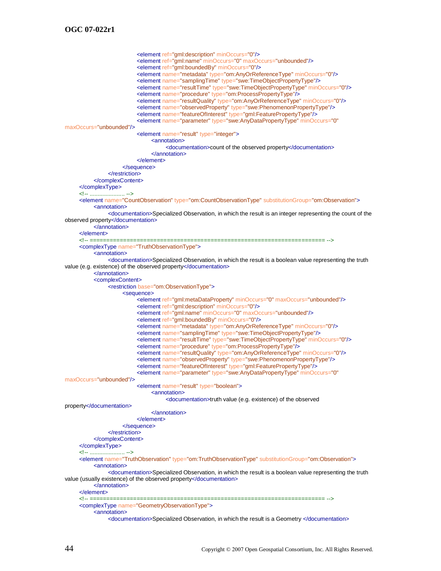<element ref="gml:description" minOccurs="0"/> <element ref="gml:name" minOccurs="0" maxOccurs="unbounded"/> <element ref="gml:boundedBy" minOccurs="0"/> <element name="metadata" type="om:AnyOrReferenceType" minOccurs="0"/> <element name="samplingTime" type="swe:TimeObjectPropertyType"/> <element name="resultTime" type="swe:TimeObjectPropertyType" minOccurs="0"/> <element name="procedure" type="om:ProcessPropertyType"/> <element name="resultQuality" type="om:AnyOrReferenceType" minOccurs="0"/> <element name="observedProperty" type="swe:PhenomenonPropertyType"/> <element name="featureOfInterest" type="gml:FeaturePropertyType"/> <element name="parameter" type="swe:AnyDataPropertyType" minOccurs="0" maxOccurs="unbounded"/> <element name="result" type="integer"> <annotation> <documentation>count of the observed property</documentation> </annotation> </element> </sequence> </restriction> </complexContent> </complexType> <!-- ...................... --> <element name="CountObservation" type="om:CountObservationType" substitutionGroup="om:Observation"> <annotation> <documentation>Specialized Observation, in which the result is an integer representing the count of the observed property</documentation> </annotation> </element> <!-- ====================================================================== --> <complexType name="TruthObservationType"> <annotation> <documentation>Specialized Observation, in which the result is a boolean value representing the truth value (e.g. existence) of the observed property</documentation> </annotation> <complexContent> <restriction base="om:ObservationType"> <sequence> <element ref="gml:metaDataProperty" minOccurs="0" maxOccurs="unbounded"/> <element ref="gml:description" minOccurs="0"/> <element ref="gml:name" minOccurs="0" maxOccurs="unbounded"/> <element ref="gml:boundedBy" minOccurs="0"/> <element name="metadata" type="om:AnyOrReferenceType" minOccurs="0"/> <element name="samplingTime" type="swe:TimeObjectPropertyType"/> <element name="resultTime" type="swe:TimeObjectPropertyType" minOccurs="0"/> <element name="procedure" type="om:ProcessPropertyType"/> <element name="resultQuality" type="om:AnyOrReferenceType" minOccurs="0"/> <element name="observedProperty" type="swe:PhenomenonPropertyType"/> <element name="featureOfInterest" type="gml:FeaturePropertyType"/> <element name="parameter" type="swe:AnyDataPropertyType" minOccurs="0" maxOccurs="unbounded"/> <element name="result" type="boolean"> <annotation> <documentation>truth value (e.g. existence) of the observed property</documentation> </annotation> </element> </sequence> </restriction> </complexContent> </complexType> <!-- ...................... --> <element name="TruthObservation" type="om:TruthObservationType" substitutionGroup="om:Observation"> <annotation> <documentation>Specialized Observation, in which the result is a boolean value representing the truth value (usually existence) of the observed property</documentation> </annotation> </element><br><l-- ===== <!-- ====================================================================== --> <complexType name="GeometryObservationType"> <annotation> <documentation>Specialized Observation, in which the result is a Geometry </documentation>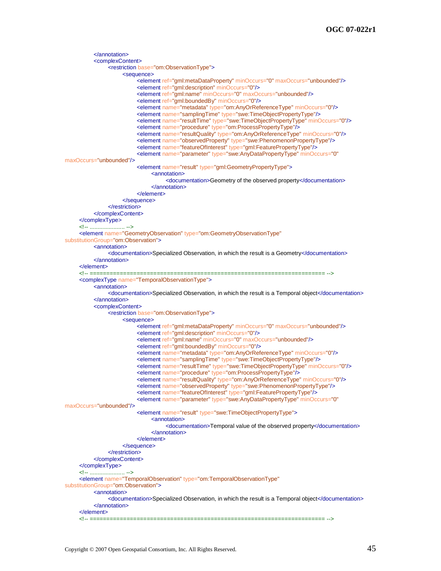```
</annotation>
          <complexContent>
               <restriction base="om:ObservationType">
                    <sequence>
                         <element ref="gml:metaDataProperty" minOccurs="0" maxOccurs="unbounded"/>
                         <element ref="gml:description" minOccurs="0"/>
                         <element ref="gml:name" minOccurs="0" maxOccurs="unbounded"/>
                         <element ref="gml:boundedBy" minOccurs="0"/>
                         <element name="metadata" type="om:AnyOrReferenceType" minOccurs="0"/>
                         <element name="samplingTime" type="swe:TimeObjectPropertyType"/>
                         <element name="resultTime" type="swe:TimeObjectPropertyType" minOccurs="0"/>
                         <element name="procedure" type="om:ProcessPropertyType"/>
                         <element name="resultQuality" type="om:AnyOrReferenceType" minOccurs="0"/>
                         <element name="observedProperty" type="swe:PhenomenonPropertyType"/>
                         <element name="featureOfInterest" type="gml:FeaturePropertyType"/>
                         <element name="parameter" type="swe:AnyDataPropertyType" minOccurs="0"
maxOccurs="unbounded"/>
                         <element name="result" type="gml:GeometryPropertyType">
                               <annotation>
                                    <documentation>Geometry of the observed property</documentation>
                               </annotation>
                         </element>
                    </sequence>
               </restriction>
          </complexContent>
     </complexType>
     <!-- ...................... -->
     <element name="GeometryObservation" type="om:GeometryObservationType"
substitutionGroup="om:Observation">
          <annotation>
               <documentation>Specialized Observation, in which the result is a Geometry</documentation>
          </annotation>
     </element>
     <!-- ====================================================================== -->
     <complexType name="TemporalObservationType">
          <annotation>
               <documentation>Specialized Observation, in which the result is a Temporal object</documentation>
          </annotation>
          <complexContent>
               <restriction base="om:ObservationType">
                    <sequence>
                         <element ref="gml:metaDataProperty" minOccurs="0" maxOccurs="unbounded"/>
                         <element ref="gml:description" minOccurs="0"/>
                         <element ref="gml:name" minOccurs="0" maxOccurs="unbounded"/>
                         <element ref="gml:boundedBy" minOccurs="0"/>
                         <element name="metadata" type="om:AnyOrReferenceType" minOccurs="0"/>
                         <element name="samplingTime" type="swe:TimeObjectPropertyType"/>
                         <element name="resultTime" type="swe:TimeObjectPropertyType" minOccurs="0"/>
                         <element name="procedure" type="om:ProcessPropertyType"/>
                         <element name="resultQuality" type="om:AnyOrReferenceType" minOccurs="0"/>
                         <element name="observedProperty" type="swe:PhenomenonPropertyType"/>
                         <element name="featureOfInterest" type="gml:FeaturePropertyType"/>
                         <element name="parameter" type="swe:AnyDataPropertyType" minOccurs="0"
maxOccurs="unbounded"/>
                         <element name="result" type="swe:TimeObjectPropertyType">
                               <annotation>
                                    <documentation>Temporal value of the observed property</documentation>
                               </annotation>
                         </element>
                    </sequence>
               </restriction>
          </complexContent>
     </complexType>
     <!-- ...................... -->
     <element name="TemporalObservation" type="om:TemporalObservationType"
substitutionGroup="om:Observation">
          <annotation>
               <documentation>Specialized Observation, in which the result is a Temporal object</documentation>
          </annotation>
     </element>
     <!-- ====================================================================== -->
```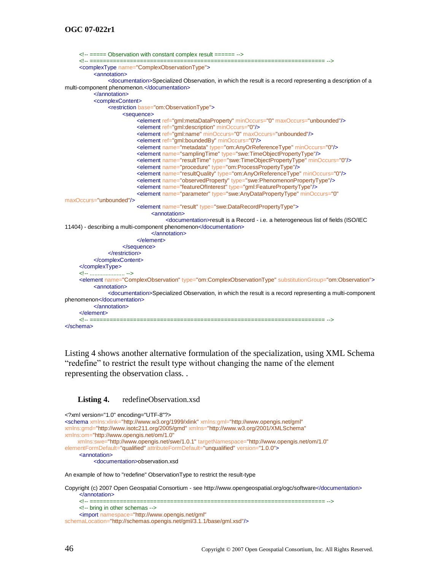```
<!-- ===== Observation with constant complex result ====== -->
     <!-- ====================================================================== -->
     <complexType name="ComplexObservationType">
          <annotation>
               <documentation>Specialized Observation, in which the result is a record representing a description of a 
multi-component phenomenon.</documentation>
          </annotation>
          <complexContent>
               <restriction base="om:ObservationType">
                    <sequence>
                          <element ref="gml:metaDataProperty" minOccurs="0" maxOccurs="unbounded"/>
                          <element ref="gml:description" minOccurs="0"/>
                          <element ref="gml:name" minOccurs="0" maxOccurs="unbounded"/>
                          <element ref="gml:boundedBy" minOccurs="0"/>
                          <element name="metadata" type="om:AnyOrReferenceType" minOccurs="0"/>
                          <element name="samplingTime" type="swe:TimeObjectPropertyType"/>
                          <element name="resultTime" type="swe:TimeObjectPropertyType" minOccurs="0"/>
                          <element name="procedure" type="om:ProcessPropertyType"/>
                          <element name="resultQuality" type="om:AnyOrReferenceType" minOccurs="0"/>
                          <element name="observedProperty" type="swe:PhenomenonPropertyType"/>
                          <element name="featureOfInterest" type="gml:FeaturePropertyType"/>
                          <element name="parameter" type="swe:AnyDataPropertyType" minOccurs="0"
maxOccurs="unbounded"/>
                          <element name="result" type="swe:DataRecordPropertyType">
                               <annotation>
                                   <documentation>result is a Record - i.e. a heterogeneous list of fields (ISO/IEC 
11404) - describing a multi-component phenomenon</documentation>
                               </annotation>
                         </element>
                    </sequence>
               </restriction>
          </complexContent>
     </complexType>
     <!-- ...................... -->
     <element name="ComplexObservation" type="om:ComplexObservationType" substitutionGroup="om:Observation">
          <annotation>
               <documentation>Specialized Observation, in which the result is a record representing a multi-component 
phenomenon</documentation>
          </annotation>
     </element>
     <!-- ====================================================================== -->
</schema>
```
[Listing 4](#page-57-0) shows another alternative formulation of the specialization, using XML Schema ―redefine‖ to restrict the result type without changing the name of the element representing the observation class. .

#### <span id="page-57-0"></span>Listing 4. redefineObservation.xsd

```
<?xml version="1.0" encoding="UTF-8"?>
<schema xmlns:xlink="http://www.w3.org/1999/xlink" xmlns:gml="http://www.opengis.net/gml"
xmlns:gmd="http://www.isotc211.org/2005/gmd" xmlns="http://www.w3.org/2001/XMLSchema"
xmlns:om="http://www.opengis.net/om/1.0"
     xmlns:swe="http://www.opengis.net/swe/1.0.1" targetNamespace="http://www.opengis.net/om/1.0"
elementFormDefault="qualified" attributeFormDefault="unqualified" version="1.0.0">
     <annotation>
          <documentation>observation.xsd
An example of how to "redefine" ObservationType to restrict the result-type
```
Copyright (c) 2007 Open Geospatial Consortium - see http://www.opengeospatial.org/ogc/software</documentation> </annotation>

<!-- ====================================================================== -->

<!-- bring in other schemas -->

```
<import namespace="http://www.opengis.net/gml"
```

```
schemaLocation="http://schemas.opengis.net/gml/3.1.1/base/gml.xsd"/>
```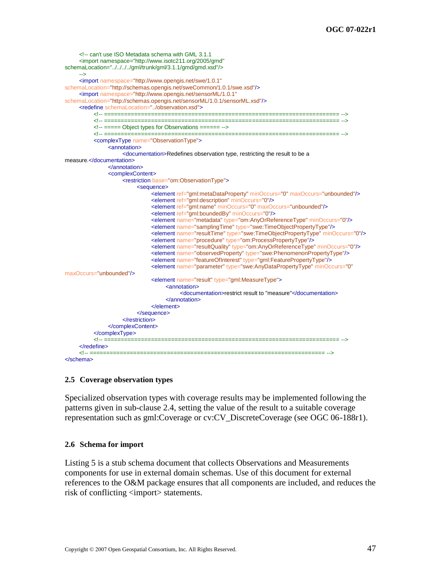```
<!-- can't use ISO Metadata schema with GML 3.1.1
     <import namespace="http://www.isotc211.org/2005/gmd" 
schemaLocation="../../../../gml/trunk/gml/3.1.1/gmd/gmd.xsd"/>
     -->
     <import namespace="http://www.opengis.net/swe/1.0.1"
schemaLocation="http://schemas.opengis.net/sweCommon/1.0.1/swe.xsd"/>
     <import namespace="http://www.opengis.net/sensorML/1.0.1"
schemaLocation="http://schemas.opengis.net/sensorML/1.0.1/sensorML.xsd"/>
     <redefine schemaLocation="../observation.xsd">
          <!-- ====================================================================== -->
          <!-- ====================================================================== -->
          <!-- ===== Object types for Observations ====== -->
          <!-- ====================================================================== -->
          <complexType name="ObservationType">
               <annotation>
                    <documentation>Redefines observation type, restricting the result to be a 
measure.</documentation>
               </annotation>
               <complexContent>
                    <restriction base="om:ObservationType">
                         <sequence>
                               <element ref="gml:metaDataProperty" minOccurs="0" maxOccurs="unbounded"/>
                               <element ref="gml:description" minOccurs="0"/>
                               <element ref="gml:name" minOccurs="0" maxOccurs="unbounded"/>
                               <element ref="gml:boundedBy" minOccurs="0"/>
                               <element name="metadata" type="om:AnyOrReferenceType" minOccurs="0"/>
                               <element name="samplingTime" type="swe:TimeObjectPropertyType"/>
                               <element name="resultTime" type="swe:TimeObjectPropertyType" minOccurs="0"/>
                               <element name="procedure" type="om:ProcessPropertyType"/>
                               <element name="resultQuality" type="om:AnyOrReferenceType" minOccurs="0"/>
                               <element name="observedProperty" type="swe:PhenomenonPropertyType"/>
                               <element name="featureOfInterest" type="gml:FeaturePropertyType"/>
                               <element name="parameter" type="swe:AnyDataPropertyType" minOccurs="0"
maxOccurs="unbounded"/>
                               <element name="result" type="gml:MeasureType">
                                    <annotation>
                                         <documentation>restrict result to "measure"</documentation>
                                    </annotation>
                              </element>
                         </sequence>
                    </restriction>
               </complexContent>
          </complexType>
          <!-- ====================================================================== -->
     </redefine><br><<sup>1</sup>-- =========
                    <!-- ====================================================================== -->
</schema>
```
## **2.5 Coverage observation types**

Specialized observation types with coverage results may be implemented following the patterns given in sub-clause [2.4,](#page-50-0) setting the value of the result to a suitable coverage representation such as gml:Coverage or cv:CV\_DiscreteCoverage (see OGC 06-188r1).

## **2.6 Schema for import**

[Listing 5](#page-59-0) is a stub schema document that collects Observations and Measurements components for use in external domain schemas. Use of this document for external references to the O&M package ensures that all components are included, and reduces the risk of conflicting <import> statements.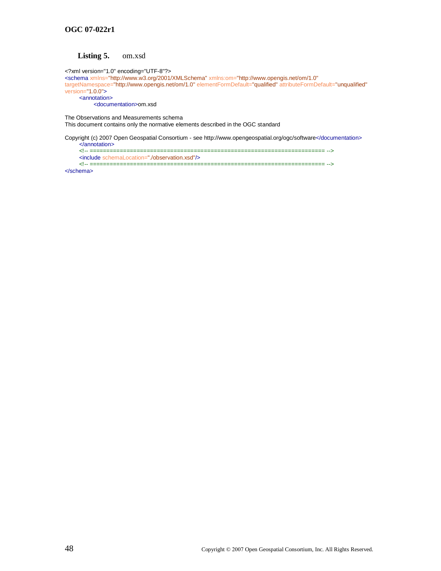#### **Listing 5.** om.xsd

<span id="page-59-0"></span><?xml version="1.0" encoding="UTF-8"?>

<schema xmlns="http://www.w3.org/2001/XMLSchema" xmlns:om="http://www.opengis.net/om/1.0" targetNamespace="http://www.opengis.net/om/1.0" elementFormDefault="qualified" attributeFormDefault="unqualified" version="1.0.0">

<annotation> <documentation>om.xsd

The Observations and Measurements schema This document contains only the normative elements described in the OGC standard

Copyright (c) 2007 Open Geospatial Consortium - see http://www.opengeospatial.org/ogc/software</documentation> </annotation>

<!-- ====================================================================== -->

<include schemaLocation="./observation.xsd"/>

<!-- ====================================================================== --> </schema>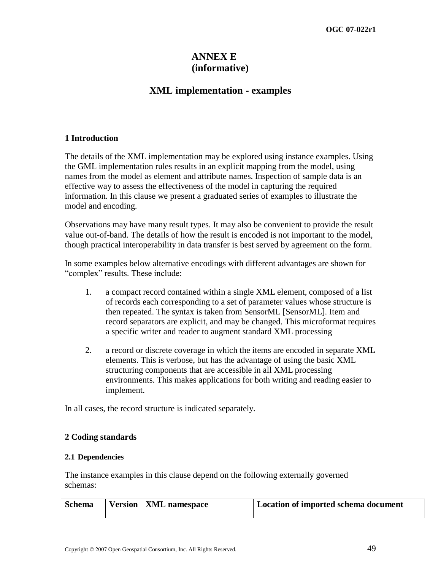## **ANNEX E (informative)**

## **XML implementation - examples**

## **1 Introduction**

The details of the XML implementation may be explored using instance examples. Using the GML implementation rules results in an explicit mapping from the model, using names from the model as element and attribute names. Inspection of sample data is an effective way to assess the effectiveness of the model in capturing the required information. In this clause we present a graduated series of examples to illustrate the model and encoding.

Observations may have many result types. It may also be convenient to provide the result value out-of-band. The details of how the result is encoded is not important to the model, though practical interoperability in data transfer is best served by agreement on the form.

In some examples below alternative encodings with different advantages are shown for "complex" results. These include:

- 1. a compact record contained within a single XML element, composed of a list of records each corresponding to a set of parameter values whose structure is then repeated. The syntax is taken from SensorML [SensorML]. Item and record separators are explicit, and may be changed. This microformat requires a specific writer and reader to augment standard XML processing
- 2. a record or discrete coverage in which the items are encoded in separate XML elements. This is verbose, but has the advantage of using the basic XML structuring components that are accessible in all XML processing environments. This makes applications for both writing and reading easier to implement.

In all cases, the record structure is indicated separately.

## **2 Coding standards**

## **2.1 Dependencies**

The instance examples in this clause depend on the following externally governed schemas:

| Schema | Version   XML namespace | Location of imported schema document |
|--------|-------------------------|--------------------------------------|
|        |                         |                                      |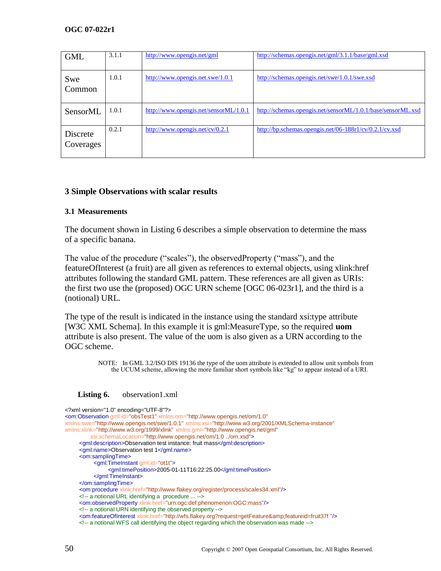| <b>GML</b>            | 3.1.1 | http://www.opengis.net/gml               | http://schemas.opengis.net/gml/3.1.1/base/gml.xsd           |
|-----------------------|-------|------------------------------------------|-------------------------------------------------------------|
| Swe<br>Common         | 1.0.1 | http://www.opengis.net.swe/1.0.1         | http://schemas.opengis.net/swe/1.0.1/swe.xsd                |
| SensorML              | 1.0.1 | http://www.opengis.net/sensor $ML/1.0.1$ | http://schemas.opengis.net/sensorML/1.0.1/base/sensorML.xsd |
| Discrete<br>Coverages | 0.2.1 | http://www.opengis.net/cv/0.2.1          | http://bp.schemas.opengis.net/06-188r1/cv/0.2.1/cv.xsd      |

## **3 Simple Observations with scalar results**

## **3.1 Measurements**

The document shown in [Listing 6](#page-61-0) describes a simple observation to determine the mass of a specific banana.

The value of the procedure ("scales"), the observedProperty ("mass"), and the featureOfInterest (a fruit) are all given as references to external objects, using xlink:href attributes following the standard GML pattern. These references are all given as URIs: the first two use the (proposed) OGC URN scheme [OGC 06-023r1], and the third is a (notional) URL.

The type of the result is indicated in the instance using the standard xsi:type attribute [W3C XML Schema]. In this example it is gml:MeasureType, so the required **uom** attribute is also present. The value of the uom is also given as a URN according to the OGC scheme.

> NOTE: In GML 3.2/ISO DIS 19136 the type of the uom attribute is extended to allow unit symbols from the UCUM scheme, allowing the more familiar short symbols like "kg" to appear instead of a URI.

#### <span id="page-61-0"></span>Listing 6. observation1.xml

| xml version="1.0" encoding="UTF-8"?                                                                                                             |  |
|-------------------------------------------------------------------------------------------------------------------------------------------------|--|
| <om:observation <="" gml:id="obsTest1" th="" xmlns:om="http://www.opengis.net/om/1.0"><th></th></om:observation>                                |  |
| xmlns:swe="http://www.opengis.net/swe/1.0.1" xmlns:xsi="http://www.w3.org/2001/XMLSchema-instance"                                              |  |
| xmlns:xlink="http://www.w3.org/1999/xlink" xmlns:gml="http://www.opengis.net/gml"                                                               |  |
| xsi:schemaLocation="http://www.opengis.net/om/1.0 /om.xsd">                                                                                     |  |
| <aml:description>Observation test instance: fruit mass</aml:description>                                                                        |  |
| <gml:name>Observation test 1</gml:name>                                                                                                         |  |
| <om:samplingtime></om:samplingtime>                                                                                                             |  |
| <gml:timeinstant gml:id="ot1t"></gml:timeinstant>                                                                                               |  |
| <gml:timeposition>2005-01-11T16:22:25.00</gml:timeposition>                                                                                     |  |
| $\le$ /qml:TimeInstant>                                                                                                                         |  |
| $\le$ /om:samplingTime>                                                                                                                         |  |
| <om:procedure xlink:href="http://www.flakey.org/register/process/scales34.xml"></om:procedure>                                                  |  |
| $\leq$ -- a notional URL identifying a procedure  -->                                                                                           |  |
| <om:observedproperty xlink:href="urn:ogc:def:phenomenon:OGC:mass"></om:observedproperty>                                                        |  |
| $\leq$ -- a notional URN identifying the observed property -->                                                                                  |  |
| <om:featureofinterest_xlink:href="http: wfs.flakey.org?request='qetFeature&amp;featureid=fruit37f="/'></om:featureofinterest_xlink:href="http:> |  |
| $\leq$ -- a notional WFS call identifying the object regarding which the observation was made -->                                               |  |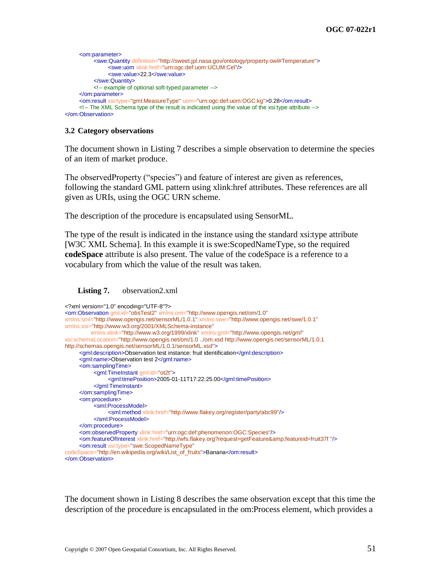```
<om:parameter>
          <swe:Quantity definition="http://sweet.jpl.nasa.gov/ontology/property.owl#Temperature">
                <swe:uom xlink:href="urn:ogc:def:uom:UCUM:Cel"/>
                <swe:value>22.3</swe:value>
          </swe:Quantity>
          <!-- example of optional soft-typed parameter -->
     </om:parameter>
     <om:result xsi:type="gml:MeasureType" uom="urn:ogc:def:uom:OGC:kg">0.28</om:result>
     <!-- The XML Schema type of the result is indicated using the value of the xsi:type attribute -->
</om:Observation>
```
#### **3.2 Category observations**

The document shown in [Listing 7](#page-62-0) describes a simple observation to determine the species of an item of market produce.

The observed Property ("species") and feature of interest are given as references, following the standard GML pattern using xlink:href attributes. These references are all given as URIs, using the OGC URN scheme.

The description of the procedure is encapsulated using SensorML.

The type of the result is indicated in the instance using the standard xsi:type attribute [W3C XML Schema]. In this example it is swe:ScopedNameType, so the required **codeSpace** attribute is also present. The value of the codeSpace is a reference to a vocabulary from which the value of the result was taken.

#### <span id="page-62-0"></span>**Listing 7.** observation2.xml

```
<?xml version="1.0" encoding="UTF-8"?>
<om:Observation gml:id="obsTest2" xmlns:om="http://www.opengis.net/om/1.0"
xmlns:sml="http://www.opengis.net/sensorML/1.0.1" xmlns:swe="http://www.opengis.net/swe/1.0.1"
xmlns:xsi="http://www.w3.org/2001/XMLSchema-instance"
          xmlns:xlink="http://www.w3.org/1999/xlink" xmlns:gml="http://www.opengis.net/gml"
xsi:schemaLocation="http://www.opengis.net/om/1.0 ../om.xsd http://www.opengis.net/sensorML/1.0.1 
http://schemas.opengis.net/sensorML/1.0.1/sensorML.xsd">
     <gml:description>Observation test instance: fruit identification</gml:description>
     <gml:name>Observation test 2</gml:name>
     <om:samplingTime>
          <gml:TimeInstant gml:id="ot2t">
               <gml:timePosition>2005-01-11T17:22:25.00</gml:timePosition>
          </gml:TimeInstant>
     </om:samplingTime>
     <om:procedure>
          <sml:ProcessModel>
                <sml:method xlink:href="http://www.flakey.org/register/party/abc99"/>
          </sml:ProcessModel>
     </om:procedure>
     <om:observedProperty xlink:href="urn:ogc:def:phenomenon:OGC:Species"/>
     <om:featureOfInterest xlink:href="http://wfs.flakey.org?request=getFeature&amp;featureid=fruit37f "/>
     <om:result xsi:type="swe:ScopedNameType"
codeSpace="http://en.wikipedia.org/wiki/List_of_fruits">Banana</om:result>
</om:Observation>
```
The document shown in [Listing 8](#page-63-0) describes the same observation except that this time the description of the procedure is encapsulated in the om:Process element, which provides a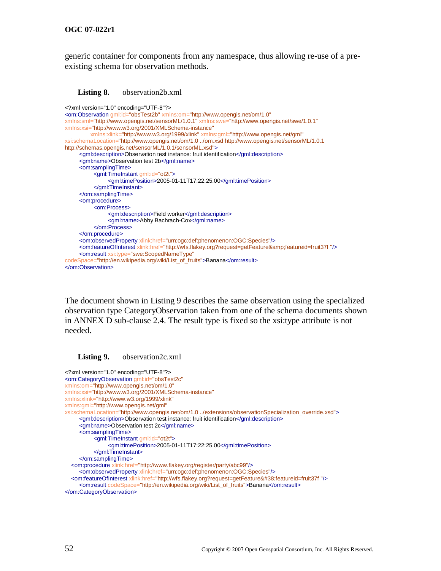generic container for components from any namespace, thus allowing re-use of a preexisting schema for observation methods.

<span id="page-63-0"></span>

```
<?xml version="1.0" encoding="UTF-8"?>
<om:Observation gml:id="obsTest2b" xmlns:om="http://www.opengis.net/om/1.0"
xmlns:sml="http://www.opengis.net/sensorML/1.0.1" xmlns:swe="http://www.opengis.net/swe/1.0.1"
xmlns:xsi="http://www.w3.org/2001/XMLSchema-instance"
          xmlns:xlink="http://www.w3.org/1999/xlink" xmlns:gml="http://www.opengis.net/gml"
xsi:schemaLocation="http://www.opengis.net/om/1.0 ../om.xsd http://www.opengis.net/sensorML/1.0.1 
http://schemas.opengis.net/sensorML/1.0.1/sensorML.xsd">
     <gml:description>Observation test instance: fruit identification</gml:description>
     <gml:name>Observation test 2b</gml:name>
     <om:samplingTime>
          <gml:TimeInstant gml:id="ot2t">
               <gml:timePosition>2005-01-11T17:22:25.00</gml:timePosition>
          </gml:TimeInstant>
     </om:samplingTime>
     <om:procedure>
          <om:Process>
               <gml:description>Field worker</gml:description>
                <gml:name>Abby Bachrach-Cox</gml:name>
          </om:Process>
     </om:procedure>
     <om:observedProperty xlink:href="urn:ogc:def:phenomenon:OGC:Species"/>
     <om:featureOfInterest xlink:href="http://wfs.flakey.org?request=getFeature&amp;featureid=fruit37f "/>
     <om:result xsi:type="swe:ScopedNameType"
codeSpace="http://en.wikipedia.org/wiki/List_of_fruits">Banana</om:result>
</om:Observation>
```
The document shown in [Listing 9](#page-63-1) describes the same observation using the specialized observation type CategoryObservation taken from one of the schema documents shown in [ANNEX D](#page-46-0) sub-clause [2.4.](#page-50-0) The result type is fixed so the xsi:type attribute is not needed.

#### <span id="page-63-1"></span>Listing 9. observation2c.xml

```
<?xml version="1.0" encoding="UTF-8"?>
<om:CategoryObservation gml:id="obsTest2c"
xmlns:om="http://www.opengis.net/om/1.0"
xmlns:xsi="http://www.w3.org/2001/XMLSchema-instance"
xmlns:xlink="http://www.w3.org/1999/xlink"
xmlns:gml="http://www.opengis.net/gml"
xsi:schemaLocation="http://www.opengis.net/om/1.0 ../extensions/observationSpecialization_override.xsd">
     <gml:description>Observation test instance: fruit identification</gml:description>
     <gml:name>Observation test 2c</gml:name>
     <om:samplingTime>
           <gml:TimeInstant gml:id="ot2t">
                <gml:timePosition>2005-01-11T17:22:25.00</gml:timePosition>
          </gml:TimeInstant>
     </om:samplingTime>
   <om:procedure xlink:href="http://www.flakey.org/register/party/abc99"/>
     <om:observedProperty xlink:href="urn:ogc:def:phenomenon:OGC:Species"/>
  <om:featureOfInterest xlink:href="http://wfs.flakey.org?request=getFeature&#38;featureid=fruit37f "/>
     <om:result codeSpace="http://en.wikipedia.org/wiki/List_of_fruits">Banana</om:result>
</om:CategoryObservation>
```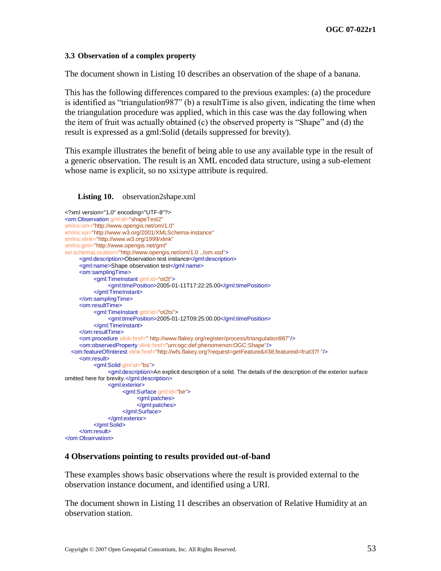## **3.3 Observation of a complex property**

The document shown in [Listing 10](#page-64-0) describes an observation of the shape of a banana.

This has the following differences compared to the previous examples: (a) the procedure is identified as "triangulation987" (b) a result Time is also given, indicating the time when the triangulation procedure was applied, which in this case was the day following when the item of fruit was actually obtained (c) the observed property is "Shape" and (d) the result is expressed as a gml:Solid (details suppressed for brevity).

This example illustrates the benefit of being able to use any available type in the result of a generic observation. The result is an XML encoded data structure, using a sub-element whose name is explicit, so no xsi:type attribute is required.

#### <span id="page-64-0"></span>**Listing 10.** observation2shape.xml

```
<?xml version="1.0" encoding="UTF-8"?>
<om:Observation gml:id="shapeTest2"
xmlns:om="http://www.opengis.net/om/1.0"
xmlns:xsi="http://www.w3.org/2001/XMLSchema-instance"
xmlns:xlink="http://www.w3.org/1999/xlink"
xmlns:gml="http://www.opengis.net/gml"
xsi:schemaLocation="http://www.opengis.net/om/1.0 ../om.xsd">
     <gml:description>Observation test instance</gml:description>
     <gml:name>Shape observation test</gml:name>
     <om:samplingTime>
           <gml:TimeInstant gml:id="ot2t">
                <gml:timePosition>2005-01-11T17:22:25.00</gml:timePosition>
           </gml:TimeInstant>
     </om:samplingTime>
     <om:resultTime>
          <gml:TimeInstant gml:id="ot2ts">
                <gml:timePosition>2005-01-12T09:25:00.00</gml:timePosition>
           </gml:TimeInstant>
     </om:resultTime>
     <om:procedure xlink:href=" http://www.flakey.org/register/process/triangulation987"/>
     <om:observedProperty xlink:href="urn:ogc:def:phenomenon:OGC:Shape"/>
   <om:featureOfInterest xlink:href="http://wfs.flakey.org?request=getFeature&featureid=fruit37f "/>
     <om:result>
           <gml:Solid gml:id="bs">
                <gml:description>An explicit description of a solid. The details of the description of the exterior surface 
omitted here for brevity.</gml:description>
                <gml:exterior>
                     <gml:Surface gml:id="be">
                           <gml:patches>
                           </gml:patches>
                     </gml:Surface>
                </gml:exterior>
          </gml:Solid>
     </om:result>
</om:Observation>
```
## **4 Observations pointing to results provided out-of-band**

These examples shows basic observations where the result is provided external to the observation instance document, and identified using a URI.

The document shown in [Listing 11](#page-65-0) describes an observation of Relative Humidity at an observation station.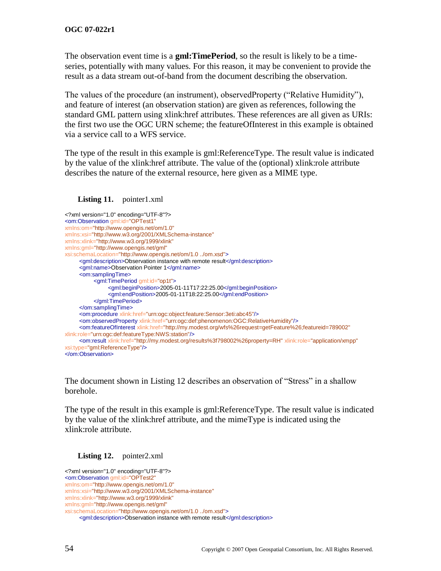The observation event time is a **gml:TimePeriod**, so the result is likely to be a timeseries, potentially with many values. For this reason, it may be convenient to provide the result as a data stream out-of-band from the document describing the observation.

The values of the procedure (an instrument), observedProperty ("Relative Humidity"), and feature of interest (an observation station) are given as references, following the standard GML pattern using xlink:href attributes. These references are all given as URIs: the first two use the OGC URN scheme; the featureOfInterest in this example is obtained via a service call to a WFS service.

The type of the result in this example is gml:ReferenceType. The result value is indicated by the value of the xlink:href attribute. The value of the (optional) xlink:role attribute describes the nature of the external resource, here given as a MIME type.

#### <span id="page-65-0"></span>Listing 11. pointer1.xml

```
<?xml version="1.0" encoding="UTF-8"?>
<om:Observation gml:id="OPTest1"
xmlns:om="http://www.opengis.net/om/1.0"
xmlns:xsi="http://www.w3.org/2001/XMLSchema-instance"
xmlns:xlink="http://www.w3.org/1999/xlink"
xmlns:gml="http://www.opengis.net/gml"
xsi:schemaLocation="http://www.opengis.net/om/1.0 ../om.xsd">
     <gml:description>Observation instance with remote result</gml:description>
     <gml:name>Observation Pointer 1</gml:name>
     <om:samplingTime>
          <gml:TimePeriod gml:id="op1t">
               <gml:beginPosition>2005-01-11T17:22:25.00</gml:beginPosition>
                <gml:endPosition>2005-01-11T18:22:25.00</gml:endPosition>
          </gml:TimePeriod>
     </om:samplingTime>
     <om:procedure xlink:href="urn:ogc:object:feature:Sensor:3eti:abc45"/>
     <om:observedProperty xlink:href="urn:ogc:def:phenomenon:OGC:RelativeHumidity"/>
     <om:featureOfInterest xlink:href="http://my.modest.org/wfs%26request=getFeature%26;featureid=789002"
xlink:role="urn:ogc:def:featureType:NWS:station"/>
    <om:result xlink:href="http://my.modest.org/results%3f798002%26property=RH" xlink:role="application/xmpp"
xsi:type="gml:ReferenceType"/>
</om:Observation>
```
The document shown in [Listing 12](#page-65-1) describes an observation of "Stress" in a shallow borehole.

The type of the result in this example is gml:ReferenceType. The result value is indicated by the value of the xlink:href attribute, and the mimeType is indicated using the xlink:role attribute.

#### <span id="page-65-1"></span>**Listing 12.** pointer2.xml

```
<?xml version="1.0" encoding="UTF-8"?>
<om:Observation gml:id="OPTest2"
xmlns:om="http://www.opengis.net/om/1.0"
xmlns:xsi="http://www.w3.org/2001/XMLSchema-instance"
xmlns:xlink="http://www.w3.org/1999/xlink"
xmlns:gml="http://www.opengis.net/gml" 
xsi:schemaLocation="http://www.opengis.net/om/1.0 ../om.xsd">
     <gml:description>Observation instance with remote result</gml:description>
```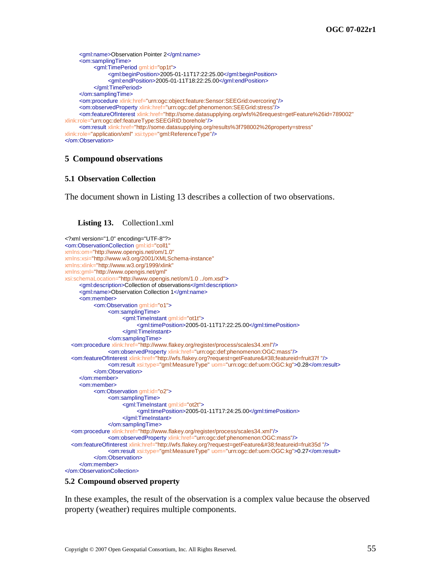```
<gml:name>Observation Pointer 2</gml:name>
     <om:samplingTime>
          <gml:TimePeriod gml:id="op1t">
               <gml:beginPosition>2005-01-11T17:22:25.00</gml:beginPosition>
                <gml:endPosition>2005-01-11T18:22:25.00</gml:endPosition>
          </gml:TimePeriod>
     </om:samplingTime>
     <om:procedure xlink:href="urn:ogc:object:feature:Sensor:SEEGrid:overcoring"/>
     <om:observedProperty xlink:href="urn:ogc:def:phenomenon:SEEGrid:stress"/>
     <om:featureOfInterest xlink:href="http://some.datasupplying.org/wfs%26request=getFeature%26id=789002"
xlink:role="urn:ogc:def:featureType:SEEGRID:borehole"/>
     <om:result xlink:href="http://some.datasupplying.org/results%3f798002%26property=stress"
xlink:role="application/xml" xsi:type="gml:ReferenceType"/>
</om:Observation>
```
## **5 Compound observations**

#### **5.1 Observation Collection**

The document shown in [Listing 13](#page-66-0) describes a collection of two observations.

#### <span id="page-66-0"></span>**Listing 13.** Collection1.xml

```
<?xml version="1.0" encoding="UTF-8"?>
<om:ObservationCollection gml:id="coll1"
xmlns:om="http://www.opengis.net/om/1.0"
xmlns:xsi="http://www.w3.org/2001/XMLSchema-instance"
xmlns:xlink="http://www.w3.org/1999/xlink"
xmlns:gml="http://www.opengis.net/gml" 
xsi:schemaLocation="http://www.opengis.net/om/1.0 ../om.xsd">
     <gml:description>Collection of observations</gml:description>
     <gml:name>Observation Collection 1</gml:name>
     <om:member>
          <om:Observation gml:id="o1">
                <om:samplingTime>
                     <gml:TimeInstant gml:id="ot1t">
                          <gml:timePosition>2005-01-11T17:22:25.00</gml:timePosition>
                     </gml:TimeInstant>
                </om:samplingTime>
   <om:procedure xlink:href="http://www.flakey.org/register/process/scales34.xml"/>
                <om:observedProperty xlink:href="urn:ogc:def:phenomenon:OGC:mass"/>
  <om:featureOfInterest xlink:href="http://wfs.flakey.org?request=qetFeature&#38;featureid=fruit37f "/>
                <om:result xsi:type="gml:MeasureType" uom="urn:ogc:def:uom:OGC:kg">0.28</om:result>
          </om:Observation>
     </om:member>
     <om:member>
           <om:Observation gml:id="o2">
                <om:samplingTime>
                     <gml:TimeInstant gml:id="ot2t">
                          <gml:timePosition>2005-01-11T17:24:25.00</gml:timePosition>
                     </gml:TimeInstant>
                </om:samplingTime>
   <om:procedure xlink:href="http://www.flakey.org/register/process/scales34.xml"/>
                <om:observedProperty xlink:href="urn:ogc:def:phenomenon:OGC:mass"/>
   <om:featureOfInterest xlink:href="http://wfs.flakey.org?request=getFeature&featureid=fruit35d "/>
                <om:result xsi:type="gml:MeasureType" uom="urn:ogc:def:uom:OGC:kg">0.27</om:result>
          </om:Observation>
     </om:member>
</om:ObservationCollection>
```
#### **5.2 Compound observed property**

In these examples, the result of the observation is a complex value because the observed property (weather) requires multiple components.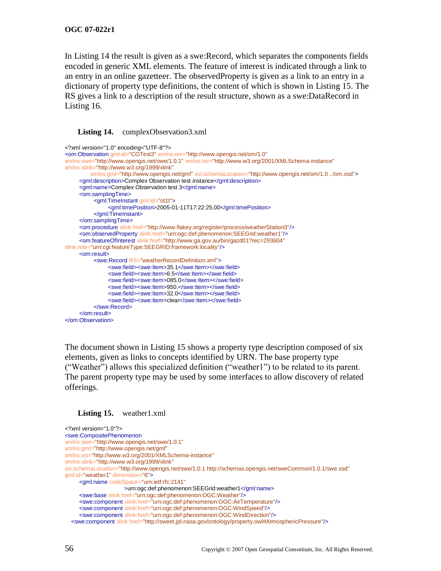In [Listing 14](#page-67-0) the result is given as a swe:Record, which separates the components fields encoded in generic XML elements. The feature of interest is indicated through a link to an entry in an online gazetteer. The observedProperty is given as a link to an entry in a dictionary of property type definitions, the content of which is shown in [Listing 15.](#page-67-1) The RS gives a link to a description of the result structure, shown as a swe:DataRecord in [Listing 16.](#page-68-0)

#### <span id="page-67-0"></span>Listing 14. complexObservation3.xml

```
<?xml version="1.0" encoding="UTF-8"?>
<om:Observation gml:id="COTest3" xmlns:om="http://www.opengis.net/om/1.0"
xmlns:swe="http://www.opengis.net/swe/1.0.1" xmlns:xsi="http://www.w3.org/2001/XMLSchema-instance"
xmlns:xlink="http://www.w3.org/1999/xlink"
          xmlns:gml="http://www.opengis.net/gml" xsi:schemaLocation="http://www.opengis.net/om/1.0 ../om.xsd">
     <gml:description>Complex Observation test instance</gml:description>
     <gml:name>Complex Observation test 3</gml:name>
     <om:samplingTime>
          <gml:TimeInstant gml:id="ot1t">
                <gml:timePosition>2005-01-11T17:22:25.00</gml:timePosition>
          </gml:TimeInstant>
     </om:samplingTime>
     <om:procedure xlink:href="http://www.flakey.org/register/process/weatherStation3"/>
     <om:observedProperty xlink:href="urn:ogc:def:phenomenon:SEEGrid:weather1"/>
     <om:featureOfInterest xlink:href="http://www.ga.gov.au/bin/gazd01?rec=293604"
xlink:role="urn:cgi:featureType:SEEGRID:framework:locality"/>
     <om:result>
          <swe:Record RS="weatherRecordDefinition.xml">
                <swe:field><swe:Item>35.1</swe:Item></swe:field>
                <swe:field><swe:Item>6.5</swe:Item></swe:field>
                <swe:field><swe:Item>085.0</swe:Item></swe:field>
                <swe:field><swe:Item>950.</swe:Item></swe:field>
                <swe:field><swe:Item>32.0</swe:Item></swe:field>
                <swe:field><swe:Item>clear</swe:Item></swe:field>
          </swe:Record>
     </om:result>
</om:Observation>
```
The document shown in [Listing 15](#page-67-1) shows a property type description composed of six elements, given as links to concepts identified by URN. The base property type (―Weather‖) allows this specialized definition (―weather1‖) to be related to its parent. The parent property type may be used by some interfaces to allow discovery of related offerings.

<span id="page-67-1"></span>

```
<?xml version="1.0"?>
<swe:CompositePhenomenon
xmlns:swe="http://www.opengis.net/swe/1.0.1"
xmlns:gml="http://www.opengis.net/gml"
xmlns:xsi="http://www.w3.org/2001/XMLSchema-instance"
xmlns:xlink="http://www.w3.org/1999/xlink"
xsi:schemaLocation="http://www.opengis.net/swe/1.0.1 http://schemas.opengis.net/sweCommon/1.0.1/swe.xsd"
gml:id="weather1" dimension="6">
     <gml:name codeSpace="urn:ietf:rfc:2141"
                      >urn:ogc:def:phenomenon:SEEGrid:weather1</gml:name>
     <swe:base xlink:href="urn:ogc:def:phenomenon:OGC:Weather"/>
     <swe:component xlink:href="urn:ogc:def:phenomenon:OGC:AirTemperature"/>
     <swe:component xlink:href="urn:ogc:def:phenomenon:OGC:WindSpeed"/>
     <swe:component xlink:href="urn:ogc:def:phenomenon:OGC:WindDirection"/>
   <swe:component xlink:href="http://sweet.jpl.nasa.gov/ontology/property.owl#AtmosphericPressure"/>
```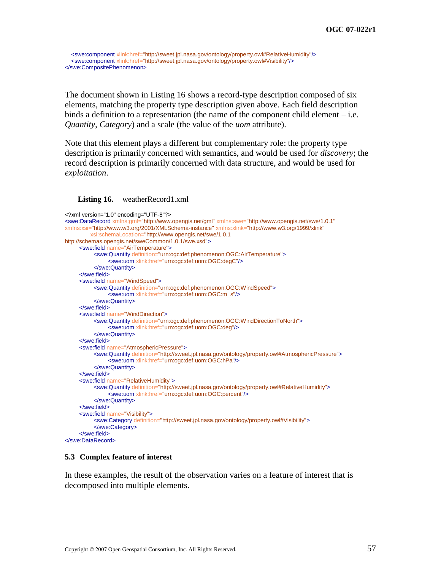<swe:component xlink:href="http://sweet.jpl.nasa.gov/ontology/property.owl#RelativeHumidity"/> <swe:component xlink:href="http://sweet.jpl.nasa.gov/ontology/property.owl#Visibility"/> </swe:CompositePhenomenon>

The document shown in [Listing 16](#page-68-0) shows a record-type description composed of six elements, matching the property type description given above. Each field description binds a definition to a representation (the name of the component child element – i.e. *Quantity*, *Category*) and a scale (the value of the *uom* attribute).

Note that this element plays a different but complementary role: the property type description is primarily concerned with semantics, and would be used for *discovery*; the record description is primarily concerned with data structure, and would be used for *exploitation*.

#### <span id="page-68-0"></span>**Listing 16.** weatherRecord1.xml

```
<?xml version="1.0" encoding="UTF-8"?>
<swe:DataRecord xmlns:gml="http://www.opengis.net/gml" xmlns:swe="http://www.opengis.net/swe/1.0.1"
xmlns:xsi="http://www.w3.org/2001/XMLSchema-instance" xmlns:xlink="http://www.w3.org/1999/xlink"
          xsi:schemaLocation="http://www.opengis.net/swe/1.0.1 
http://schemas.opengis.net/sweCommon/1.0.1/swe.xsd">
     <swe:field name="AirTemperature">
          <swe:Quantity definition="urn:ogc:def:phenomenon:OGC:AirTemperature">
               <swe:uom xlink:href="urn:ogc:def:uom:OGC:degC"/>
          </swe:Quantity>
     </swe:field>
     <swe:field name="WindSpeed">
          <swe:Quantity definition="urn:ogc:def:phenomenon:OGC:WindSpeed">
                <swe:uom xlink:href="urn:ogc:def:uom:OGC:m_s"/>
          </swe:Quantity>
     </swe:field>
     <swe:field name="WindDirection">
          <swe:Quantity definition="urn:ogc:def:phenomenon:OGC:WindDirectionToNorth">
               <swe:uom xlink:href="urn:ogc:def:uom:OGC:deg"/>
          </swe:Quantity>
     </swe:field>
     <swe:field name="AtmosphericPressure">
          <swe:Quantity definition="http://sweet.jpl.nasa.gov/ontology/property.owl#AtmosphericPressure">
               <swe:uom xlink:href="urn:ogc:def:uom:OGC:hPa"/>
          </swe:Quantity>
     </swe:field>
     <swe:field name="RelativeHumidity">
          <swe:Quantity definition="http://sweet.jpl.nasa.gov/ontology/property.owl#RelativeHumidity">
               <swe:uom xlink:href="urn:ogc:def:uom:OGC:percent"/>
          </swe:Quantity>
     </swe:field>
     <swe:field name="Visibility">
          <swe:Category definition="http://sweet.jpl.nasa.gov/ontology/property.owl#Visibility">
          </swe:Category>
     </swe:field>
</swe:DataRecord>
```
#### **5.3 Complex feature of interest**

In these examples, the result of the observation varies on a feature of interest that is decomposed into multiple elements.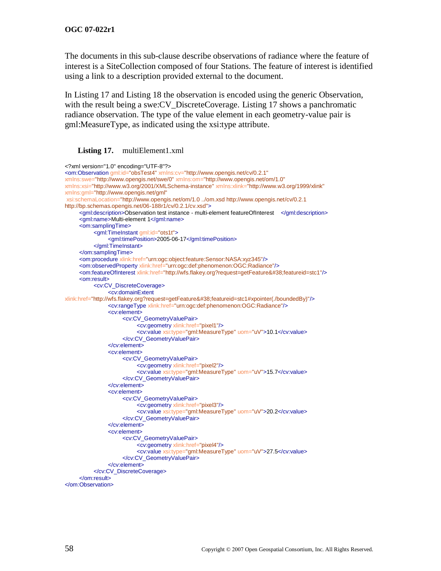The documents in this sub-clause describe observations of radiance where the feature of interest is a SiteCollection composed of four Stations. The feature of interest is identified using a link to a description provided external to the document.

In [Listing 17](#page-69-0) and [Listing 18](#page-70-0) the observation is encoded using the generic Observation, with the result being a swe: CV\_DiscreteCoverage. [Listing 17](#page-69-0) shows a panchromatic radiance observation. The type of the value element in each geometry-value pair is gml:MeasureType, as indicated using the xsi:type attribute.

## <span id="page-69-0"></span>Listing 17. multiElement1.xml

```
<?xml version="1.0" encoding="UTF-8"?>
<om:Observation gml:id="obsTest4" xmlns:cv="http://www.opengis.net/cv/0.2.1"
xmlns:swe="http://www.opengis.net/swe/0" xmlns:om="http://www.opengis.net/om/1.0"
xmlns:xsi="http://www.w3.org/2001/XMLSchema-instance" xmlns:xlink="http://www.w3.org/1999/xlink"
xmlns:gml="http://www.opengis.net/gml"
xsi:schemaLocation="http://www.opengis.net/om/1.0 ../om.xsd http://www.opengis.net/cv/0.2.1 
http://bp.schemas.opengis.net/06-188r1/cv/0.2.1/cv.xsd">
     <gml:description>Observation test instance - multi-element featureOfInterest </gml:description>
     <gml:name>Multi-element 1</gml:name>
     <om:samplingTime>
          <aml:TimeInstant gml:id="ots1t">
                <gml:timePosition>2005-06-17</gml:timePosition>
          </gml:TimeInstant>
     </om:samplingTime>
     <om:procedure xlink:href="urn:ogc:object:feature:Sensor:NASA:xyz345"/>
     <om:observedProperty xlink:href="urn:ogc:def:phenomenon:OGC:Radiance"/>
     <om:featureOfInterest xlink:href="http://wfs.flakey.org?request=getFeature&#38;featureid=stc1"/>
     <om:result>
          <cv:CV_DiscreteCoverage>
                <cv:domainExtent
xlink:href="http://wfs.flakey.org?request=getFeature&featureid=stc1#xpointer(./boundedBy)"/>
               <cv:rangeType xlink:href="urn:ogc:def:phenomenon:OGC:Radiance"/>
               <cv:element>
                     <cv:CV_GeometryValuePair>
                          <cv:geometry xlink:href="pixel1"/>
                          <cv:value xsi:type="gml:MeasureType" uom="uV">10.1</cv:value>
                     </cv:CV_GeometryValuePair>
                </cv:element>
                <cv:element>
                     <cv:CV_GeometryValuePair>
                          <cv:geometry xlink:href="pixel2"/>
                          <cv:value xsi:type="gml:MeasureType" uom="uV">15.7</cv:value>
                     </cv:CV_GeometryValuePair>
                </cv:element>
                <cv:element>
                     <cv:CV_GeometryValuePair>
                          <cv:geometry xlink:href="pixel3"/>
                          <cv:value xsi:type="gml:MeasureType" uom="uV">20.2</cv:value>
                     </cv:CV_GeometryValuePair>
               </cv:element>
                <cv:element>
                     <cv:CV_GeometryValuePair>
                          <cv:geometry xlink:href="pixel4"/>
                          <cv:value xsi:type="gml:MeasureType" uom="uV">27.5</cv:value>
                     </cv:CV_GeometryValuePair>
               </cv:element>
          </cv:CV_DiscreteCoverage>
     </om:result>
</om:Observation>
```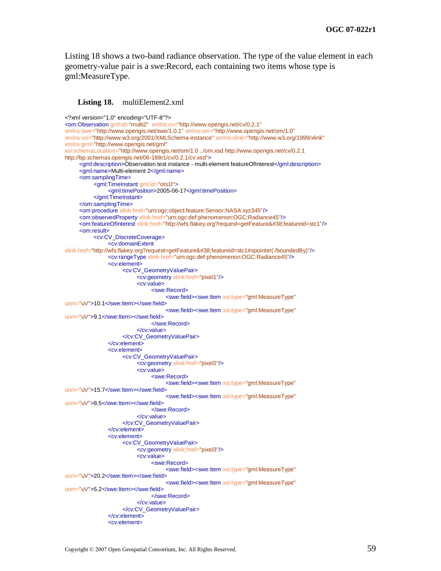[Listing 18](#page-70-0) shows a two-band radiance observation. The type of the value element in each geometry-value pair is a swe:Record, each containing two items whose type is gml:MeasureType.

#### <span id="page-70-0"></span>Listing 18. multiElement2.xml

```
<?xml version="1.0" encoding="UTF-8"?>
<om:Observation gml:id="multi2" xmlns:cv="http://www.opengis.net/cv/0.2.1"
xmlns:swe="http://www.opengis.net/swe/1.0.1" xmlns:om="http://www.opengis.net/om/1.0"
xmlns:xsi="http://www.w3.org/2001/XMLSchema-instance" xmlns:xlink="http://www.w3.org/1999/xlink"
xmlns:gml="http://www.opengis.net/gml"
xsi:schemaLocation="http://www.opengis.net/om/1.0 ../om.xsd http://www.opengis.net/cv/0.2.1 
http://bp.schemas.opengis.net/06-188r1/cv/0.2.1/cv.xsd">
     <gml:description>Observation test instance - multi-element featureOfInterest</gml:description>
     <gml:name>Multi-element 2</gml:name>
     <om:samplingTime>
          <gml:TimeInstant gml:id="ots1t">
               <gml:timePosition>2005-06-17</gml:timePosition>
          </gml:TimeInstant>
     </om:samplingTime>
     <om:procedure xlink:href="urn:ogc:object:feature:Sensor:NASA:xyz345"/>
     <om:observedProperty xlink:href="urn:ogc:def:phenomenon:OGC:Radiance45"/>
     <om:featureOfInterest xlink:href="http://wfs.flakey.org?request=getFeature&#38;featureid=stc1"/>
     <om:result>
          <cv:CV_DiscreteCoverage>
                <cv:domainExtent
xlink:href="http://wfs.flakey.org?request=getFeature&featureid=stc1#xpointer(./boundedBy)"/>
               <cv:rangeType xlink:href="urn:ogc:def:phenomenon:OGC:Radiance45"/>
               <cv:element>
                     <cv:CV_GeometryValuePair>
                          <cv:geometry xlink:href="pixel1"/>
                          <cv:value>
                                <swe:Record>
                                     <swe:field><swe:Item xsi:type="gml:MeasureType"
uom="uV">10.1</swe:Item></swe:field>
                                     <swe:field><swe:Item xsi:type="gml:MeasureType"
uom="uV">9.1</swe:Item></swe:field>
                                </swe:Record>
                          </cv:value>
                     </cv:CV_GeometryValuePair>
                </cv:element>
                <cv:element>
                     <cv:CV_GeometryValuePair>
                          <cv:geometry xlink:href="pixel2"/>
                          <cv:value>
                                <swe:Record>
                                     <swe:field><swe:Item xsi:type="gml:MeasureType"
uom="uV">15.7</swe:Item></swe:field>
                                     <swe:field><swe:Item xsi:type="gml:MeasureType"
uom="uV">8.5</swe:Item></swe:field>
                               </swe:Record>
                          </cv:value>
                     </cv:CV_GeometryValuePair>
                </cv:element>
                <cv:element>
                     <cv:CV_GeometryValuePair>
                          <cv:geometry xlink:href="pixel3"/>
                          <cv:value>
                                <swe:Record>
                                     <swe:field><swe:Item xsi:type="gml:MeasureType"
uom="uV">20.2</swe:Item></swe:field>
                                     <swe:field><swe:Item xsi:type="gml:MeasureType"
uom="uV">5.2</swe:Item></swe:field>
                                </swe:Record>
                          </cv:value>
                     </cv:CV_GeometryValuePair>
                </cv:element>
                <cv:element>
```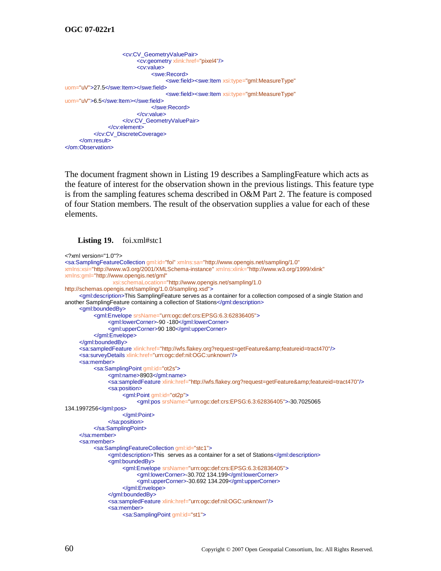```
<cv:CV_GeometryValuePair>
                          <cv:geometry xlink:href="pixel4"/>
                          <cv:value>
                               <swe:Record>
                                     <swe:field><swe:Item xsi:type="gml:MeasureType"
uom="uV">27.5</swe:Item></swe:field>
                                     <swe:field><swe:Item xsi:type="gml:MeasureType"
uom="uV">6.5</swe:Item></swe:field>
                               </swe:Record>
                          </cv:value>
                     </cv:CV_GeometryValuePair>
                </cv:element>
          </cv:CV_DiscreteCoverage>
     </om:result>
</om:Observation>
```
The document fragment shown in [Listing 19](#page-71-0) describes a SamplingFeature which acts as the feature of interest for the observation shown in the previous listings. This feature type is from the sampling features schema described in O&M Part 2. The feature is composed of four Station members. The result of the observation supplies a value for each of these elements.

#### <span id="page-71-0"></span>**Listing 19.** foi.xml#stc1

```
<?xml version="1.0"?>
<sa:SamplingFeatureCollection gml:id="foi" xmlns:sa="http://www.opengis.net/sampling/1.0"
xmlns:xsi="http://www.w3.org/2001/XMLSchema-instance" xmlns:xlink="http://www.w3.org/1999/xlink"
xmlns:gml="http://www.opengis.net/gml"
                  xsi:schemaLocation="http://www.opengis.net/sampling/1.0 
http://schemas.opengis.net/sampling/1.0.0/sampling.xsd">
     <gml:description>This SamplingFeature serves as a container for a collection composed of a single Station and 
another SamplingFeature containing a collection of Stations</gml:description>
     <gml:boundedBy>
           <gml:Envelope srsName="urn:ogc:def:crs:EPSG:6.3:62836405">
                <gml:lowerCorner>-90 -180</gml:lowerCorner>
                <gml:upperCorner>90 180</gml:upperCorner>
          </gml:Envelope>
     </gml:boundedBy>
     <sa:sampledFeature xlink:href="http://wfs.flakey.org?request=getFeature&amp;featureid=tract470"/>
     <sa:surveyDetails xlink:href="urn:ogc:def:nil:OGC:unknown"/>
     <sa:member>
          <sa:SamplingPoint gml:id="ot2s">
                <gml:name>8903</gml:name>
                <sa:sampledFeature xlink:href="http://wfs.flakey.org?request=getFeature&amp;featureid=tract470"/>
                <sa:position>
                     <gml:Point gml:id="ot2p">
                          <gml:pos srsName="urn:ogc:def:crs:EPSG:6.3:62836405">-30.7025065 
134.1997256</gml:pos>
                     </gml:Point>
                </sa:position>
          </sa:SamplingPoint>
     </sa:member>
     <sa:member>
          <sa:SamplingFeatureCollection gml:id="stc1">
                <gml:description>This serves as a container for a set of Stations</gml:description>
                <gml:boundedBy>
                     <gml:Envelope srsName="urn:ogc:def:crs:EPSG:6.3:62836405">
                          <gml:lowerCorner>-30.702 134.199</gml:lowerCorner>
                          <gml:upperCorner>-30.692 134.209</gml:upperCorner>
                     </gml:Envelope>
                </gml:boundedBy>
                <sa:sampledFeature xlink:href="urn:ogc:def:nil:OGC:unknown"/>
                <sa:member>
                     <sa:SamplingPoint gml:id="st1">
```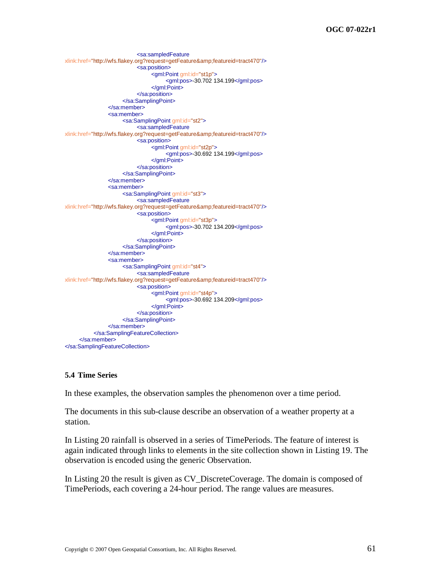```
<sa:sampledFeature
xlink:href="http://wfs.flakey.org?request=getFeature&featureid=tract470"/>
                          <sa:position>
                               <gml:Point gml:id="st1p">
                                     <gml:pos>-30.702 134.199</gml:pos>
                               </gml:Point>
                          </sa:position>
                     </sa:SamplingPoint>
                </sa:member>
                <sa:member>
                     <sa:SamplingPoint gml:id="st2">
                          <sa:sampledFeature
xlink:href="http://wfs.flakey.org?request=getFeature&featureid=tract470"/>
                          <sa:position>
                               <gml:Point gml:id="st2p">
                                     <gml:pos>-30.692 134.199</gml:pos>
                               </gml:Point>
                          </sa:position>
                     </sa:SamplingPoint>
                </sa:member>
                <sa:member>
                     <sa:SamplingPoint gml:id="st3">
                          <sa:sampledFeature
xlink:href="http://wfs.flakey.org?request=getFeature&featureid=tract470"/>
                          <sa:position>
                               <gml:Point gml:id="st3p">
                                     <gml:pos>-30.702 134.209</gml:pos>
                               </gml:Point>
                          </sa:position>
                     </sa:SamplingPoint>
                </sa:member>
                <sa:member>
                     <sa:SamplingPoint gml:id="st4">
                          <sa:sampledFeature
xlink:href="http://wfs.flakey.org?request=getFeature&featureid=tract470"/>
                          <sa:position>
                               <gml:Point gml:id="st4p">
                                     <gml:pos>-30.692 134.209</gml:pos>
                               </gml:Point>
                          </sa:position>
                     </sa:SamplingPoint>
               </sa:member>
          </sa:SamplingFeatureCollection>
     </sa:member>
</sa:SamplingFeatureCollection>
```
# **5.4 Time Series**

In these examples, the observation samples the phenomenon over a time period.

The documents in this sub-clause describe an observation of a weather property at a station.

In [Listing 20](#page-73-0) rainfall is observed in a series of TimePeriods. The feature of interest is again indicated through links to elements in the site collection shown in [Listing 19.](#page-71-0) The observation is encoded using the generic Observation.

In [Listing 20](#page-73-0) the result is given as CV\_DiscreteCoverage. The domain is composed of TimePeriods, each covering a 24-hour period. The range values are measures.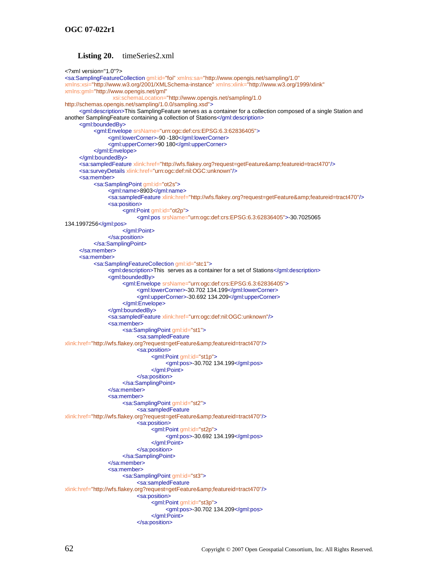### **Listing 20.** timeSeries2.xml

```
<?xml version="1.0"?>
<sa:SamplingFeatureCollection gml:id="foi" xmlns:sa="http://www.opengis.net/sampling/1.0"
xmlns:xsi="http://www.w3.org/2001/XMLSchema-instance" xmlns:xlink="http://www.w3.org/1999/xlink"
xmlns:gml="http://www.opengis.net/gml"
                  xsi:schemaLocation="http://www.opengis.net/sampling/1.0 
http://schemas.opengis.net/sampling/1.0.0/sampling.xsd">
     <gml:description>This SamplingFeature serves as a container for a collection composed of a single Station and 
another SamplingFeature containing a collection of Stations</gml:description>
     <gml:boundedBy>
          <gml:Envelope srsName="urn:ogc:def:crs:EPSG:6.3:62836405">
                <gml:lowerCorner>-90 -180</gml:lowerCorner>
                <gml:upperCorner>90 180</gml:upperCorner>
          </gml:Envelope>
     </gml:boundedBy>
     <sa:sampledFeature xlink:href="http://wfs.flakey.org?request=getFeature&amp;featureid=tract470"/>
     <sa:surveyDetails xlink:href="urn:ogc:def:nil:OGC:unknown"/>
     <sa:member>
          <sa:SamplingPoint gml:id="ot2s">
               <gml:name>8903</gml:name>
                <sa:sampledFeature xlink:href="http://wfs.flakey.org?request=getFeature&amp;featureid=tract470"/>
                <sa:position>
                     <gml:Point gml:id="ot2p">
                          <gml:pos srsName="urn:ogc:def:crs:EPSG:6.3:62836405">-30.7025065 
134.1997256</gml:pos>
                     </gml:Point>
               </sa:position>
          </sa:SamplingPoint>
     </sa:member>
     <sa:member>
          <sa:SamplingFeatureCollection gml:id="stc1">
                <gml:description>This serves as a container for a set of Stations</gml:description>
                <gml:boundedBy>
                     <gml:Envelope srsName="urn:ogc:def:crs:EPSG:6.3:62836405">
                          <gml:lowerCorner>-30.702 134.199</gml:lowerCorner>
                          <gml:upperCorner>-30.692 134.209</gml:upperCorner>
                     </gml:Envelope>
                </gml:boundedBy>
                <sa:sampledFeature xlink:href="urn:ogc:def:nil:OGC:unknown"/>
                <sa:member>
                     <sa:SamplingPoint gml:id="st1">
                          <sa:sampledFeature
xlink:href="http://wfs.flakey.org?request=getFeature&featureid=tract470"/>
                          <sa:position>
                               <gml:Point gml:id="st1p">
                                     <gml:pos>-30.702 134.199</gml:pos>
                               </gml:Point>
                          </sa:position>
                     </sa:SamplingPoint>
                </sa:member>
                <sa:member>
                     <sa:SamplingPoint gml:id="st2">
                          <sa:sampledFeature
xlink:href="http://wfs.flakey.org?request=getFeature&featureid=tract470"/>
                          <sa:position>
                                <gml:Point gml:id="st2p">
                                     <gml:pos>-30.692 134.199</gml:pos>
                               </gml:Point>
                          </sa:position>
                     </sa:SamplingPoint>
                </sa:member>
                <sa:member>
                     <sa:SamplingPoint gml:id="st3">
                          <sa:sampledFeature
xlink:href="http://wfs.flakey.org?request=getFeature&featureid=tract470"/>
                          <sa:position>
                                <gml:Point gml:id="st3p">
                                     <gml:pos>-30.702 134.209</gml:pos>
                               </gml:Point>
                          </sa:position>
```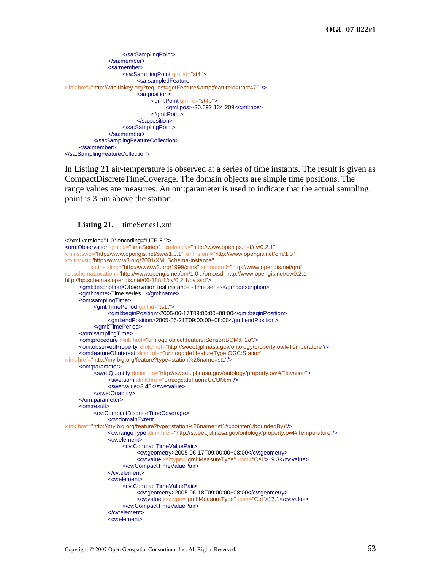```
</sa:SamplingPoint>
               </sa:member>
               <sa:member>
                     <sa:SamplingPoint gml:id="st4">
                          <sa:sampledFeature
xlink:href="http://wfs.flakey.org?request=getFeature&featureid=tract470"/>
                          <sa:position>
                               <gml:Point gml:id="st4p">
                                    <gml:pos>-30.692 134.209</gml:pos>
                               </gml:Point>
                          </sa:position>
                     </sa:SamplingPoint>
               </sa:member>
          </sa:SamplingFeatureCollection>
     </sa:member>
</sa:SamplingFeatureCollection>
```
In [Listing 21](#page-74-0) air-temperature is observed at a series of time instants. The result is given as CompactDiscreteTimeCoverage. The domain objects are simple time positions. The range values are measures. An om:parameter is used to indicate that the actual sampling point is 3.5m above the station.

### <span id="page-74-0"></span>Listing 21. timeSeries1.xml

```
<?xml version="1.0" encoding="UTF-8"?>
<om:Observation gml:id="timeSeries1" xmlns:cv="http://www.opengis.net/cv/0.2.1"
xmlns:swe="http://www.opengis.net/swe/1.0.1" xmlns:om="http://www.opengis.net/om/1.0"
xmlns:xsi="http://www.w3.org/2001/XMLSchema-instance"
          xmlns:xlink="http://www.w3.org/1999/xlink" xmlns:gml="http://www.opengis.net/gml"
xsi:schemaLocation="http://www.opengis.net/om/1.0 ../om.xsd http://www.opengis.net/cv/0.2.1 
http://bp.schemas.opengis.net/06-188r1/cv/0.2.1/cv.xsd">
     <gml:description>Observation test instance - time series</gml:description>
     <gml:name>Time series 1</gml:name>
     <om:samplingTime>
           <gml:TimePeriod gml:id="ts1t">
                <gml:beginPosition>2005-06-17T09:00:00+08:00</gml:beginPosition>
                <gml:endPosition>2005-06-21T09:00:00+08:00</gml:endPosition>
           </gml:TimePeriod>
     </om:samplingTime>
     <om:procedure xlink:href="urn:ogc:object:feature:Sensor:BOM:t_2a"/>
     <om:observedProperty xlink:href="http://sweet.jpl.nasa.gov/ontology/property.owl#Temperature"/>
     <om:featureOfInterest xlink:role="urn:ogc:def:featureType:OGC:Station"
xlink:href="http://my.big.org/feature?type=station%26name=st1"/>
     <om:parameter>
          <swe:Quantity definition="http://sweet.jpl.nasa.gov/ontology/property.owl#Elevation">
                <swe:uom xlink:href="urn:ogc:def:uom:UCUM:m"/>
                <swe:value>3.45</swe:value>
          </swe:Quantity>
     </om:parameter>
     <om:result>
          <cv:CompactDiscreteTimeCoverage>
                <cv:domainExtent
xlink:href="http://my.big.org/feature?type=station%26name=st1#xpointer(./boundedBy)"/>
               <cv:rangeType xlink:href="http://sweet.jpl.nasa.gov/ontology/property.owl#Temperature"/>
                <cv:element>
                     <cv:CompactTimeValuePair>
                          <cv:geometry>2005-06-17T09:00:00+08:00</cv:geometry>
                          <cv:value xsi:type="gml:MeasureType" uom="Cel">19.3</cv:value>
                     </cv:CompactTimeValuePair>
                </cv:element>
                <cv:element>
                     <cv:CompactTimeValuePair>
                          <cv:geometry>2005-06-18T09:00:00+08:00</cv:geometry>
                          <cv:value xsi:type="gml:MeasureType" uom="Cel">17.1</cv:value>
                     </cv:CompactTimeValuePair>
                </cv:element>
                <cv:element>
```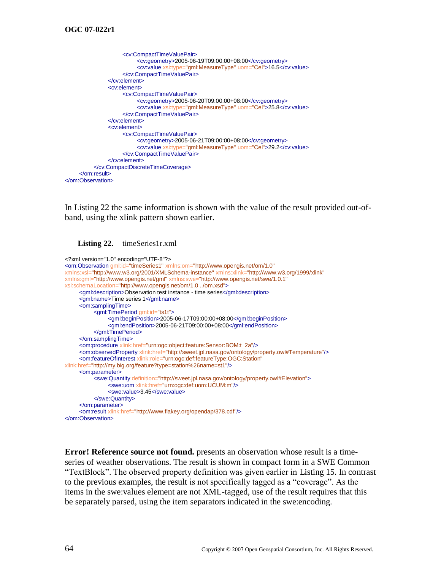```
<cv:CompactTimeValuePair>
                         <cv:geometry>2005-06-19T09:00:00+08:00</cv:geometry>
                         <cv:value xsi:type="gml:MeasureType" uom="Cel">16.5</cv:value>
                    </cv:CompactTimeValuePair>
               </cv:element>
               <cv:element>
                    <cv:CompactTimeValuePair>
                         <cv:geometry>2005-06-20T09:00:00+08:00</cv:geometry>
                         <cv:value xsi:type="gml:MeasureType" uom="Cel">25.8</cv:value>
                    </cv:CompactTimeValuePair>
               </cv:element>
               <cv:element>
                    <cv:CompactTimeValuePair>
                         <cv:geometry>2005-06-21T09:00:00+08:00</cv:geometry>
                         <cv:value xsi:type="gml:MeasureType" uom="Cel">29.2</cv:value>
                    </cv:CompactTimeValuePair>
               </cv:element>
          </cv:CompactDiscreteTimeCoverage>
     </om:result>
</om:Observation>
```
In [Listing 22](#page-75-0) the same information is shown with the value of the result provided out-ofband, using the xlink pattern shown earlier.

<span id="page-75-0"></span>

```
<?xml version="1.0" encoding="UTF-8"?>
<om:Observation gml:id="timeSeries1" xmlns:om="http://www.opengis.net/om/1.0"
xmlns:xsi="http://www.w3.org/2001/XMLSchema-instance" xmlns:xlink="http://www.w3.org/1999/xlink"
xmlns:gml="http://www.opengis.net/gml" xmlns:swe="http://www.opengis.net/swe/1.0.1"
xsi:schemaLocation="http://www.opengis.net/om/1.0 ../om.xsd">
     <gml:description>Observation test instance - time series</gml:description>
     <gml:name>Time series 1</gml:name>
     <om:samplingTime>
          <gml:TimePeriod gml:id="ts1t">
                <gml:beginPosition>2005-06-17T09:00:00+08:00</gml:beginPosition>
                <gml:endPosition>2005-06-21T09:00:00+08:00</gml:endPosition>
          </gml:TimePeriod>
     </om:samplingTime>
     <om:procedure xlink:href="urn:ogc:object:feature:Sensor:BOM:t_2a"/>
     <om:observedProperty xlink:href="http://sweet.jpl.nasa.gov/ontology/property.owl#Temperature"/>
     <om:featureOfInterest xlink:role="urn:ogc:def:featureType:OGC:Station"
xlink:href="http://my.big.org/feature?type=station%26name=st1"/>
     <om:parameter>
          <swe:Quantity definition="http://sweet.jpl.nasa.gov/ontology/property.owl#Elevation">
                <swe:uom xlink:href="urn:ogc:def:uom:UCUM:m"/>
                <swe:value>3.45</swe:value>
          </swe:Quantity>
     </om:parameter>
     <om:result xlink:href="http://www.flakey.org/opendap/378.cdf"/>
</om:Observation>
```
**Error! Reference source not found.** presents an observation whose result is a timeseries of weather observations. The result is shown in compact form in a SWE Common ―TextBlock‖. The observed property definition was given earlier in [Listing 15.](#page-67-0) In contrast to the previous examples, the result is not specifically tagged as a "coverage". As the items in the swe:values element are not XML-tagged, use of the result requires that this be separately parsed, using the item separators indicated in the swe:encoding.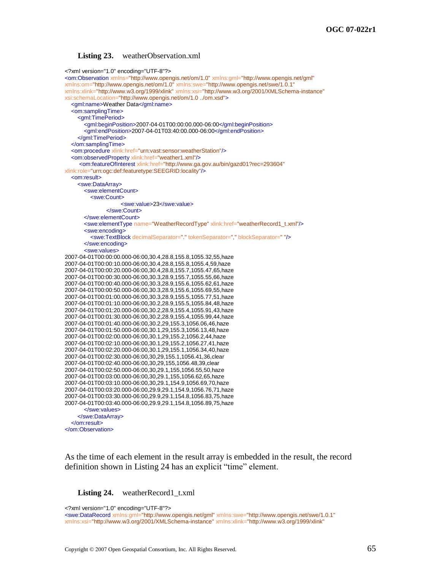#### **Listing 23.** weatherObservation.xml

```
<?xml version="1.0" encoding="UTF-8"?>
<om:Observation xmlns="http://www.opengis.net/om/1.0" xmlns:gml="http://www.opengis.net/gml"
xmlns:om="http://www.opengis.net/om/1.0" xmlns:swe="http://www.opengis.net/swe/1.0.1"
xmlns:xlink="http://www.w3.org/1999/xlink" xmlns:xsi="http://www.w3.org/2001/XMLSchema-instance"
xsi:schemaLocation="http://www.opengis.net/om/1.0 ../om.xsd">
   <gml:name>Weather Data</gml:name>
   <om:samplingTime>
     <gml:TimePeriod>
        <gml:beginPosition>2007-04-01T00:00:00.000-06:00</gml:beginPosition>
        <gml:endPosition>2007-04-01T03:40:00.000-06:00</gml:endPosition>
     </gml:TimePeriod>
   </om:samplingTime>
   <om:procedure xlink:href="urn:vast:sensor:weatherStation"/>
   <om:observedProperty xlink:href="weather1.xml"/>
     <om:featureOfInterest xlink:href="http://www.ga.gov.au/bin/gazd01?rec=293604"
xlink:role="urn:ogc:def:featuretype:SEEGRID:locality"/>
   <om:result>
     <swe:DataArray>
       <swe:elementCount>
          <swe:Count>
                     <swe:value>23</swe:value>
                </swe:Count>
        </swe:elementCount>
        <swe:elementType name="WeatherRecordType" xlink:href="weatherRecord1_t.xml"/>
        <swe:encoding>
          <swe:TextBlock decimalSeparator="." tokenSeparator="," blockSeparator=" "/>
        </swe:encoding>
        <swe:values>
2007-04-01T00:00:00.000-06:00,30.4,28.8,155.8,1055.32,55,haze
2007-04-01T00:00:10.000-06:00,30.4,28.8,155.8,1055.4,59,haze
2007-04-01T00:00:20.000-06:00,30.4,28.8,155.7,1055.47,65,haze
2007-04-01T00:00:30.000-06:00,30.3,28.9,155.7,1055.55,66,haze
2007-04-01T00:00:40.000-06:00,30.3,28.9,155.6,1055.62,61,haze
2007-04-01T00:00:50.000-06:00,30.3,28.9,155.6,1055.69,55,haze
2007-04-01T00:01:00.000-06:00,30.3,28.9,155.5,1055.77,51,haze
2007-04-01T00:01:10.000-06:00,30.2,28.9,155.5,1055.84,48,haze
2007-04-01T00:01:20.000-06:00,30.2,28.9,155.4,1055.91,43,haze
2007-04-01T00:01:30.000-06:00,30.2,28.9,155.4,1055.99,44,haze
2007-04-01T00:01:40.000-06:00,30.2,29,155.3,1056.06,46,haze
2007-04-01T00:01:50.000-06:00,30.1,29,155.3,1056.13,48,haze
2007-04-01T00:02:00.000-06:00,30.1,29,155.2,1056.2,44,haze
2007-04-01T00:02:10.000-06:00,30.1,29,155.2,1056.27,41,haze
2007-04-01T00:02:20.000-06:00,30.1,29,155.1,1056.34,40,haze
2007-04-01T00:02:30.000-06:00,30,29,155.1,1056.41,36,clear
2007-04-01T00:02:40.000-06:00,30,29,155,1056.48,39,clear
2007-04-01T00:02:50.000-06:00,30,29.1,155,1056.55,50,haze
2007-04-01T00:03:00.000-06:00,30,29.1,155,1056.62,65,haze
2007-04-01T00:03:10.000-06:00,30,29.1,154.9,1056.69,70,haze
2007-04-01T00:03:20.000-06:00,29.9,29.1,154.9,1056.76,71,haze
2007-04-01T00:03:30.000-06:00,29.9,29.1,154.8,1056.83,75,haze
2007-04-01T00:03:40.000-06:00,29.9,29.1,154.8,1056.89,75,haze
        </swe:values>
     </swe:DataArray>
   </om:result>
</om:Observation>
```
As the time of each element in the result array is embedded in the result, the record definition shown in [Listing 24](#page-76-0) has an explicit "time" element.

<span id="page-76-0"></span>**Listing 24.** weatherRecord1 t.xml

<?xml version="1.0" encoding="UTF-8"?>

<swe:DataRecord xmlns:gml="http://www.opengis.net/gml" xmlns:swe="http://www.opengis.net/swe/1.0.1" xmlns:xsi="http://www.w3.org/2001/XMLSchema-instance" xmlns:xlink="http://www.w3.org/1999/xlink"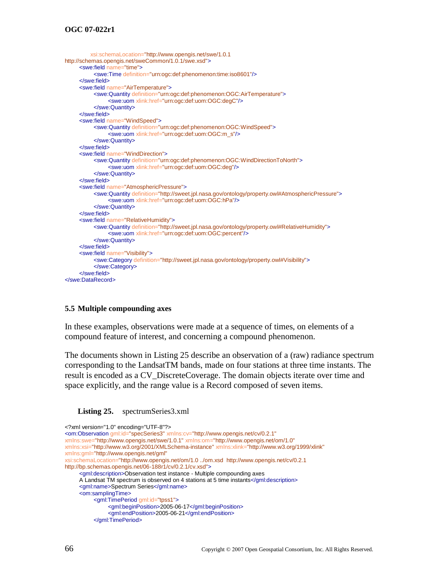# **OGC 07-022r1**

```
 xsi:schemaLocation="http://www.opengis.net/swe/1.0.1 
http://schemas.opengis.net/sweCommon/1.0.1/swe.xsd">
     <swe:field name="time">
          <swe:Time definition="urn:ogc:def:phenomenon:time:iso8601"/>
     </swe:field>
     <swe:field name="AirTemperature">
          <swe:Quantity definition="urn:ogc:def:phenomenon:OGC:AirTemperature">
               <swe:uom xlink:href="urn:ogc:def:uom:OGC:degC"/>
          </swe:Quantity>
     </swe:field>
     <swe:field name="WindSpeed">
          <swe:Quantity definition="urn:ogc:def:phenomenon:OGC:WindSpeed">
               <swe:uom xlink:href="urn:ogc:def:uom:OGC:m_s"/>
          </swe:Quantity>
     </swe:field>
     <swe:field name="WindDirection">
          <swe:Quantity definition="urn:ogc:def:phenomenon:OGC:WindDirectionToNorth">
               <swe:uom xlink:href="urn:ogc:def:uom:OGC:deg"/>
          </swe:Quantity>
     </swe:field>
     <swe:field name="AtmosphericPressure">
          <swe:Quantity definition="http://sweet.jpl.nasa.gov/ontology/property.owl#AtmosphericPressure">
               <swe:uom xlink:href="urn:ogc:def:uom:OGC:hPa"/>
          </swe:Quantity>
     </swe:field>
     <swe:field name="RelativeHumidity">
          <swe:Quantity definition="http://sweet.jpl.nasa.gov/ontology/property.owl#RelativeHumidity">
               <swe:uom xlink:href="urn:ogc:def:uom:OGC:percent"/>
          </swe:Quantity>
     </swe:field>
     <swe:field name="Visibility">
          <swe:Category definition="http://sweet.jpl.nasa.gov/ontology/property.owl#Visibility">
          </swe:Category>
     </swe:field>
</swe:DataRecord>
```
## **5.5 Multiple compounding axes**

In these examples, observations were made at a sequence of times, on elements of a compound feature of interest, and concerning a compound phenomenon.

The documents shown in [Listing 25](#page-77-0) describe an observation of a (raw) radiance spectrum corresponding to the LandsatTM bands, made on four stations at three time instants. The result is encoded as a CV\_DiscreteCoverage. The domain objects iterate over time and space explicitly, and the range value is a Record composed of seven items.

### <span id="page-77-0"></span>Listing 25. spectrumSeries3.xml

| xml version="1.0" encoding="UTF-8"?                                                                          |
|--------------------------------------------------------------------------------------------------------------|
| <om:observation <="" gml:id="specSeries3" td="" xmlns:cv="http://www.opengis.net/cv/0.2.1"></om:observation> |
| xmlns:swe="http://www.opengis.net/swe/1.0.1" xmlns:om="http://www.opengis.net/om/1.0"                        |
| xmlns:xsi="http://www.w3.org/2001/XMLSchema-instance" xmlns:xlink="http://www.w3.org/1999/xlink"             |
| xmlns:gml="http://www.opengis.net/gml"                                                                       |
| xsi:schemaLocation="http://www.opengis.net/om/1.0 /om.xsd http://www.opengis.net/cv/0.2.1                    |
| http://bp.schemas.opengis.net/06-188r1/cv/0.2.1/cv.xsd">                                                     |
| <gml:description>Observation test instance - Multiple compounding axes</gml:description>                     |
| A Landsat TM spectrum is observed on 4 stations at 5 time instants                                           |
| <gml:name>Spectrum Series</gml:name>                                                                         |
| <om:samplingtime></om:samplingtime>                                                                          |
| <gml:timeperiod gml:id="tpss1"></gml:timeperiod>                                                             |
| <gml:beginposition>2005-06-17</gml:beginposition>                                                            |
| <gml:endposition>2005-06-21</gml:endposition>                                                                |
|                                                                                                              |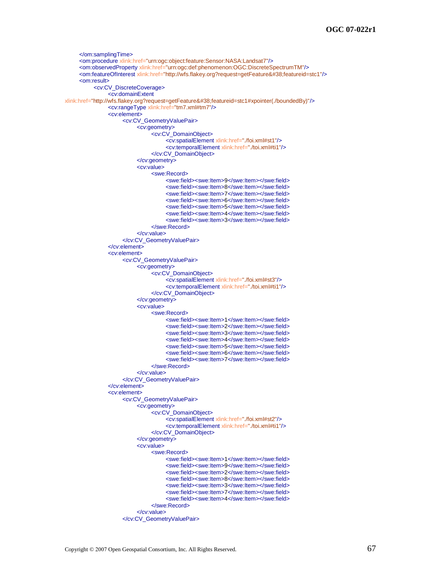```
</om:samplingTime>
     <om:procedure xlink:href="urn:ogc:object:feature:Sensor:NASA:Landsat7"/>
     <om:observedProperty xlink:href="urn:ogc:def:phenomenon:OGC:DiscreteSpectrumTM"/>
     <om:featureOfInterest xlink:href="http://wfs.flakey.org?request=getFeature&featureid=stc1"/>
     <om:result>
          <cv:CV_DiscreteCoverage>
               <cv:domainExtent
xlink:href="http://wfs.flakey.org?request=getFeature&featureid=stc1#xpointer(./boundedBy)"/>
               <cv:rangeType xlink:href="tm7.xml#tm7"/>
               <cv:element>
                     <cv:CV_GeometryValuePair>
                          <cv:geometry>
                               <cv:CV_DomainObject>
                                     <cv:spatialElement xlink:href="./foi.xml#st1"/>
                                     <cv:temporalElement xlink:href="./toi.xml#ti1"/>
                               </cv:CV_DomainObject>
                          </cv:geometry>
                          <cv:value>
                               <swe:Record>
                                     <swe:field><swe:Item>9</swe:Item></swe:field>
                                     <swe:field><swe:Item>8</swe:Item></swe:field>
                                     <swe:field><swe:Item>7</swe:Item></swe:field>
                                     <swe:field><swe:Item>6</swe:Item></swe:field>
                                     <swe:field><swe:Item>5</swe:Item></swe:field>
                                     <swe:field><swe:Item>4</swe:Item></swe:field>
                                     <swe:field><swe:Item>3</swe:Item></swe:field>
                               </swe:Record>
                          </cv:value>
                     </cv:CV_GeometryValuePair>
               </cv:element>
               <cv:element>
                     <cv:CV_GeometryValuePair>
                          <cv:geometry>
                               <cv:CV_DomainObject>
                                     <cv:spatialElement xlink:href="./foi.xml#st3"/>
                                     <cv:temporalElement xlink:href="./toi.xml#ti1"/>
                               </cv:CV_DomainObject>
                          </cv:geometry>
                          <cv:value>
                               <swe:Record>
                                     <swe:field><swe:Item>1</swe:Item></swe:field>
                                     <swe:field><swe:Item>2</swe:Item></swe:field>
                                     <swe:field><swe:Item>3</swe:Item></swe:field>
                                     <swe:field><swe:Item>4</swe:Item></swe:field>
                                     <swe:field><swe:Item>5</swe:Item></swe:field>
                                     <swe:field><swe:Item>6</swe:Item></swe:field>
                                     <swe:field><swe:Item>7</swe:Item></swe:field>
                               </swe:Record>
                          </cv:value>
                     </cv:CV_GeometryValuePair>
               </cv:element>
               <cv:element>
                     <cv:CV_GeometryValuePair>
                          <cv:geometry>
                               <cv:CV_DomainObject>
                                     <cv:spatialElement xlink:href="./foi.xml#st2"/>
                                     <cv:temporalElement xlink:href="./toi.xml#ti1"/>
                               </cv:CV_DomainObject>
                          </cv:geometry>
                          <cv:value>
                                <swe:Record>
                                     <swe:field><swe:Item>1</swe:Item></swe:field>
                                     <swe:field><swe:Item>9</swe:Item></swe:field>
                                     <swe:field><swe:Item>2</swe:Item></swe:field>
                                     <swe:field><swe:Item>8</swe:Item></swe:field>
                                     <swe:field><swe:Item>3</swe:Item></swe:field>
                                     <swe:field><swe:Item>7</swe:Item></swe:field>
                                     <swe:field><swe:Item>4</swe:Item></swe:field>
                               </swe:Record>
                          </cv:value>
                     </cv:CV_GeometryValuePair>
```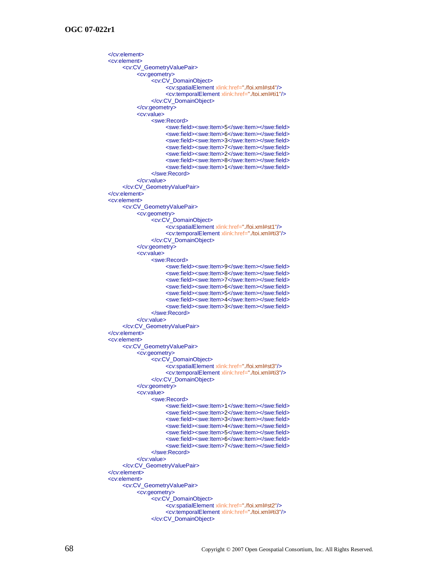$\angle$ cv:element $\sim$ <cv:element> <cv:CV\_GeometryValuePair> <cv:geometry> <cv:CV\_DomainObject> <cv:spatialElement xlink:href="./foi.xml#st4"/> <cv:temporalElement xlink:href="./toi.xml#ti1"/> </cv:CV\_DomainObject> </cv:geometry> <cv:value> <swe:Record> <swe:field><swe:Item>5</swe:Item></swe:field> <swe:field><swe:Item>6</swe:Item></swe:field> <swe:field><swe:Item>3</swe:Item></swe:field> <swe:field><swe:Item>7</swe:Item></swe:field> <swe:field><swe:Item>2</swe:Item></swe:field> <swe:field><swe:Item>8</swe:Item></swe:field> <swe:field><swe:Item>1</swe:Item></swe:field> </swe:Record> </cv:value> </cv:CV\_GeometryValuePair> </cv:element> <cv:element> <cv:CV\_GeometryValuePair> <cv:geometry> <cv:CV\_DomainObject> <cv:spatialElement xlink:href="./foi.xml#st1"/> <cv:temporalElement xlink:href="./toi.xml#ti3"/> </cv:CV\_DomainObject> </cv:geometry> <cv:value> <swe:Record> <swe:field><swe:Item>9</swe:Item></swe:field> <swe:field><swe:Item>8</swe:Item></swe:field> <swe:field><swe:Item>7</swe:Item></swe:field> <swe:field><swe:Item>6</swe:Item></swe:field> <swe:field><swe:Item>5</swe:Item></swe:field> <swe:field><swe:Item>4</swe:Item></swe:field> <swe:field><swe:Item>3</swe:Item></swe:field> </swe:Record> </cv:value> </cv:CV\_GeometryValuePair> </cv:element> <cv:element> <cv:CV\_GeometryValuePair> <cv:geometry> <cv:CV\_DomainObject> <cv:spatialElement xlink:href="./foi.xml#st3"/> <cv:temporalElement xlink:href="./toi.xml#ti3"/> </cv:CV\_DomainObject> </cv:geometry> <cv:value> <swe:Record> <swe:field><swe:Item>1</swe:Item></swe:field> <swe:field><swe:Item>2</swe:Item></swe:field> <swe:field><swe:Item>3</swe:Item></swe:field> <swe:field><swe:Item>4</swe:Item></swe:field> <swe:field><swe:Item>5</swe:Item></swe:field> <swe:field><swe:Item>6</swe:Item></swe:field> <swe:field><swe:Item>7</swe:Item></swe:field> </swe:Record> </cv:value> </cv:CV\_GeometryValuePair> </cv:element> <cv:element> <cv:CV\_GeometryValuePair> <cv:geometry> <cv:CV\_DomainObject> <cv:spatialElement xlink:href="./foi.xml#st2"/> <cv:temporalElement xlink:href="./toi.xml#ti3"/> </cv:CV\_DomainObject>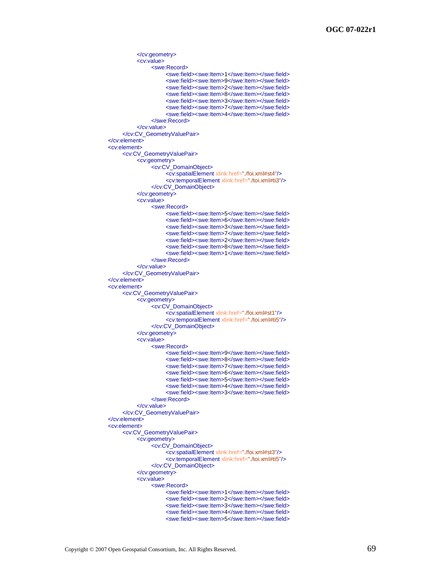```
</cv:geometry>
          <cv:value>
               <swe:Record>
                     <swe:field><swe:Item>1</swe:Item></swe:field>
                     <swe:field><swe:Item>9</swe:Item></swe:field>
                     <swe:field><swe:Item>2</swe:Item></swe:field>
                     <swe:field><swe:Item>8</swe:Item></swe:field>
                     <swe:field><swe:Item>3</swe:Item></swe:field>
                     <swe:field><swe:Item>7</swe:Item></swe:field>
                     <swe:field><swe:Item>4</swe:Item></swe:field>
               </swe:Record>
          </cv:value>
     </cv:CV_GeometryValuePair>
</cv:element>
<cv:element>
     <cv:CV_GeometryValuePair>
          <cv:geometry>
                <cv:CV_DomainObject>
                     <cv:spatialElement xlink:href="./foi.xml#st4"/>
                     <cv:temporalElement xlink:href="./toi.xml#ti3"/>
               </cv:CV_DomainObject>
          </cv:geometry>
          <cv:value>
               <swe:Record>
                     <swe:field><swe:Item>5</swe:Item></swe:field>
                     <swe:field><swe:Item>6</swe:Item></swe:field>
                     <swe:field><swe:Item>3</swe:Item></swe:field>
                     <swe:field><swe:Item>7</swe:Item></swe:field>
                     <swe:field><swe:Item>2</swe:Item></swe:field>
                     <swe:field><swe:Item>8</swe:Item></swe:field>
                     <swe:field><swe:Item>1</swe:Item></swe:field>
               </swe:Record>
          </cv:value>
     </cv:CV_GeometryValuePair>
</cv:element>
<cv:element>
     <cv:CV_GeometryValuePair>
          <cv:geometry>
               <cv:CV_DomainObject>
                     <cv:spatialElement xlink:href="./foi.xml#st1"/>
                     <cv:temporalElement xlink:href="./toi.xml#ti5"/>
               </cv:CV_DomainObject>
          </cv:geometry>
          <cv:value>
                <swe:Record>
                     <swe:field><swe:Item>9</swe:Item></swe:field>
                     <swe:field><swe:Item>8</swe:Item></swe:field>
                     <swe:field><swe:Item>7</swe:Item></swe:field>
                     <swe:field><swe:Item>6</swe:Item></swe:field>
                     <swe:field><swe:Item>5</swe:Item></swe:field>
                     <swe:field><swe:Item>4</swe:Item></swe:field>
                     <swe:field><swe:Item>3</swe:Item></swe:field>
               </swe:Record>
          </cv:value>
     </cv:CV_GeometryValuePair>
</cv:element>
<cv:element>
     <cv:CV_GeometryValuePair>
          <cv:geometry>
               <cv:CV_DomainObject>
                     <cv:spatialElement xlink:href="./foi.xml#st3"/>
                     <cv:temporalElement xlink:href="./toi.xml#ti5"/>
               </cv:CV_DomainObject>
          </cv:geometry>
          <cv:value>
               <swe:Record>
                     <swe:field><swe:Item>1</swe:Item></swe:field>
                     <swe:field><swe:Item>2</swe:Item></swe:field>
                     <swe:field><swe:Item>3</swe:Item></swe:field>
                     <swe:field><swe:Item>4</swe:Item></swe:field>
                     <swe:field><swe:Item>5</swe:Item></swe:field>
```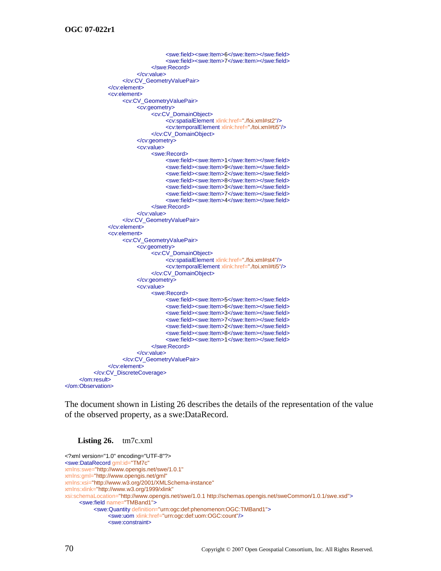```
<swe:field><swe:Item>6</swe:Item></swe:field>
                                     <swe:field><swe:Item>7</swe:Item></swe:field>
                               </swe:Record>
                          </cv:value>
                     </cv:CV_GeometryValuePair>
               </cv:element>
               <cv:element>
                     <cv:CV_GeometryValuePair>
                          <cv:geometry>
                               <cv:CV_DomainObject>
                                     <cv:spatialElement xlink:href="./foi.xml#st2"/>
                                     <cv:temporalElement xlink:href="./toi.xml#ti5"/>
                               </cv:CV_DomainObject>
                          </cv:geometry>
                          <cv:value>
                               <swe:Record>
                                     <swe:field><swe:Item>1</swe:Item></swe:field>
                                     <swe:field><swe:Item>9</swe:Item></swe:field>
                                     <swe:field><swe:Item>2</swe:Item></swe:field>
                                     <swe:field><swe:Item>8</swe:Item></swe:field>
                                     <swe:field><swe:Item>3</swe:Item></swe:field>
                                     <swe:field><swe:Item>7</swe:Item></swe:field>
                                     <swe:field><swe:Item>4</swe:Item></swe:field>
                               </swe:Record>
                          </cv:value>
                     </cv:CV_GeometryValuePair>
               </cv:element>
               <cv:element>
                     <cv:CV_GeometryValuePair>
                          <cv:geometry>
                               <cv:CV_DomainObject>
                                     <cv:spatialElement xlink:href="./foi.xml#st4"/>
                                     <cv:temporalElement xlink:href="./toi.xml#ti5"/>
                               </cv:CV_DomainObject>
                          </cv:geometry>
                          <cv:value>
                               <swe:Record>
                                     <swe:field><swe:Item>5</swe:Item></swe:field>
                                     <swe:field><swe:Item>6</swe:Item></swe:field>
                                     <swe:field><swe:Item>3</swe:Item></swe:field>
                                     <swe:field><swe:Item>7</swe:Item></swe:field>
                                     <swe:field><swe:Item>2</swe:Item></swe:field>
                                     <swe:field><swe:Item>8</swe:Item></swe:field>
                                     <swe:field><swe:Item>1</swe:Item></swe:field>
                               </swe:Record>
                          </cv:value>
                     </cv:CV_GeometryValuePair>
               </cv:element>
          </cv:CV_DiscreteCoverage>
     </om:result>
</om:Observation>
```
The document shown in [Listing 26](#page-81-0) describes the details of the representation of the value of the observed property, as a swe:DataRecord.

#### <span id="page-81-0"></span>**Listing 26.** tm7c.xml

```
<?xml version="1.0" encoding="UTF-8"?>
<swe:DataRecord gml:id="TM7c"
xmlns:swe="http://www.opengis.net/swe/1.0.1"
xmlns:gml="http://www.opengis.net/gml"
xmlns:xsi="http://www.w3.org/2001/XMLSchema-instance"
xmlns:xlink="http://www.w3.org/1999/xlink"
xsi:schemaLocation="http://www.opengis.net/swe/1.0.1 http://schemas.opengis.net/sweCommon/1.0.1/swe.xsd">
     <swe:field name="TMBand1">
          <swe:Quantity definition="urn:ogc:def:phenomenon:OGC:TMBand1">
               <swe:uom xlink:href="urn:ogc:def:uom:OGC:count"/>
               <swe:constraint>
```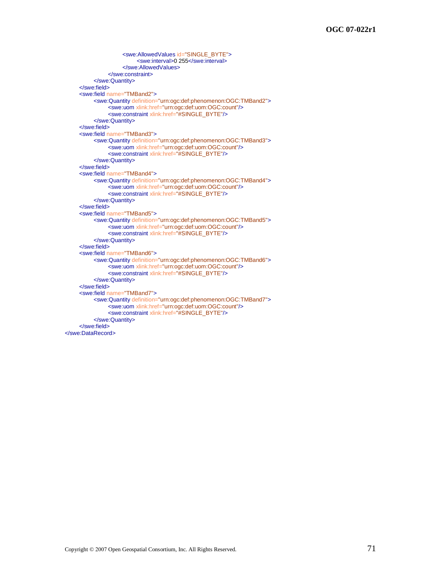```
<swe:AllowedValues id="SINGLE_BYTE">
                          <swe:interval>0 255</swe:interval>
                    </swe:AllowedValues>
               </swe:constraint>
          </swe:Quantity>
     </swe:field>
     <swe:field name="TMBand2">
          <swe:Quantity definition="urn:ogc:def:phenomenon:OGC:TMBand2">
               <swe:uom xlink:href="urn:ogc:def:uom:OGC:count"/>
               <swe:constraint xlink:href="#SINGLE_BYTE"/>
          </swe:Quantity>
     </swe:field>
     <swe:field name="TMBand3">
          <swe:Quantity definition="urn:ogc:def:phenomenon:OGC:TMBand3">
               <swe:uom xlink:href="urn:ogc:def:uom:OGC:count"/>
               <swe:constraint xlink:href="#SINGLE_BYTE"/>
          </swe:Quantity>
     </swe:field>
     <swe:field name="TMBand4">
          <swe:Quantity definition="urn:ogc:def:phenomenon:OGC:TMBand4">
               <swe:uom xlink:href="urn:ogc:def:uom:OGC:count"/>
               <swe:constraint xlink:href="#SINGLE_BYTE"/>
          </swe:Quantity>
     </swe:field>
     <swe:field name="TMBand5">
          <swe:Quantity definition="urn:ogc:def:phenomenon:OGC:TMBand5">
               <swe:uom xlink:href="urn:ogc:def:uom:OGC:count"/>
               <swe:constraint xlink:href="#SINGLE_BYTE"/>
          </swe:Quantity>
     </swe:field>
     <swe:field name="TMBand6">
          <swe:Quantity definition="urn:ogc:def:phenomenon:OGC:TMBand6">
               <swe:uom xlink:href="urn:ogc:def:uom:OGC:count"/>
               <swe:constraint xlink:href="#SINGLE_BYTE"/>
          </swe:Quantity>
     </swe:field>
     <swe:field name="TMBand7">
          <swe:Quantity definition="urn:ogc:def:phenomenon:OGC:TMBand7">
               <swe:uom xlink:href="urn:ogc:def:uom:OGC:count"/>
               <swe:constraint xlink:href="#SINGLE_BYTE"/>
          </swe:Quantity>
     </swe:field>
</swe:DataRecord>
```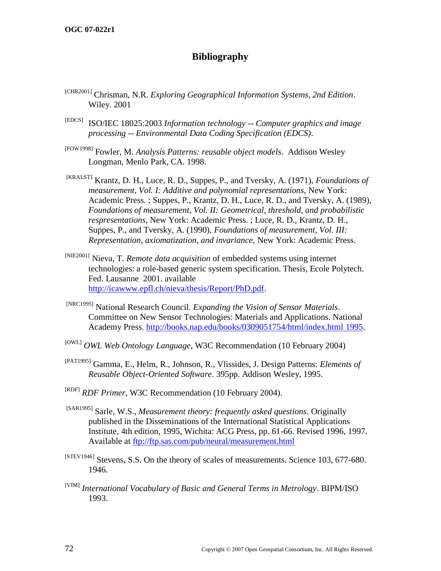# **Bibliography**

- [CHR2001] Chrisman, N.R. *Exploring Geographical Information Systems, 2nd Edition*. Wiley. 2001
- [EDCS] ISO/IEC 18025:2003 *Information technology -- Computer graphics and image processing -- Environmental Data Coding Specification (EDCS)*.
- [FOW1998] Fowler, M. *Analysis Patterns: reusable object models*. Addison Wesley Longman, Menlo Park, CA. 1998.
- [KRALST] Krantz, D. H., Luce, R. D., Suppes, P., and Tversky, A. (1971), *Foundations of measurement, Vol. I: Additive and polynomial representations,* New York: Academic Press. ; Suppes, P., Krantz, D. H., Luce, R. D., and Tversky, A. (1989), *Foundations of measurement, Vol. II: Geometrical, threshold, and probabilistic respresentations,* New York: Academic Press. ; Luce, R. D., Krantz, D. H., Suppes, P., and Tversky, A. (1990), *Foundations of measurement, Vol. III: Representation, axiomatization, and invariance,* New York: Academic Press.
- [NIE2001] Nieva, T. *Remote data acquisition* of embedded systems using internet technologies: a role-based generic system specification. Thesis, Ecole Polytech. Fed. Lausanne 2001. available [http://icawww.epfl.ch/nieva/thesis/Report/PhD.pdf.](http://icawww.epfl.ch/nieva/thesis/Report/PhD.pdf)
- [NRC1995] National Research Council. *Expanding the Vision of Sensor Materials*. Committee on New Sensor Technologies: Materials and Applications. National Academy Press. [http://books.nap.edu/books/0309051754/html/index.html](http://books.nap.edu/books/0309051754/html/index.html%201995) 1995.
- [OWL] *OWL Web Ontology Language*, W3C Recommendation (10 February 2004)
- [PAT1995] Gamma, E., Helm, R., Johnson, R., Vlissides, J. Design Patterns: *Elements of Reusable Object-Oriented Software*. 395pp. Addison Wesley, 1995.
- [RDF] *RDF Primer,* W3C Recommendation (10 February 2004).
- [SAR1995] Sarle, W.S., *Measurement theory: frequently asked questions*. Originally published in the Disseminations of the International Statistical Applications Institute, 4th edition, 1995, Wichita: ACG Press, pp. 61-66. Revised 1996, 1997. Available at<ftp://ftp.sas.com/pub/neural/measurement.html>
- [STEV1946] Stevens, S.S. On the theory of scales of measurements. Science 103, 677-680. 1946.
- [VIM] *International Vocabulary of Basic and General Terms in Metrology*. BIPM/ISO 1993.